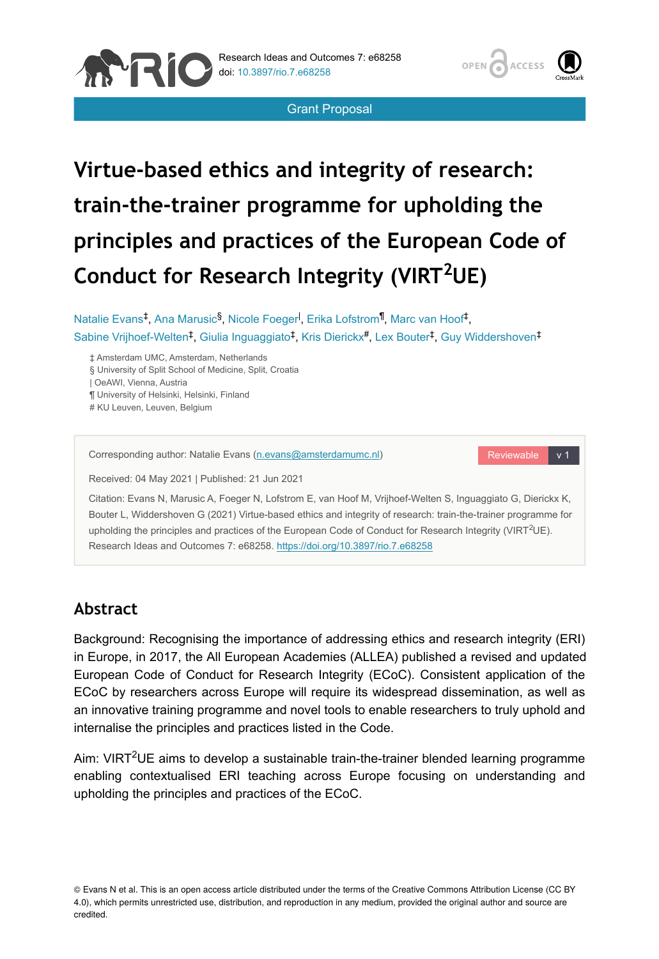



Grant Proposal

# **Virtue-based ethics and integrity of research: train-the-trainer programme for upholding the principles and practices of the European Code of** Conduct for Research Integrity (VIRT<sup>2</sup>UE)

Natalie Evans<sup>‡</sup>, Ana Marusic<sup>§</sup>, Nicole Foeger<sup>l</sup>, Erika Lofstrom<sup>¶</sup>, Marc van Hoof<sup>‡</sup>, Sabine Vrijhoef-Welten<sup>‡</sup>, Giulia Inguaggiato<sup>‡</sup>, Kris Dierickx<sup>#</sup>, Lex Bouter<sup>‡</sup>, Guy Widdershoven<sup>‡</sup>

‡ Amsterdam UMC, Amsterdam, Netherlands

§ University of Split School of Medicine, Split, Croatia

| OeAWI, Vienna, Austria

¶ University of Helsinki, Helsinki, Finland

# KU Leuven, Leuven, Belgium

Corresponding author: Natalie Evans ([n.evans@amsterdamumc.nl](mailto:n.evans@amsterdamumc.nl))

Reviewable v 1

Received: 04 May 2021 | Published: 21 Jun 2021

Citation: Evans N, Marusic A, Foeger N, Lofstrom E, van Hoof M, Vrijhoef-Welten S, Inguaggiato G, Dierickx K, Bouter L, Widdershoven G (2021) Virtue-based ethics and integrity of research: train-the-trainer programme for upholding the principles and practices of the European Code of Conduct for Research Integrity (VIRT<sup>2</sup>UE). Research Ideas and Outcomes 7: e68258.<https://doi.org/10.3897/rio.7.e68258>

# **Abstract**

Background: Recognising the importance of addressing ethics and research integrity (ERI) in Europe, in 2017, the All European Academies (ALLEA) published a revised and updated European Code of Conduct for Research Integrity (ECoC). Consistent application of the ECoC by researchers across Europe will require its widespread dissemination, as well as an innovative training programme and novel tools to enable researchers to truly uphold and internalise the principles and practices listed in the Code.

Aim: VIRT<sup>2</sup>UE aims to develop a sustainable train-the-trainer blended learning programme enabling contextualised ERI teaching across Europe focusing on understanding and upholding the principles and practices of the ECoC.

© Evans N et al. This is an open access article distributed under the terms of the Creative Commons Attribution License (CC BY 4.0), which permits unrestricted use, distribution, and reproduction in any medium, provided the original author and source are credited.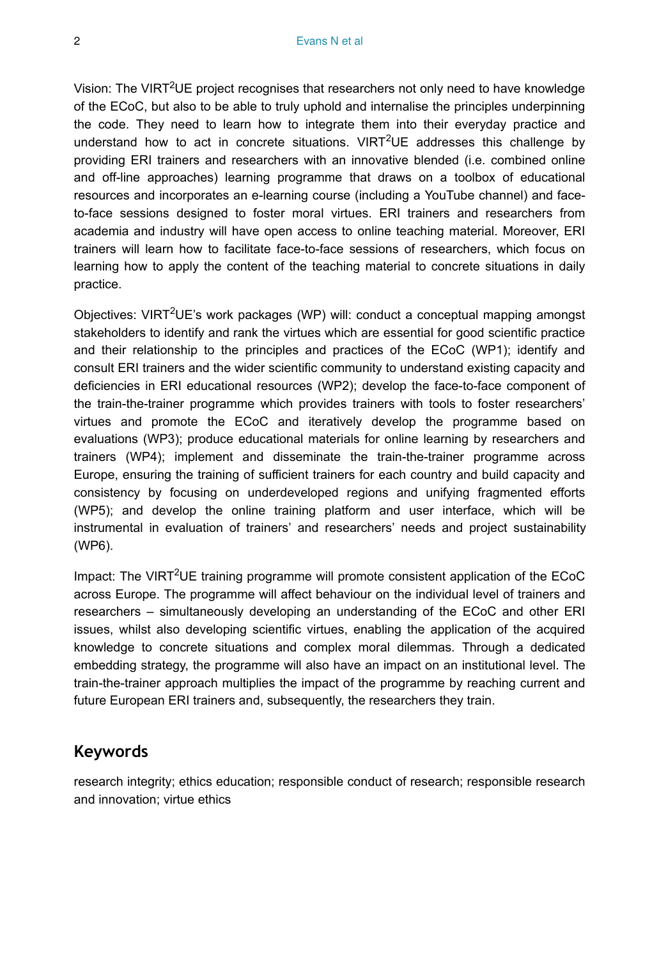Vision: The VIRT<sup>2</sup>UE project recognises that researchers not only need to have knowledge of the ECoC, but also to be able to truly uphold and internalise the principles underpinning the code. They need to learn how to integrate them into their everyday practice and understand how to act in concrete situations.  $VIRT^2UE$  addresses this challenge by providing ERI trainers and researchers with an innovative blended (i.e. combined online and off-line approaches) learning programme that draws on a toolbox of educational resources and incorporates an e-learning course (including a YouTube channel) and faceto-face sessions designed to foster moral virtues. ERI trainers and researchers from academia and industry will have open access to online teaching material. Moreover, ERI trainers will learn how to facilitate face-to-face sessions of researchers, which focus on learning how to apply the content of the teaching material to concrete situations in daily practice.

Objectives: VIRT<sup>2</sup>UE's work packages (WP) will: conduct a conceptual mapping amongst stakeholders to identify and rank the virtues which are essential for good scientific practice and their relationship to the principles and practices of the ECoC (WP1); identify and consult ERI trainers and the wider scientific community to understand existing capacity and deficiencies in ERI educational resources (WP2); develop the face-to-face component of the train-the-trainer programme which provides trainers with tools to foster researchers' virtues and promote the ECoC and iteratively develop the programme based on evaluations (WP3); produce educational materials for online learning by researchers and trainers (WP4); implement and disseminate the train-the-trainer programme across Europe, ensuring the training of sufficient trainers for each country and build capacity and consistency by focusing on underdeveloped regions and unifying fragmented efforts (WP5); and develop the online training platform and user interface, which will be instrumental in evaluation of trainers' and researchers' needs and project sustainability (WP6).

Impact: The VIRT<sup>2</sup>UE training programme will promote consistent application of the ECoC across Europe. The programme will affect behaviour on the individual level of trainers and researchers – simultaneously developing an understanding of the ECoC and other ERI issues, whilst also developing scientific virtues, enabling the application of the acquired knowledge to concrete situations and complex moral dilemmas. Through a dedicated embedding strategy, the programme will also have an impact on an institutional level. The train-the-trainer approach multiplies the impact of the programme by reaching current and future European ERI trainers and, subsequently, the researchers they train.

## **Keywords**

research integrity; ethics education; responsible conduct of research; responsible research and innovation; virtue ethics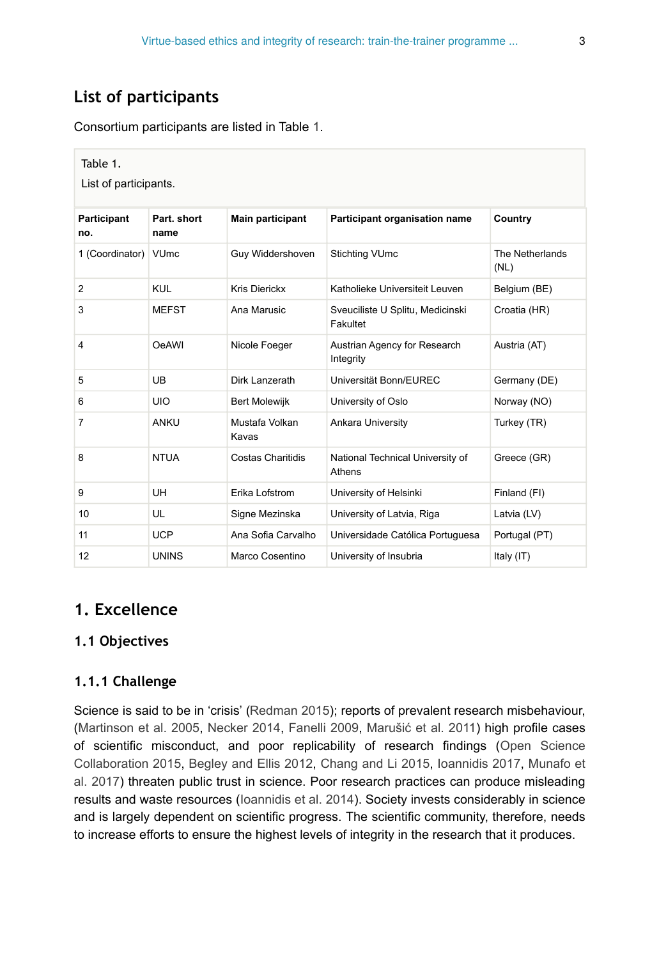# **List of participants**

Consortium participants are listed in Table [1.](#page-2-0)

<span id="page-2-0"></span>

| Table 1.<br>List of participants. |                     |                         |                                              |                         |
|-----------------------------------|---------------------|-------------------------|----------------------------------------------|-------------------------|
| Participant<br>no.                | Part. short<br>name | <b>Main participant</b> | Participant organisation name                | Country                 |
| 1 (Coordinator) VUmc              |                     | Guy Widdershoven        | <b>Stichting VUmc</b>                        | The Netherlands<br>(NL) |
| $\overline{2}$                    | <b>KUL</b>          | <b>Kris Dierickx</b>    | Katholieke Universiteit Leuven               | Belgium (BE)            |
| 3                                 | <b>MEFST</b>        | Ana Marusic             | Sveuciliste U Splitu, Medicinski<br>Fakultet | Croatia (HR)            |
| 4                                 | <b>OeAWI</b>        | Nicole Foeger           | Austrian Agency for Research<br>Integrity    | Austria (AT)            |
| 5                                 | <b>UB</b>           | Dirk Lanzerath          | Universität Bonn/EUREC                       | Germany (DE)            |
| 6                                 | <b>UIO</b>          | <b>Bert Molewijk</b>    | University of Oslo                           | Norway (NO)             |
| 7                                 | <b>ANKU</b>         | Mustafa Volkan<br>Kavas | Ankara University                            | Turkey (TR)             |
| 8                                 | <b>NTUA</b>         | Costas Charitidis       | National Technical University of<br>Athens   | Greece (GR)             |
| 9                                 | <b>UH</b>           | Erika Lofstrom          | University of Helsinki                       | Finland (FI)            |
| 10                                | UL                  | Signe Mezinska          | University of Latvia, Riga                   | Latvia (LV)             |
| 11                                | <b>UCP</b>          | Ana Sofia Carvalho      | Universidade Católica Portuguesa             | Portugal (PT)           |
| 12                                | <b>UNINS</b>        | Marco Cosentino         | University of Insubria                       | Italy (IT)              |

# **1. Excellence**

## **1.1 Objectives**

## **1.1.1 Challenge**

Science is said to be in 'crisis' [\(Redman 2015\)](#page-80-0); reports of prevalent research misbehaviour, [\(Martinson et al. 2005,](#page-79-0) [Necker 2014](#page-80-1), [Fanelli 2009](#page-78-0), Marušić [et al. 2011\)](#page-79-1) high profile cases of scientific misconduct, and poor replicability of research findings ([Open Science](#page-80-2) [Collaboration 2015](#page-80-2), [Begley and Ellis 2012,](#page-77-0) [Chang and Li 2015,](#page-77-1) [Ioannidis 2017](#page-78-1), [Munafo et](#page-80-3) [al. 2017\)](#page-80-3) threaten public trust in science. Poor research practices can produce misleading results and waste resources [\(Ioannidis et al. 2014](#page-78-2)). Society invests considerably in science and is largely dependent on scientific progress. The scientific community, therefore, needs to increase efforts to ensure the highest levels of integrity in the research that it produces.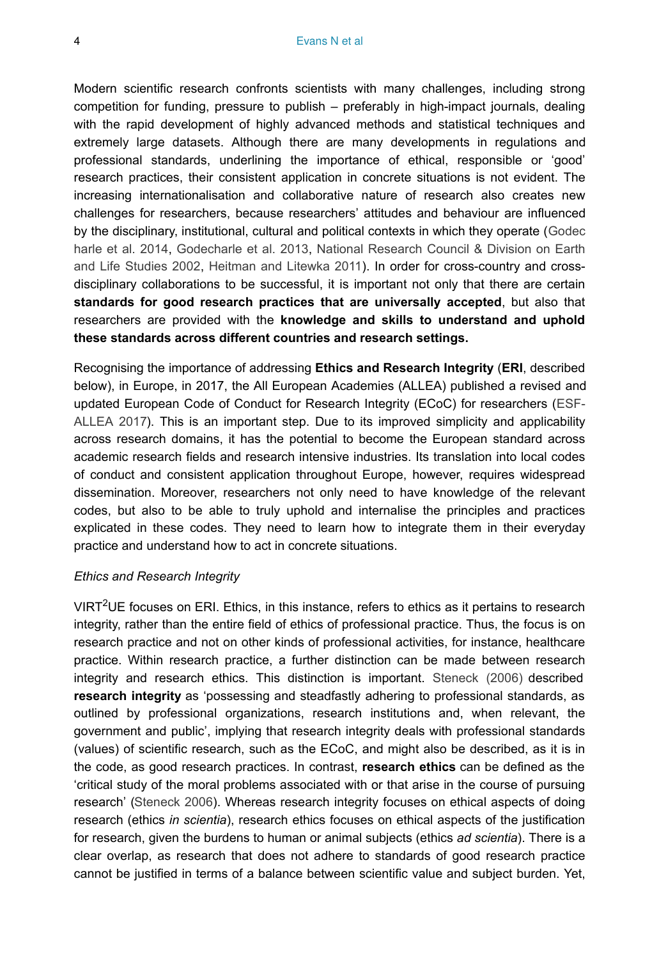Modern scientific research confronts scientists with many challenges, including strong competition for funding, pressure to publish – preferably in high-impact journals, dealing with the rapid development of highly advanced methods and statistical techniques and extremely large datasets. Although there are many developments in regulations and professional standards, underlining the importance of ethical, responsible or 'good' research practices, their consistent application in concrete situations is not evident. The increasing internationalisation and collaborative nature of research also creates new challenges for researchers, because researchers' attitudes and behaviour are influenced by the disciplinary, institutional, cultural and political contexts in which they operate ([Godec](#page-78-3) [harle et al. 2014](#page-78-3), [Godecharle et al. 2013,](#page-78-4) [National Research Council & Division on Earth](#page-80-4) [and Life Studies 2002](#page-80-4), [Heitman and Litewka 2011\)](#page-78-5). In order for cross-country and crossdisciplinary collaborations to be successful, it is important not only that there are certain **standards for good research practices that are universally accepted**, but also that researchers are provided with the **knowledge and skills to understand and uphold these standards across different countries and research settings.**

Recognising the importance of addressing **Ethics and Research Integrity** (**ERI**, described below), in Europe, in 2017, the All European Academies (ALLEA) published a revised and updated European Code of Conduct for Research Integrity (ECoC) for researchers ([ESF-](#page-77-2)[ALLEA 2017\)](#page-77-2). This is an important step. Due to its improved simplicity and applicability across research domains, it has the potential to become the European standard across academic research fields and research intensive industries. Its translation into local codes of conduct and consistent application throughout Europe, however, requires widespread dissemination. Moreover, researchers not only need to have knowledge of the relevant codes, but also to be able to truly uphold and internalise the principles and practices explicated in these codes. They need to learn how to integrate them in their everyday practice and understand how to act in concrete situations.

#### *Ethics and Research Integrity*

VIRT<sup>2</sup>UE focuses on ERI. Ethics, in this instance, refers to ethics as it pertains to research integrity, rather than the entire field of ethics of professional practice. Thus, the focus is on research practice and not on other kinds of professional activities, for instance, healthcare practice. Within research practice, a further distinction can be made between research integrity and research ethics. This distinction is important. [Steneck \(2006\)](#page-81-0) described **research integrity** as 'possessing and steadfastly adhering to professional standards, as outlined by professional organizations, research institutions and, when relevant, the government and public', implying that research integrity deals with professional standards (values) of scientific research, such as the ECoC, and might also be described, as it is in the code, as good research practices. In contrast, **research ethics** can be defined as the 'critical study of the moral problems associated with or that arise in the course of pursuing research' [\(Steneck 2006](#page-81-0)). Whereas research integrity focuses on ethical aspects of doing research (ethics *in scientia*), research ethics focuses on ethical aspects of the justification for research, given the burdens to human or animal subjects (ethics *ad scientia*). There is a clear overlap, as research that does not adhere to standards of good research practice cannot be justified in terms of a balance between scientific value and subject burden. Yet,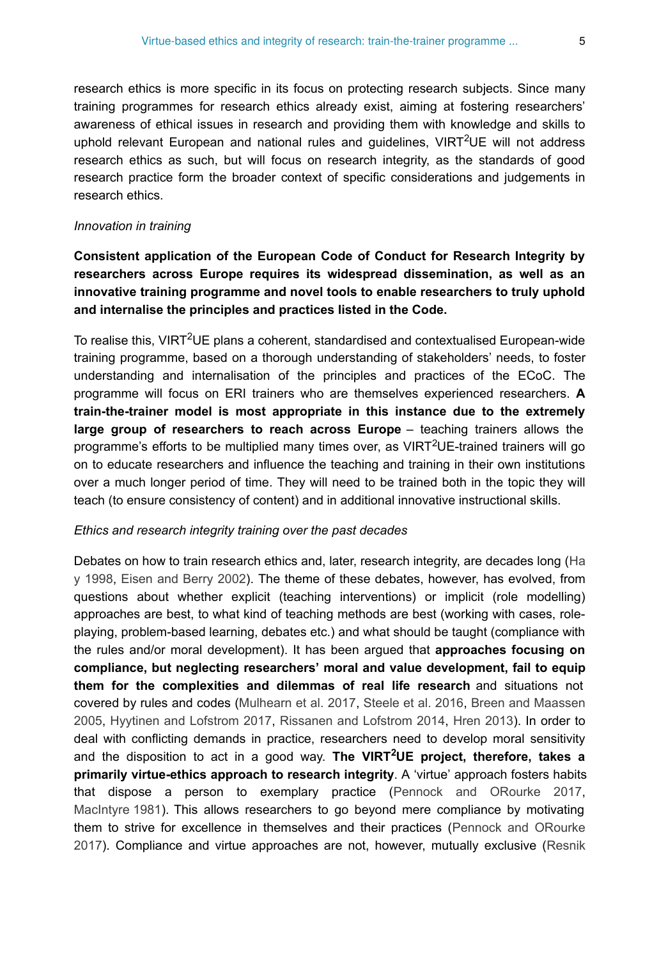research ethics is more specific in its focus on protecting research subjects. Since many training programmes for research ethics already exist, aiming at fostering researchers' awareness of ethical issues in research and providing them with knowledge and skills to uphold relevant European and national rules and guidelines,  $VIRT^2UE$  will not address research ethics as such, but will focus on research integrity, as the standards of good research practice form the broader context of specific considerations and judgements in research ethics.

#### *Innovation in training*

## **Consistent application of the European Code of Conduct for Research Integrity by researchers across Europe requires its widespread dissemination, as well as an innovative training programme and novel tools to enable researchers to truly uphold and internalise the principles and practices listed in the Code.**

To realise this, VIRT<sup>2</sup>UE plans a coherent, standardised and contextualised European-wide training programme, based on a thorough understanding of stakeholders' needs, to foster understanding and internalisation of the principles and practices of the ECoC. The programme will focus on ERI trainers who are themselves experienced researchers. **A train-the-trainer model is most appropriate in this instance due to the extremely large group of researchers to reach across Europe** – teaching trainers allows the programme's efforts to be multiplied many times over, as VIRT<sup>2</sup>UE-trained trainers will go on to educate researchers and influence the teaching and training in their own institutions over a much longer period of time. They will need to be trained both in the topic they will teach (to ensure consistency of content) and in additional innovative instructional skills.

#### *Ethics and research integrity training over the past decades*

Debates on how to train research ethics and, later, research integrity, are decades long ([Ha](#page-78-6) [y 1998](#page-78-6), [Eisen and Berry 2002\)](#page-77-3). The theme of these debates, however, has evolved, from questions about whether explicit (teaching interventions) or implicit (role modelling) approaches are best, to what kind of teaching methods are best (working with cases, roleplaying, problem-based learning, debates etc.) and what should be taught (compliance with the rules and/or moral development). It has been argued that **approaches focusing on compliance, but neglecting researchers' moral and value development, fail to equip them for the complexities and dilemmas of real life research** and situations not covered by rules and codes ([Mulhearn et al. 2017,](#page-79-2) [Steele et al. 2016,](#page-80-5) [Breen and Maassen](#page-77-4) [2005](#page-77-4), [Hyytinen and Lofstrom 2017,](#page-78-7) [Rissanen and Lofstrom 2014,](#page-80-6) [Hren 2013](#page-78-8)). In order to deal with conflicting demands in practice, researchers need to develop moral sensitivity and the disposition to act in a good way. The VIRT<sup>2</sup>UE project, therefore, takes a **primarily virtue-ethics approach to research integrity**. A 'virtue' approach fosters habits that dispose a person to exemplary practice ([Pennock and ORourke 2017,](#page-80-7) [MacIntyre 1981](#page-79-3)). This allows researchers to go beyond mere compliance by motivating them to strive for excellence in themselves and their practices ([Pennock and ORourke](#page-80-7) [2017](#page-80-7)). Compliance and virtue approaches are not, however, mutually exclusive ([Resnik](#page-80-8)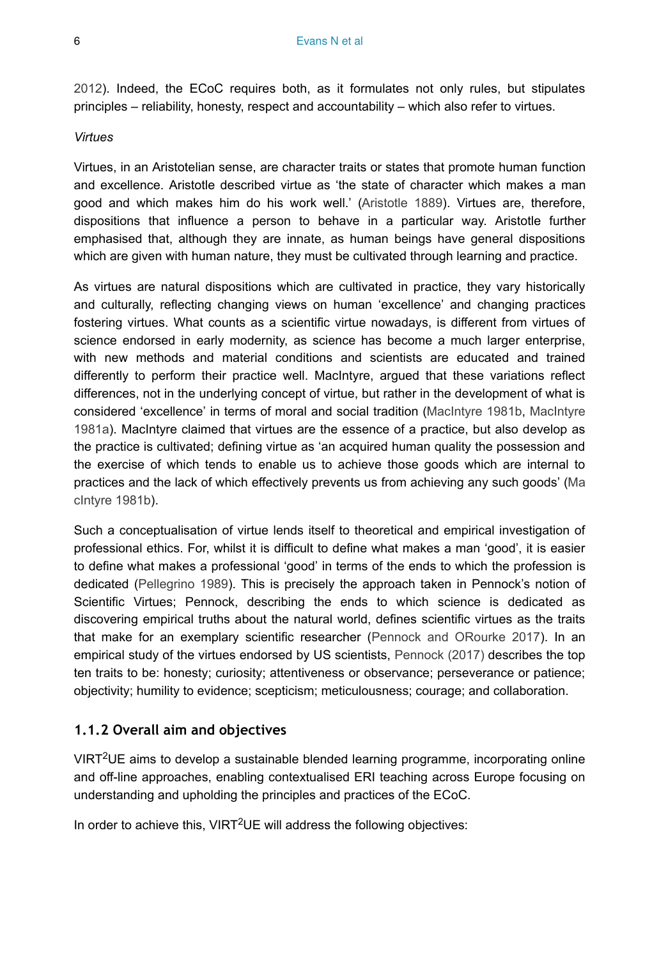[2012](#page-80-8)). Indeed, the ECoC requires both, as it formulates not only rules, but stipulates principles – reliability, honesty, respect and accountability – which also refer to virtues.

#### *Virtues*

Virtues, in an Aristotelian sense, are character traits or states that promote human function and excellence. Aristotle described virtue as 'the state of character which makes a man good and which makes him do his work well.' ([Aristotle 1889\)](#page-77-5). Virtues are, therefore, dispositions that influence a person to behave in a particular way. Aristotle further emphasised that, although they are innate, as human beings have general dispositions which are given with human nature, they must be cultivated through learning and practice.

As virtues are natural dispositions which are cultivated in practice, they vary historically and culturally, reflecting changing views on human 'excellence' and changing practices fostering virtues. What counts as a scientific virtue nowadays, is different from virtues of science endorsed in early modernity, as science has become a much larger enterprise, with new methods and material conditions and scientists are educated and trained differently to perform their practice well. MacIntyre, argued that these variations reflect differences, not in the underlying concept of virtue, but rather in the development of what is considered 'excellence' in terms of moral and social tradition ([MacIntyre 1981b](#page-79-4), [MacIntyre](#page-79-3) [1981a](#page-79-3)). MacIntyre claimed that virtues are the essence of a practice, but also develop as the practice is cultivated; defining virtue as 'an acquired human quality the possession and the exercise of which tends to enable us to achieve those goods which are internal to practices and the lack of which effectively prevents us from achieving any such goods' ([Ma](#page-79-4) clntyre 1981b).

Such a conceptualisation of virtue lends itself to theoretical and empirical investigation of professional ethics. For, whilst it is difficult to define what makes a man 'good', it is easier to define what makes a professional 'good' in terms of the ends to which the profession is dedicated [\(Pellegrino 1989\)](#page-80-9). This is precisely the approach taken in Pennock's notion of Scientific Virtues; Pennock, describing the ends to which science is dedicated as discovering empirical truths about the natural world, defines scientific virtues as the traits that make for an exemplary scientific researcher ([Pennock and ORourke 2017](#page-80-7)). In an empirical study of the virtues endorsed by US scientists, [Pennock \(2017\)](#page-80-10) describes the top ten traits to be: honesty; curiosity; attentiveness or observance; perseverance or patience; objectivity; humility to evidence; scepticism; meticulousness; courage; and collaboration.

## **1.1.2 Overall aim and objectives**

VIRT<sup>2</sup>UE aims to develop a sustainable blended learning programme, incorporating online and off-line approaches, enabling contextualised ERI teaching across Europe focusing on understanding and upholding the principles and practices of the ECoC.

In order to achieve this, VIRT<sup>2</sup>UE will address the following objectives: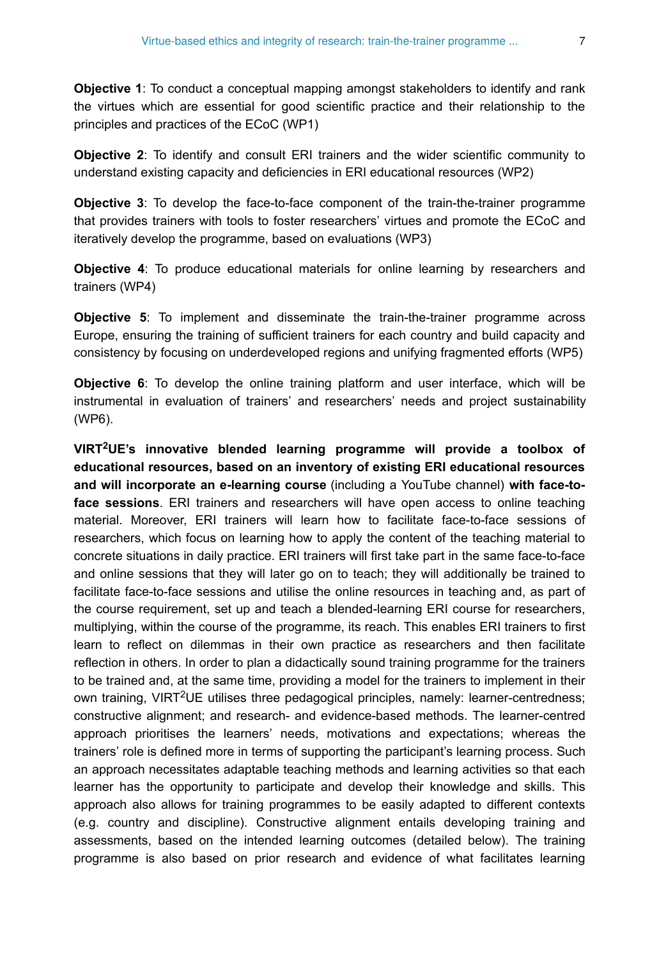**Objective 1**: To conduct a conceptual mapping amongst stakeholders to identify and rank the virtues which are essential for good scientific practice and their relationship to the principles and practices of the ECoC (WP1)

**Objective 2**: To identify and consult ERI trainers and the wider scientific community to understand existing capacity and deficiencies in ERI educational resources (WP2)

**Objective 3**: To develop the face-to-face component of the train-the-trainer programme that provides trainers with tools to foster researchers' virtues and promote the ECoC and iteratively develop the programme, based on evaluations (WP3)

**Objective 4:** To produce educational materials for online learning by researchers and trainers (WP4)

**Objective 5**: To implement and disseminate the train-the-trainer programme across Europe, ensuring the training of sufficient trainers for each country and build capacity and consistency by focusing on underdeveloped regions and unifying fragmented efforts (WP5)

**Objective 6**: To develop the online training platform and user interface, which will be instrumental in evaluation of trainers' and researchers' needs and project sustainability (WP6).

**VIRT UE's innovative blended learning programme will provide a toolbox of 2 educational resources, based on an inventory of existing ERI educational resources and will incorporate an e-learning course** (including a YouTube channel) **with face-toface sessions**. ERI trainers and researchers will have open access to online teaching material. Moreover, ERI trainers will learn how to facilitate face-to-face sessions of researchers, which focus on learning how to apply the content of the teaching material to concrete situations in daily practice. ERI trainers will first take part in the same face-to-face and online sessions that they will later go on to teach; they will additionally be trained to facilitate face-to-face sessions and utilise the online resources in teaching and, as part of the course requirement, set up and teach a blended-learning ERI course for researchers, multiplying, within the course of the programme, its reach. This enables ERI trainers to first learn to reflect on dilemmas in their own practice as researchers and then facilitate reflection in others. In order to plan a didactically sound training programme for the trainers to be trained and, at the same time, providing a model for the trainers to implement in their own training, VIRT<sup>2</sup>UE utilises three pedagogical principles, namely: learner-centredness; constructive alignment; and research- and evidence-based methods. The learner-centred approach prioritises the learners' needs, motivations and expectations; whereas the trainers' role is defined more in terms of supporting the participant's learning process. Such an approach necessitates adaptable teaching methods and learning activities so that each learner has the opportunity to participate and develop their knowledge and skills. This approach also allows for training programmes to be easily adapted to different contexts (e.g. country and discipline). Constructive alignment entails developing training and assessments, based on the intended learning outcomes (detailed below). The training programme is also based on prior research and evidence of what facilitates learning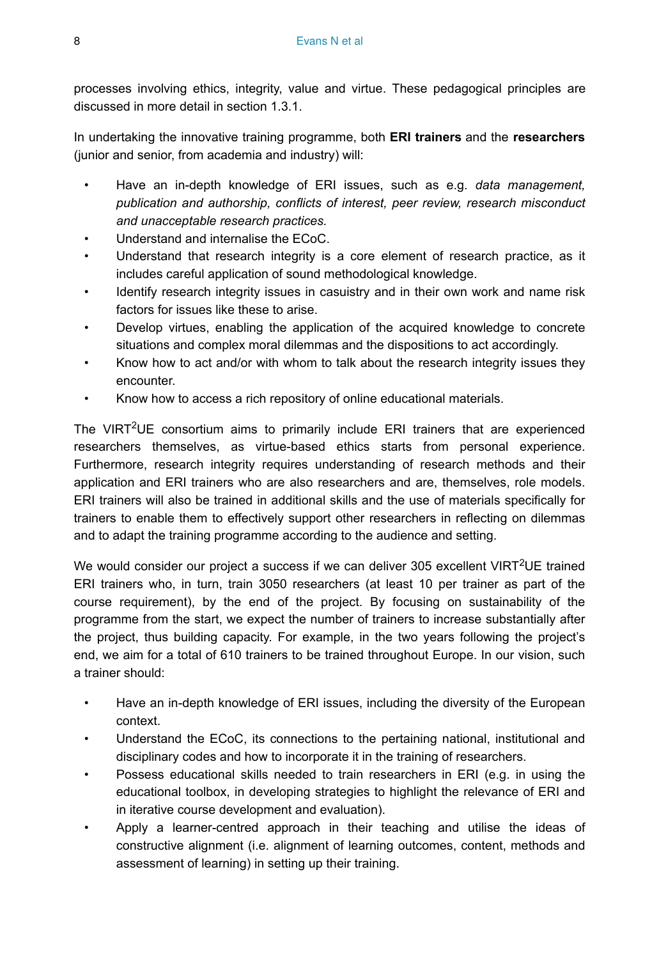processes involving ethics, integrity, value and virtue. These pedagogical principles are discussed in more detail in section 1.3.1.

In undertaking the innovative training programme, both **ERI trainers** and the **researchers** (junior and senior, from academia and industry) will:

- Have an in-depth knowledge of ERI issues, such as e.g. *data management, publication and authorship, conflicts of interest, peer review, research misconduct and unacceptable research practices.*
- Understand and internalise the ECoC.
- Understand that research integrity is a core element of research practice, as it includes careful application of sound methodological knowledge.
- Identify research integrity issues in casuistry and in their own work and name risk factors for issues like these to arise.
- Develop virtues, enabling the application of the acquired knowledge to concrete situations and complex moral dilemmas and the dispositions to act accordingly.
- Know how to act and/or with whom to talk about the research integrity issues they encounter.
- Know how to access a rich repository of online educational materials.

The VIRT<sup>2</sup>UE consortium aims to primarily include ERI trainers that are experienced researchers themselves, as virtue-based ethics starts from personal experience. Furthermore, research integrity requires understanding of research methods and their application and ERI trainers who are also researchers and are, themselves, role models. ERI trainers will also be trained in additional skills and the use of materials specifically for trainers to enable them to effectively support other researchers in reflecting on dilemmas and to adapt the training programme according to the audience and setting.

We would consider our project a success if we can deliver 305 excellent VIRT<sup>2</sup>UE trained ERI trainers who, in turn, train 3050 researchers (at least 10 per trainer as part of the course requirement), by the end of the project. By focusing on sustainability of the programme from the start, we expect the number of trainers to increase substantially after the project, thus building capacity. For example, in the two years following the project's end, we aim for a total of 610 trainers to be trained throughout Europe. In our vision, such a trainer should:

- Have an in-depth knowledge of ERI issues, including the diversity of the European context.
- Understand the ECoC, its connections to the pertaining national, institutional and disciplinary codes and how to incorporate it in the training of researchers.
- Possess educational skills needed to train researchers in ERI (e.g. in using the educational toolbox, in developing strategies to highlight the relevance of ERI and in iterative course development and evaluation).
- Apply a learner-centred approach in their teaching and utilise the ideas of constructive alignment (i.e. alignment of learning outcomes, content, methods and assessment of learning) in setting up their training.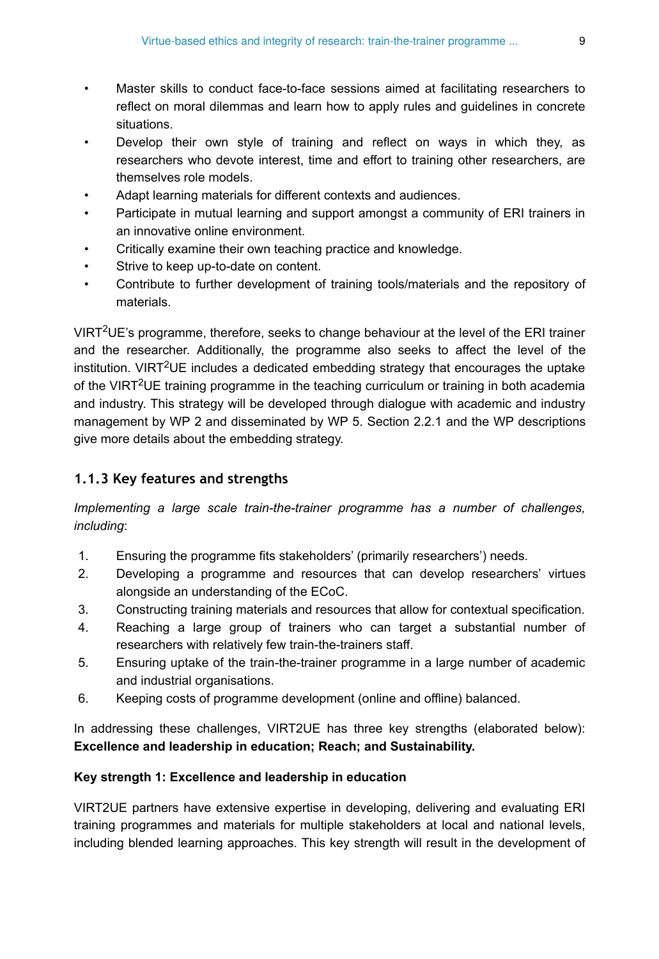- Master skills to conduct face-to-face sessions aimed at facilitating researchers to reflect on moral dilemmas and learn how to apply rules and guidelines in concrete situations.
- Develop their own style of training and reflect on ways in which they, as researchers who devote interest, time and effort to training other researchers, are themselves role models.
- Adapt learning materials for different contexts and audiences.
- Participate in mutual learning and support amongst a community of ERI trainers in an innovative online environment.
- Critically examine their own teaching practice and knowledge.
- Strive to keep up-to-date on content.
- Contribute to further development of training tools/materials and the repository of materials.

VIRT<sup>2</sup>UE's programme, therefore, seeks to change behaviour at the level of the ERI trainer and the researcher. Additionally, the programme also seeks to affect the level of the institution. VIRT<sup>2</sup>UE includes a dedicated embedding strategy that encourages the uptake of the VIRT<sup>2</sup>UE training programme in the teaching curriculum or training in both academia and industry. This strategy will be developed through dialogue with academic and industry management by WP 2 and disseminated by WP 5. Section 2.2.1 and the WP descriptions give more details about the embedding strategy.

## **1.1.3 Key features and strengths**

*Implementing a large scale train-the-trainer programme has a number of challenges, including*:

- 1. Ensuring the programme fits stakeholders' (primarily researchers') needs.
- 2. Developing a programme and resources that can develop researchers' virtues alongside an understanding of the ECoC.
- 3. Constructing training materials and resources that allow for contextual specification.
- 4. Reaching a large group of trainers who can target a substantial number of researchers with relatively few train-the-trainers staff.
- 5. Ensuring uptake of the train-the-trainer programme in a large number of academic and industrial organisations.
- 6. Keeping costs of programme development (online and offline) balanced.

In addressing these challenges, VIRT2UE has three key strengths (elaborated below): **Excellence and leadership in education; Reach; and Sustainability.**

## **Key strength 1: Excellence and leadership in education**

VIRT2UE partners have extensive expertise in developing, delivering and evaluating ERI training programmes and materials for multiple stakeholders at local and national levels, including blended learning approaches. This key strength will result in the development of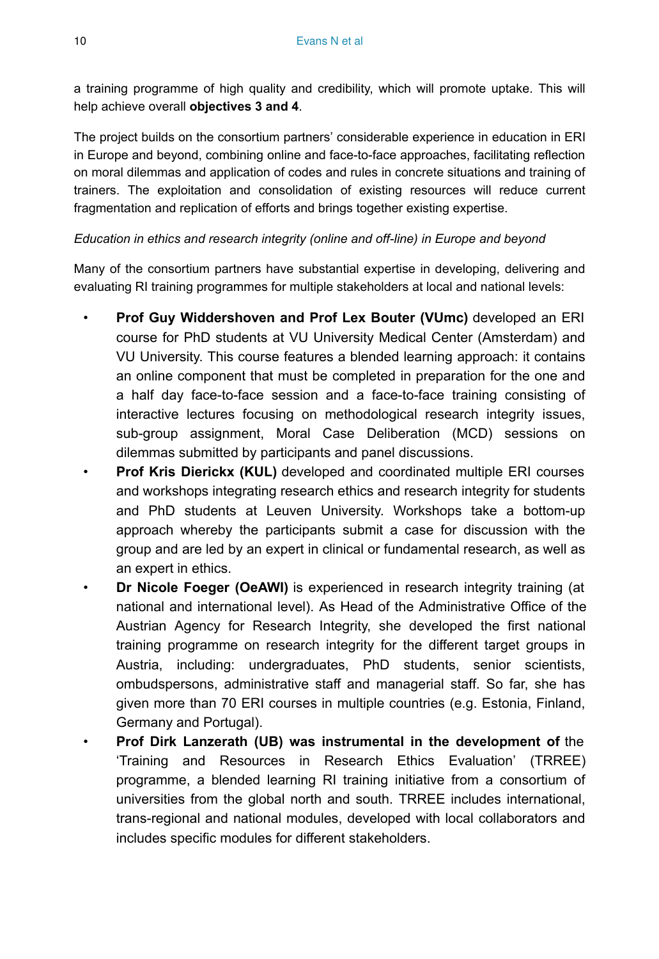a training programme of high quality and credibility, which will promote uptake. This will help achieve overall **objectives 3 and 4**.

The project builds on the consortium partners' considerable experience in education in ERI in Europe and beyond, combining online and face-to-face approaches, facilitating reflection on moral dilemmas and application of codes and rules in concrete situations and training of trainers. The exploitation and consolidation of existing resources will reduce current fragmentation and replication of efforts and brings together existing expertise.

## *Education in ethics and research integrity (online and off-line) in Europe and beyond*

Many of the consortium partners have substantial expertise in developing, delivering and evaluating RI training programmes for multiple stakeholders at local and national levels:

- **Prof Guy Widdershoven and Prof Lex Bouter (VUmc)** developed an ERI course for PhD students at VU University Medical Center (Amsterdam) and VU University. This course features a blended learning approach: it contains an online component that must be completed in preparation for the one and a half day face-to-face session and a face-to-face training consisting of interactive lectures focusing on methodological research integrity issues, sub-group assignment, Moral Case Deliberation (MCD) sessions on dilemmas submitted by participants and panel discussions.
- **Prof Kris Dierickx (KUL)** developed and coordinated multiple ERI courses and workshops integrating research ethics and research integrity for students and PhD students at Leuven University. Workshops take a bottom-up approach whereby the participants submit a case for discussion with the group and are led by an expert in clinical or fundamental research, as well as an expert in ethics.
- **Dr Nicole Foeger (OeAWI)** is experienced in research integrity training (at national and international level). As Head of the Administrative Office of the Austrian Agency for Research Integrity, she developed the first national training programme on research integrity for the different target groups in Austria, including: undergraduates, PhD students, senior scientists, ombudspersons, administrative staff and managerial staff. So far, she has given more than 70 ERI courses in multiple countries (e.g. Estonia, Finland, Germany and Portugal).
- **Prof Dirk Lanzerath (UB) was instrumental in the development of** the 'Training and Resources in Research Ethics Evaluation' (TRREE) programme, a blended learning RI training initiative from a consortium of universities from the global north and south. TRREE includes international, trans-regional and national modules, developed with local collaborators and includes specific modules for different stakeholders.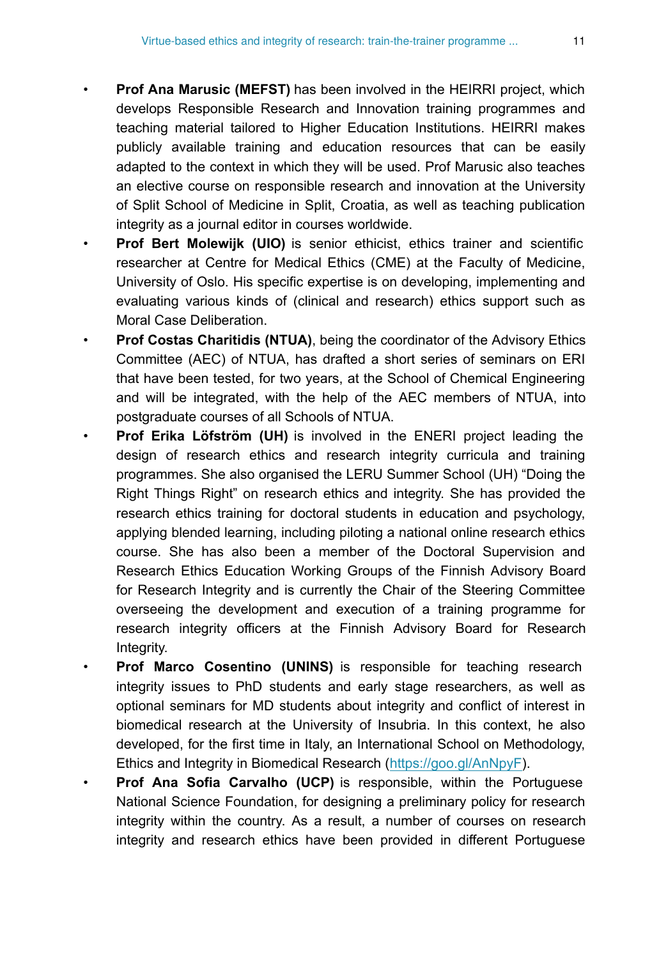- **Prof Ana Marusic (MEFST)** has been involved in the HEIRRI project, which develops Responsible Research and Innovation training programmes and teaching material tailored to Higher Education Institutions. HEIRRI makes publicly available training and education resources that can be easily adapted to the context in which they will be used. Prof Marusic also teaches an elective course on responsible research and innovation at the University of Split School of Medicine in Split, Croatia, as well as teaching publication integrity as a journal editor in courses worldwide.
- **Prof Bert Molewijk (UIO)** is senior ethicist, ethics trainer and scientific researcher at Centre for Medical Ethics (CME) at the Faculty of Medicine, University of Oslo. His specific expertise is on developing, implementing and evaluating various kinds of (clinical and research) ethics support such as Moral Case Deliberation.
- **Prof Costas Charitidis (NTUA)**, being the coordinator of the Advisory Ethics Committee (AEC) of NTUA, has drafted a short series of seminars on ERI that have been tested, for two years, at the School of Chemical Engineering and will be integrated, with the help of the AEC members of NTUA, into postgraduate courses of all Schools of NTUA.
- **Prof Erika Löfström (UH)** is involved in the ENERI project leading the design of research ethics and research integrity curricula and training programmes. She also organised the LERU Summer School (UH) "Doing the Right Things Right" on research ethics and integrity. She has provided the research ethics training for doctoral students in education and psychology, applying blended learning, including piloting a national online research ethics course. She has also been a member of the Doctoral Supervision and Research Ethics Education Working Groups of the Finnish Advisory Board for Research Integrity and is currently the Chair of the Steering Committee overseeing the development and execution of a training programme for research integrity officers at the Finnish Advisory Board for Research Integrity.
- **Prof Marco Cosentino (UNINS)** is responsible for teaching research integrity issues to PhD students and early stage researchers, as well as optional seminars for MD students about integrity and conflict of interest in biomedical research at the University of Insubria. In this context, he also developed, for the first time in Italy, an International School on Methodology, Ethics and Integrity in Biomedical Research [\(https://goo.gl/AnNpyF](https://goo.gl/AnNpyF)).
- **Prof Ana Sofia Carvalho (UCP)** is responsible, within the Portuguese National Science Foundation, for designing a preliminary policy for research integrity within the country. As a result, a number of courses on research integrity and research ethics have been provided in different Portuguese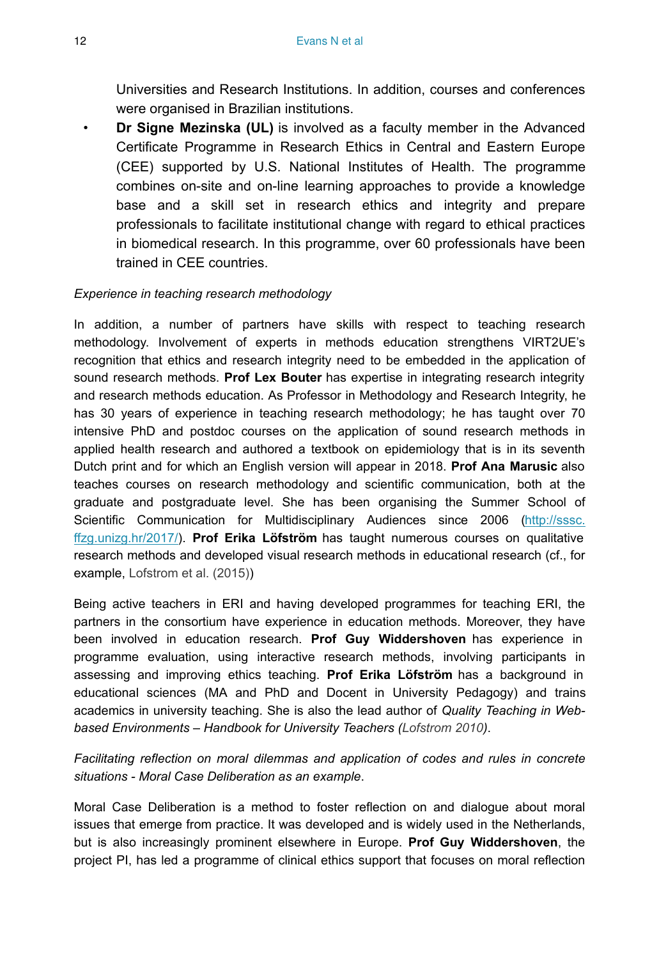Universities and Research Institutions. In addition, courses and conferences were organised in Brazilian institutions.

• **Dr Signe Mezinska (UL)** is involved as a faculty member in the Advanced Certificate Programme in Research Ethics in Central and Eastern Europe (CEE) supported by U.S. National Institutes of Health. The programme combines on-site and on-line learning approaches to provide a knowledge base and a skill set in research ethics and integrity and prepare professionals to facilitate institutional change with regard to ethical practices in biomedical research. In this programme, over 60 professionals have been trained in CEE countries.

#### *Experience in teaching research methodology*

In addition, a number of partners have skills with respect to teaching research methodology. Involvement of experts in methods education strengthens VIRT2UE's recognition that ethics and research integrity need to be embedded in the application of sound research methods. **Prof Lex Bouter** has expertise in integrating research integrity and research methods education. As Professor in Methodology and Research Integrity, he has 30 years of experience in teaching research methodology; he has taught over 70 intensive PhD and postdoc courses on the application of sound research methods in applied health research and authored a textbook on epidemiology that is in its seventh Dutch print and for which an English version will appear in 2018. **Prof Ana Marusic** also teaches courses on research methodology and scientific communication, both at the graduate and postgraduate level. She has been organising the Summer School of Scientific Communication for Multidisciplinary Audiences since 2006 [\(http://sssc.](http://sssc.ffzg.unizg.hr/2017/) [ffzg.unizg.hr/2017/](http://sssc.ffzg.unizg.hr/2017/)). **Prof Erika Löfström** has taught numerous courses on qualitative research methods and developed visual research methods in educational research (cf., for example, [Lofstrom et al. \(2015\)](#page-79-5))

Being active teachers in ERI and having developed programmes for teaching ERI, the partners in the consortium have experience in education methods. Moreover, they have been involved in education research. **Prof Guy Widdershoven** has experience in programme evaluation, using interactive research methods, involving participants in assessing and improving ethics teaching. **Prof Erika Löfström** has a background in educational sciences (MA and PhD and Docent in University Pedagogy) and trains academics in university teaching. She is also the lead author of *Quality Teaching in Webbased Environments – Handbook for University Teachers [\(Lofstrom 2010\)](#page-79-6)*.

*Facilitating reflection on moral dilemmas and application of codes and rules in concrete situations - Moral Case Deliberation as an example*.

Moral Case Deliberation is a method to foster reflection on and dialogue about moral issues that emerge from practice. It was developed and is widely used in the Netherlands, but is also increasingly prominent elsewhere in Europe. **Prof Guy Widdershoven**, the project PI, has led a programme of clinical ethics support that focuses on moral reflection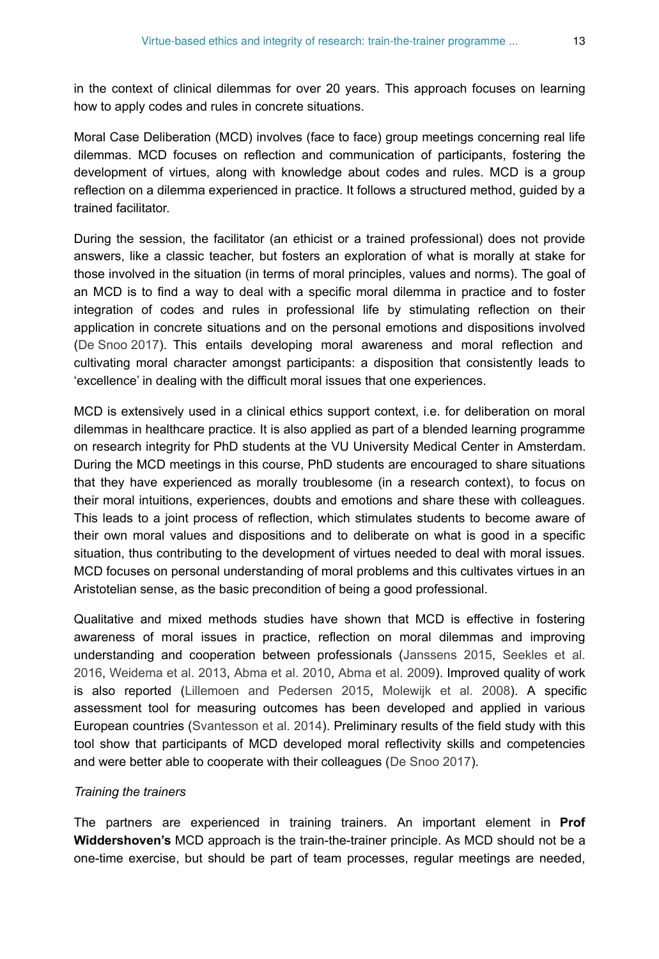in the context of clinical dilemmas for over 20 years. This approach focuses on learning how to apply codes and rules in concrete situations.

Moral Case Deliberation (MCD) involves (face to face) group meetings concerning real life dilemmas. MCD focuses on reflection and communication of participants, fostering the development of virtues, along with knowledge about codes and rules. MCD is a group reflection on a dilemma experienced in practice. It follows a structured method, guided by a trained facilitator.

During the session, the facilitator (an ethicist or a trained professional) does not provide answers, like a classic teacher, but fosters an exploration of what is morally at stake for those involved in the situation (in terms of moral principles, values and norms). The goal of an MCD is to find a way to deal with a specific moral dilemma in practice and to foster integration of codes and rules in professional life by stimulating reflection on their application in concrete situations and on the personal emotions and dispositions involved [\(De Snoo 2017\)](#page-77-6). This entails developing moral awareness and moral reflection and cultivating moral character amongst participants: a disposition that consistently leads to 'excellence' in dealing with the difficult moral issues that one experiences.

MCD is extensively used in a clinical ethics support context, i.e. for deliberation on moral dilemmas in healthcare practice. It is also applied as part of a blended learning programme on research integrity for PhD students at the VU University Medical Center in Amsterdam. During the MCD meetings in this course, PhD students are encouraged to share situations that they have experienced as morally troublesome (in a research context), to focus on their moral intuitions, experiences, doubts and emotions and share these with colleagues. This leads to a joint process of reflection, which stimulates students to become aware of their own moral values and dispositions and to deliberate on what is good in a specific situation, thus contributing to the development of virtues needed to deal with moral issues. MCD focuses on personal understanding of moral problems and this cultivates virtues in an Aristotelian sense, as the basic precondition of being a good professional.

Qualitative and mixed methods studies have shown that MCD is effective in fostering awareness of moral issues in practice, reflection on moral dilemmas and improving understanding and cooperation between professionals ([Janssens 2015](#page-78-9), [Seekles et al.](#page-80-11) [2016](#page-80-11), [Weidema et al. 2013,](#page-81-1) [Abma et al. 2010,](#page-77-7) [Abma et al. 2009\)](#page-77-8). Improved quality of work is also reported [\(Lillemoen and Pedersen 2015](#page-79-7), [Molewijk et al. 2008\)](#page-79-8). A specific assessment tool for measuring outcomes has been developed and applied in various European countries [\(Svantesson et al. 2014\)](#page-81-2). Preliminary results of the field study with this tool show that participants of MCD developed moral reflectivity skills and competencies and were better able to cooperate with their colleagues ([De Snoo 2017](#page-77-6)).

#### *Training the trainers*

The partners are experienced in training trainers. An important element in **Prof Widdershoven's** MCD approach is the train-the-trainer principle. As MCD should not be a one-time exercise, but should be part of team processes, regular meetings are needed,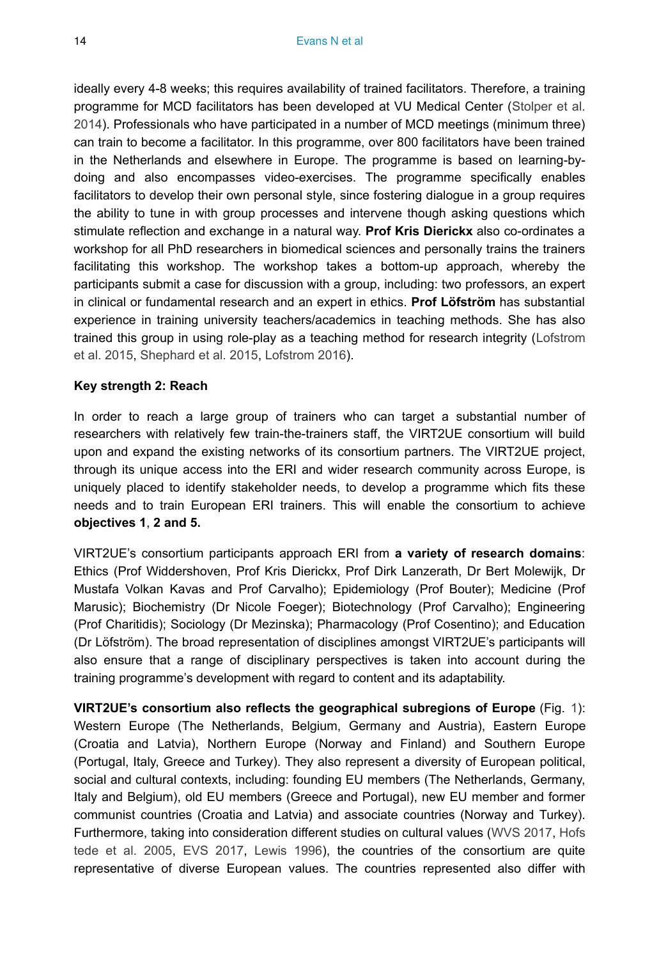ideally every 4-8 weeks; this requires availability of trained facilitators. Therefore, a training programme for MCD facilitators has been developed at VU Medical Center ([Stolper et al.](#page-81-3) [2014](#page-81-3)). Professionals who have participated in a number of MCD meetings (minimum three) can train to become a facilitator. In this programme, over 800 facilitators have been trained in the Netherlands and elsewhere in Europe. The programme is based on learning-bydoing and also encompasses video-exercises. The programme specifically enables facilitators to develop their own personal style, since fostering dialogue in a group requires the ability to tune in with group processes and intervene though asking questions which stimulate reflection and exchange in a natural way. **Prof Kris Dierickx** also co-ordinates a workshop for all PhD researchers in biomedical sciences and personally trains the trainers facilitating this workshop. The workshop takes a bottom-up approach, whereby the participants submit a case for discussion with a group, including: two professors, an expert in clinical or fundamental research and an expert in ethics. **Prof Löfström** has substantial experience in training university teachers/academics in teaching methods. She has also trained this group in using role-play as a teaching method for research integrity [\(Lofstrom](#page-79-5) [et al. 2015](#page-79-5), [Shephard et al. 2015](#page-80-12), [Lofstrom 2016\)](#page-79-9).

#### **Key strength 2: Reach**

In order to reach a large group of trainers who can target a substantial number of researchers with relatively few train-the-trainers staff, the VIRT2UE consortium will build upon and expand the existing networks of its consortium partners. The VIRT2UE project, through its unique access into the ERI and wider research community across Europe, is uniquely placed to identify stakeholder needs, to develop a programme which fits these needs and to train European ERI trainers. This will enable the consortium to achieve **objectives 1**, **2 and 5.**

VIRT2UE's consortium participants approach ERI from **a variety of research domains**: Ethics (Prof Widdershoven, Prof Kris Dierickx, Prof Dirk Lanzerath, Dr Bert Molewijk, Dr Mustafa Volkan Kavas and Prof Carvalho); Epidemiology (Prof Bouter); Medicine (Prof Marusic); Biochemistry (Dr Nicole Foeger); Biotechnology (Prof Carvalho); Engineering (Prof Charitidis); Sociology (Dr Mezinska); Pharmacology (Prof Cosentino); and Education (Dr Löfström). The broad representation of disciplines amongst VIRT2UE's participants will also ensure that a range of disciplinary perspectives is taken into account during the training programme's development with regard to content and its adaptability.

**VIRT2UE's consortium also reflects the geographical subregions of Europe** (Fig. [1\)](#page-14-0): Western Europe (The Netherlands, Belgium, Germany and Austria), Eastern Europe (Croatia and Latvia), Northern Europe (Norway and Finland) and Southern Europe (Portugal, Italy, Greece and Turkey). They also represent a diversity of European political, social and cultural contexts, including: founding EU members (The Netherlands, Germany, Italy and Belgium), old EU members (Greece and Portugal), new EU member and former communist countries (Croatia and Latvia) and associate countries (Norway and Turkey). Furthermore, taking into consideration different studies on cultural values ([WVS 2017,](#page-81-4) [Hofs](#page-78-10) [tede et al. 2005](#page-78-10), [EVS 2017,](#page-78-11) [Lewis 1996\)](#page-79-10), the countries of the consortium are quite representative of diverse European values. The countries represented also differ with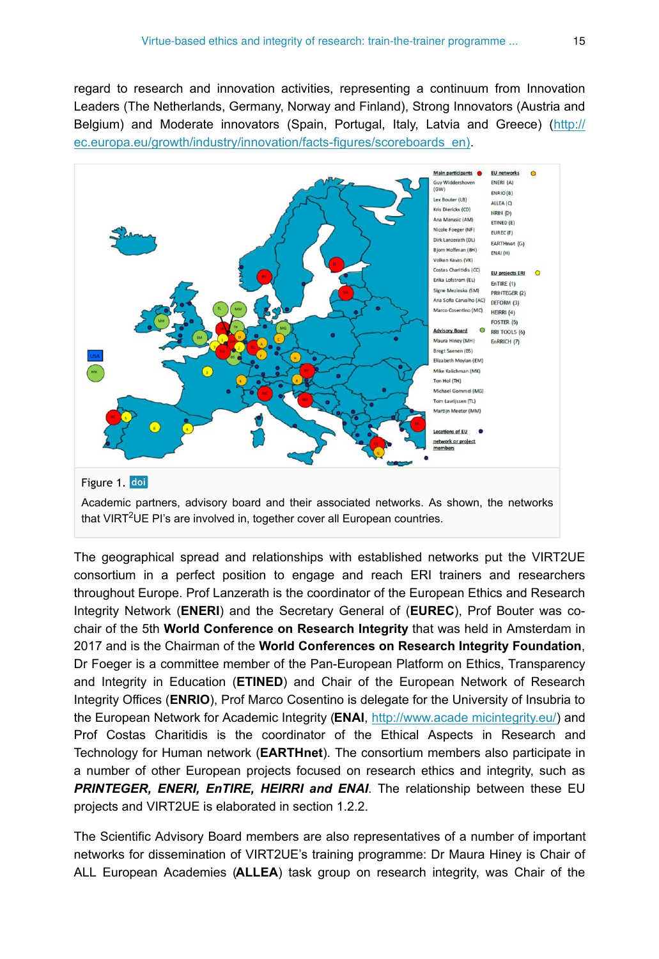regard to research and innovation activities, representing a continuum from Innovation Leaders (The Netherlands, Germany, Norway and Finland), Strong Innovators (Austria and Belgium) and Moderate innovators (Spain, Portugal, Italy, Latvia and Greece) ([http://](http://ec.europa.eu/growth/industry/innovation/facts-figures/scoreboards_en)) [ec.europa.eu/growth/industry/innovation/facts-figures/scoreboards\\_en\).](http://ec.europa.eu/growth/industry/innovation/facts-figures/scoreboards_en))

<span id="page-14-0"></span>

The geographical spread and relationships with established networks put the VIRT2UE consortium in a perfect position to engage and reach ERI trainers and researchers throughout Europe. Prof Lanzerath is the coordinator of the European Ethics and Research Integrity Network (**ENERI**) and the Secretary General of (**EUREC**), Prof Bouter was cochair of the 5th **World Conference on Research Integrity** that was held in Amsterdam in 2017 and is the Chairman of the **World Conferences on Research Integrity Foundation**, Dr Foeger is a committee member of the Pan-European Platform on Ethics, Transparency and Integrity in Education (**ETINED**) and Chair of the European Network of Research Integrity Offices (**ENRIO**), Prof Marco Cosentino is delegate for the University of Insubria to the European Network for Academic Integrity (**ENAI**, [http://www.acade micintegrity.eu/\)](http://www.academicintegrity.eu/) and Prof Costas Charitidis is the coordinator of the Ethical Aspects in Research and Technology for Human network (**EARTHnet**). The consortium members also participate in a number of other European projects focused on research ethics and integrity, such as *PRINTEGER, ENERI, EnTIRE, HEIRRI and ENAI*. The relationship between these EU projects and VIRT2UE is elaborated in section 1.2.2.

The Scientific Advisory Board members are also representatives of a number of important networks for dissemination of VIRT2UE's training programme: Dr Maura Hiney is Chair of ALL European Academies (**ALLEA**) task group on research integrity, was Chair of the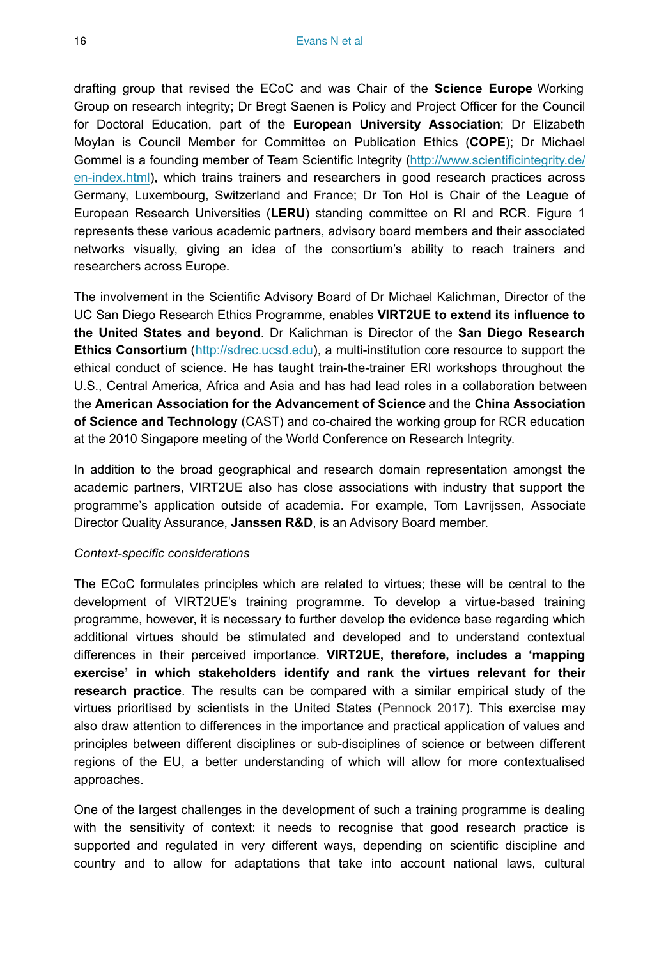drafting group that revised the ECoC and was Chair of the **Science Europe** Working Group on research integrity; Dr Bregt Saenen is Policy and Project Officer for the Council for Doctoral Education, part of the **European University Association**; Dr Elizabeth Moylan is Council Member for Committee on Publication Ethics (**COPE**); Dr Michael Gommel is a founding member of Team Scientific Integrity ([http://www.scientificintegrity.de/](http://www.scientificintegrity.de/en-index.html) [en-index.html](http://www.scientificintegrity.de/en-index.html)), which trains trainers and researchers in good research practices across Germany, Luxembourg, Switzerland and France; Dr Ton Hol is Chair of the League of European Research Universities (**LERU**) standing committee on RI and RCR. Figure 1 represents these various academic partners, advisory board members and their associated networks visually, giving an idea of the consortium's ability to reach trainers and researchers across Europe.

The involvement in the Scientific Advisory Board of Dr Michael Kalichman, Director of the UC San Diego Research Ethics Programme, enables **VIRT2UE to extend its influence to the United States and beyond**. Dr Kalichman is Director of the **San Diego Research Ethics Consortium** ([http://sdrec.ucsd.edu](http://sdrec.ucsd.edu/)), a multi-institution core resource to support the ethical conduct of science. He has taught train-the-trainer ERI workshops throughout the U.S., Central America, Africa and Asia and has had lead roles in a collaboration between the **American Association for the Advancement of Science** and the **China Association of Science and Technology** (CAST) and co-chaired the working group for RCR education at the 2010 Singapore meeting of the World Conference on Research Integrity.

In addition to the broad geographical and research domain representation amongst the academic partners, VIRT2UE also has close associations with industry that support the programme's application outside of academia. For example, Tom Lavrijssen, Associate Director Quality Assurance, **Janssen R&D**, is an Advisory Board member.

#### *Context-specific considerations*

The ECoC formulates principles which are related to virtues; these will be central to the development of VIRT2UE's training programme. To develop a virtue-based training programme, however, it is necessary to further develop the evidence base regarding which additional virtues should be stimulated and developed and to understand contextual differences in their perceived importance. **VIRT2UE, therefore, includes a 'mapping exercise' in which stakeholders identify and rank the virtues relevant for their research practice**. The results can be compared with a similar empirical study of the virtues prioritised by scientists in the United States ([Pennock 2017](#page-80-10)). This exercise may also draw attention to differences in the importance and practical application of values and principles between different disciplines or sub-disciplines of science or between different regions of the EU, a better understanding of which will allow for more contextualised approaches.

One of the largest challenges in the development of such a training programme is dealing with the sensitivity of context: it needs to recognise that good research practice is supported and regulated in very different ways, depending on scientific discipline and country and to allow for adaptations that take into account national laws, cultural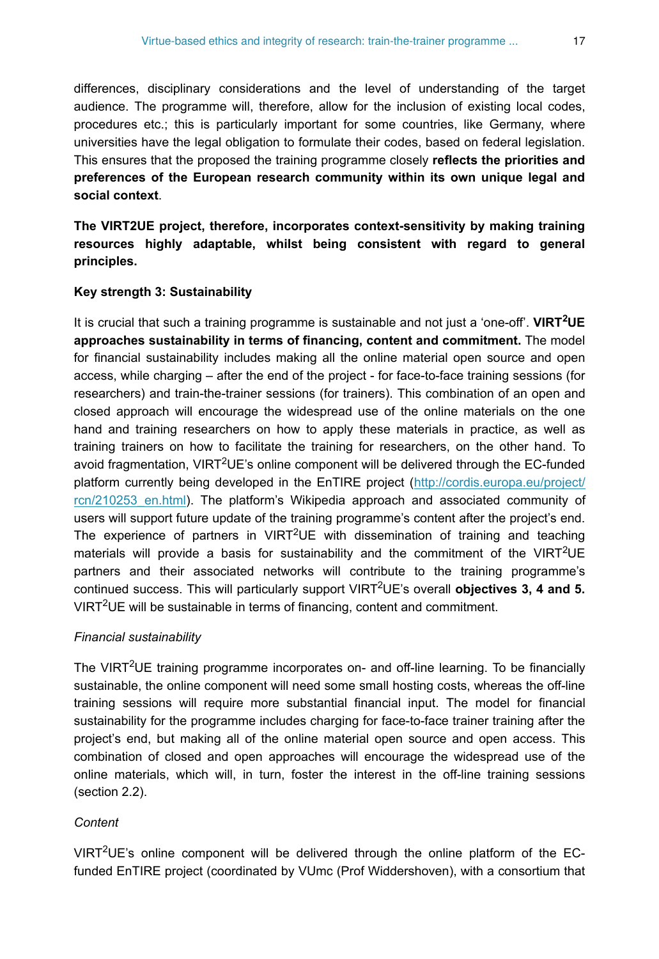differences, disciplinary considerations and the level of understanding of the target audience. The programme will, therefore, allow for the inclusion of existing local codes, procedures etc.; this is particularly important for some countries, like Germany, where universities have the legal obligation to formulate their codes, based on federal legislation. This ensures that the proposed the training programme closely **reflects the priorities and preferences of the European research community within its own unique legal and social context**.

**The VIRT2UE project, therefore, incorporates context-sensitivity by making training resources highly adaptable, whilst being consistent with regard to general principles.**

#### **Key strength 3: Sustainability**

It is crucial that such a training programme is sustainable and not just a 'one-off'. VIRT<sup>2</sup>UE **approaches sustainability in terms of financing, content and commitment.** The model for financial sustainability includes making all the online material open source and open access, while charging – after the end of the project - for face-to-face training sessions (for researchers) and train-the-trainer sessions (for trainers). This combination of an open and closed approach will encourage the widespread use of the online materials on the one hand and training researchers on how to apply these materials in practice, as well as training trainers on how to facilitate the training for researchers, on the other hand. To avoid fragmentation, VIRT<sup>2</sup>UE's online component will be delivered through the EC-funded platform currently being developed in the EnTIRE project ([http://cordis.europa.eu/project/](http://cordis.europa.eu/project/rcn/210253_en.html) rcn/210253 en.html). The platform's Wikipedia approach and associated community of users will support future update of the training programme's content after the project's end. The experience of partners in  $VIRT^2UE$  with dissemination of training and teaching materials will provide a basis for sustainability and the commitment of the VIRT<sup>2</sup>UE partners and their associated networks will contribute to the training programme's continued success. This will particularly support VIRT<sup>2</sup>UE's overall **objectives 3, 4 and 5.** VIRT<sup>2</sup>UE will be sustainable in terms of financing, content and commitment.

#### *Financial sustainability*

The VIRT<sup>2</sup>UE training programme incorporates on- and off-line learning. To be financially sustainable, the online component will need some small hosting costs, whereas the off-line training sessions will require more substantial financial input. The model for financial sustainability for the programme includes charging for face-to-face trainer training after the project's end, but making all of the online material open source and open access. This combination of closed and open approaches will encourage the widespread use of the online materials, which will, in turn, foster the interest in the off-line training sessions (section 2.2).

#### *Content*

VIRT<sup>2</sup>UE's online component will be delivered through the online platform of the ECfunded EnTIRE project (coordinated by VUmc (Prof Widdershoven), with a consortium that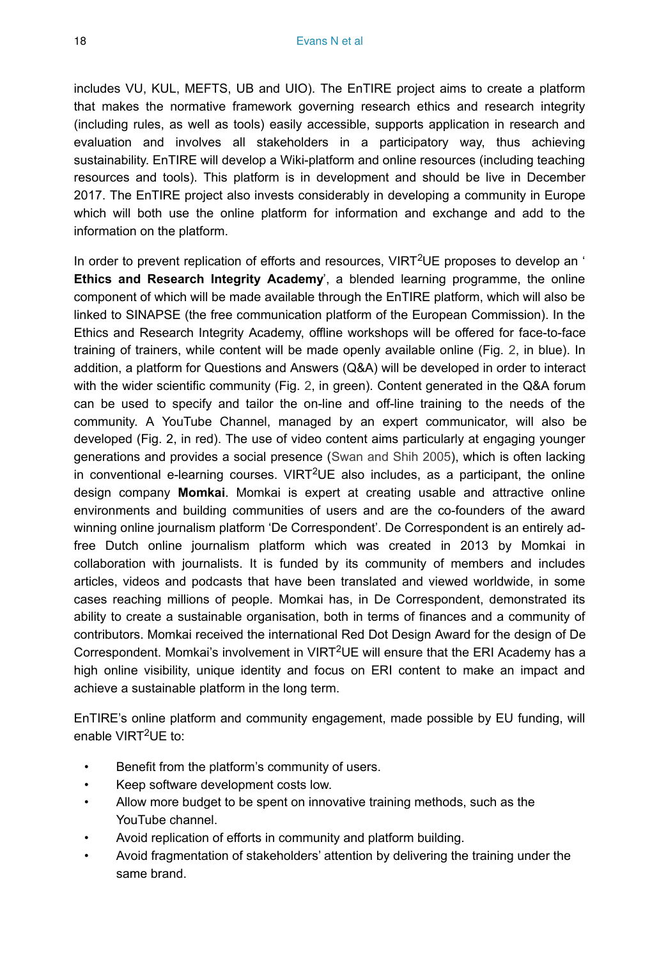includes VU, KUL, MEFTS, UB and UIO). The EnTIRE project aims to create a platform that makes the normative framework governing research ethics and research integrity (including rules, as well as tools) easily accessible, supports application in research and evaluation and involves all stakeholders in a participatory way, thus achieving sustainability. EnTIRE will develop a Wiki-platform and online resources (including teaching resources and tools). This platform is in development and should be live in December 2017. The EnTIRE project also invests considerably in developing a community in Europe which will both use the online platform for information and exchange and add to the information on the platform.

In order to prevent replication of efforts and resources, VIRT<sup>2</sup>UE proposes to develop an ' **Ethics and Research Integrity Academy**', a blended learning programme, the online component of which will be made available through the EnTIRE platform, which will also be linked to SINAPSE (the free communication platform of the European Commission). In the Ethics and Research Integrity Academy, offline workshops will be offered for face-to-face training of trainers, while content will be made openly available online (Fig. [2,](#page-18-0) in blue). In addition, a platform for Questions and Answers (Q&A) will be developed in order to interact with the wider scientific community (Fig. [2,](#page-18-0) in green). Content generated in the Q&A forum can be used to specify and tailor the on-line and off-line training to the needs of the community. A YouTube Channel, managed by an expert communicator, will also be developed (Fig. 2, in red). The use of video content aims particularly at engaging younger generations and provides a social presence ([Swan and Shih 2005\)](#page-81-5), which is often lacking in conventional e-learning courses. VIRT<sup>2</sup>UE also includes, as a participant, the online design company **Momkai**. Momkai is expert at creating usable and attractive online environments and building communities of users and are the co-founders of the award winning online journalism platform 'De Correspondent'. De Correspondent is an entirely adfree Dutch online journalism platform which was created in 2013 by Momkai in collaboration with journalists. It is funded by its community of members and includes articles, videos and podcasts that have been translated and viewed worldwide, in some cases reaching millions of people. Momkai has, in De Correspondent, demonstrated its ability to create a sustainable organisation, both in terms of finances and a community of contributors. Momkai received the international Red Dot Design Award for the design of De Correspondent. Momkai's involvement in VIRT<sup>2</sup>UE will ensure that the ERI Academy has a high online visibility, unique identity and focus on ERI content to make an impact and achieve a sustainable platform in the long term.

EnTIRE's online platform and community engagement, made possible by EU funding, will enable VIRT<sup>2</sup>UE to:

- Benefit from the platform's community of users.
- Keep software development costs low.
- Allow more budget to be spent on innovative training methods, such as the YouTube channel.
- Avoid replication of efforts in community and platform building.
- Avoid fragmentation of stakeholders' attention by delivering the training under the same brand.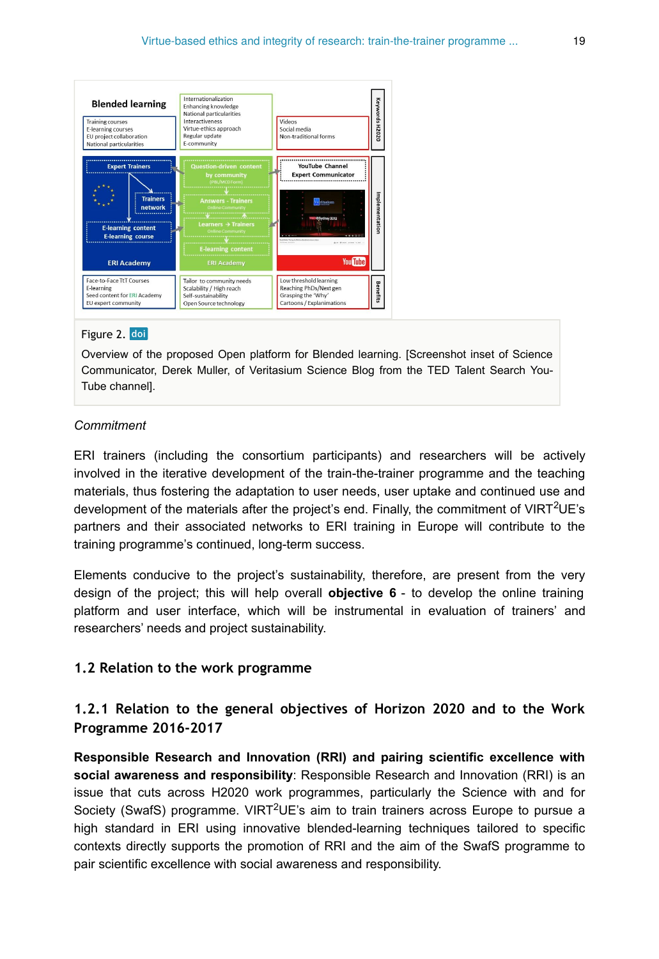<span id="page-18-0"></span>

#### Figure 2. doi

Overview of the proposed Open platform for Blended learning. [Screenshot inset of Science Communicator, Derek Muller, of Veritasium Science Blog from the TED Talent Search You-Tube channel].

#### *Commitment*

ERI trainers (including the consortium participants) and researchers will be actively involved in the iterative development of the train-the-trainer programme and the teaching materials, thus fostering the adaptation to user needs, user uptake and continued use and development of the materials after the project's end. Finally, the commitment of VIRT<sup>2</sup>UE's partners and their associated networks to ERI training in Europe will contribute to the training programme's continued, long-term success.

Elements conducive to the project's sustainability, therefore, are present from the very design of the project; this will help overall **objective 6** - to develop the online training platform and user interface, which will be instrumental in evaluation of trainers' and researchers' needs and project sustainability.

#### **1.2 Relation to the work programme**

## **1.2.1 Relation to the general objectives of Horizon 2020 and to the Work Programme 2016-2017**

**Responsible Research and Innovation (RRI) and pairing scientific excellence with social awareness and responsibility**: Responsible Research and Innovation (RRI) is an issue that cuts across H2020 work programmes, particularly the Science with and for Society (SwafS) programme. VIRT<sup>2</sup>UE's aim to train trainers across Europe to pursue a high standard in ERI using innovative blended-learning techniques tailored to specific contexts directly supports the promotion of RRI and the aim of the SwafS programme to pair scientific excellence with social awareness and responsibility.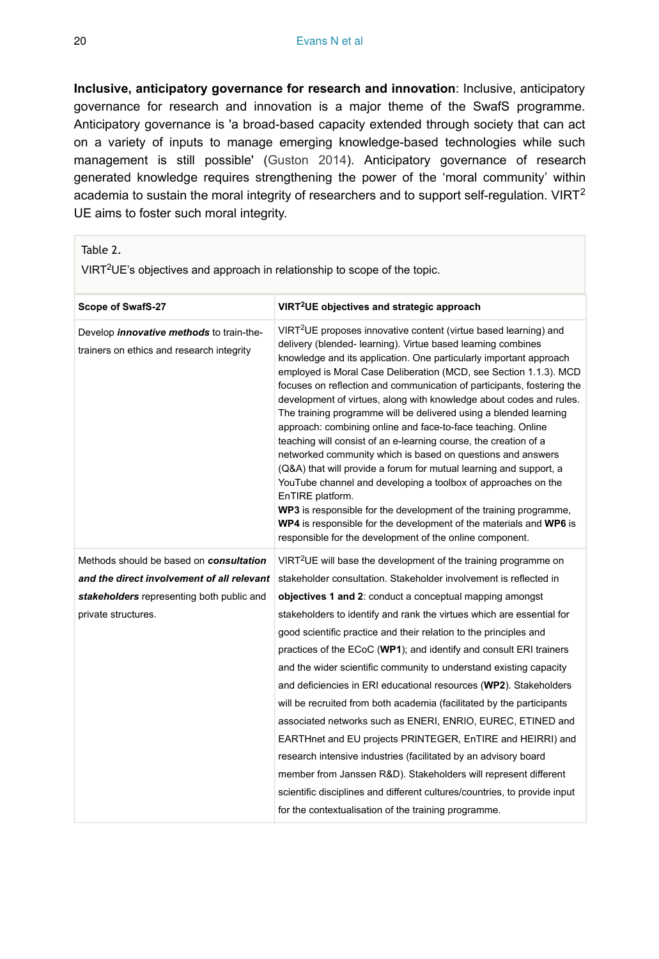**Inclusive, anticipatory governance for research and innovation**: Inclusive, anticipatory governance for research and innovation is a major theme of the SwafS programme. Anticipatory governance is 'a broad-based capacity extended through society that can act on a variety of inputs to manage emerging knowledge-based technologies while such management is still possible' ([Guston 2014\)](#page-78-12). Anticipatory governance of research generated knowledge requires strengthening the power of the 'moral community' within academia to sustain the moral integrity of researchers and to support self-regulation. VIRT<sup>2</sup> UE aims to foster such moral integrity.

<span id="page-19-0"></span>

| Table 2.<br>VIRT <sup>2</sup> UE's objectives and approach in relationship to scope of the topic.                                                         |                                                                                                                                                                                                                                                                                                                                                                                                                                                                                                                                                                                                                                                                                                                                                                                                                                                                                                                                                                                                                                                                                    |  |  |  |
|-----------------------------------------------------------------------------------------------------------------------------------------------------------|------------------------------------------------------------------------------------------------------------------------------------------------------------------------------------------------------------------------------------------------------------------------------------------------------------------------------------------------------------------------------------------------------------------------------------------------------------------------------------------------------------------------------------------------------------------------------------------------------------------------------------------------------------------------------------------------------------------------------------------------------------------------------------------------------------------------------------------------------------------------------------------------------------------------------------------------------------------------------------------------------------------------------------------------------------------------------------|--|--|--|
| Scope of SwafS-27                                                                                                                                         | VIRT <sup>2</sup> UE objectives and strategic approach                                                                                                                                                                                                                                                                                                                                                                                                                                                                                                                                                                                                                                                                                                                                                                                                                                                                                                                                                                                                                             |  |  |  |
| Develop <i>innovative methods</i> to train-the-<br>trainers on ethics and research integrity                                                              | VIRT <sup>2</sup> UE proposes innovative content (virtue based learning) and<br>delivery (blended- learning). Virtue based learning combines<br>knowledge and its application. One particularly important approach<br>employed is Moral Case Deliberation (MCD, see Section 1.1.3). MCD<br>focuses on reflection and communication of participants, fostering the<br>development of virtues, along with knowledge about codes and rules.<br>The training programme will be delivered using a blended learning<br>approach: combining online and face-to-face teaching. Online<br>teaching will consist of an e-learning course, the creation of a<br>networked community which is based on questions and answers<br>(Q&A) that will provide a forum for mutual learning and support, a<br>YouTube channel and developing a toolbox of approaches on the<br>EnTIRE platform.<br>WP3 is responsible for the development of the training programme,<br>WP4 is responsible for the development of the materials and WP6 is<br>responsible for the development of the online component. |  |  |  |
| Methods should be based on consultation<br>and the direct involvement of all relevant<br>stakeholders representing both public and<br>private structures. | VIRT <sup>2</sup> UE will base the development of the training programme on<br>stakeholder consultation. Stakeholder involvement is reflected in<br>objectives 1 and 2: conduct a conceptual mapping amongst<br>stakeholders to identify and rank the virtues which are essential for<br>good scientific practice and their relation to the principles and<br>practices of the ECoC (WP1); and identify and consult ERI trainers<br>and the wider scientific community to understand existing capacity<br>and deficiencies in ERI educational resources (WP2). Stakeholders<br>will be recruited from both academia (facilitated by the participants<br>associated networks such as ENERI, ENRIO, EUREC, ETINED and<br>EARTHnet and EU projects PRINTEGER, EnTIRE and HEIRRI) and<br>research intensive industries (facilitated by an advisory board<br>member from Janssen R&D). Stakeholders will represent different<br>scientific disciplines and different cultures/countries, to provide input<br>for the contextualisation of the training programme.                       |  |  |  |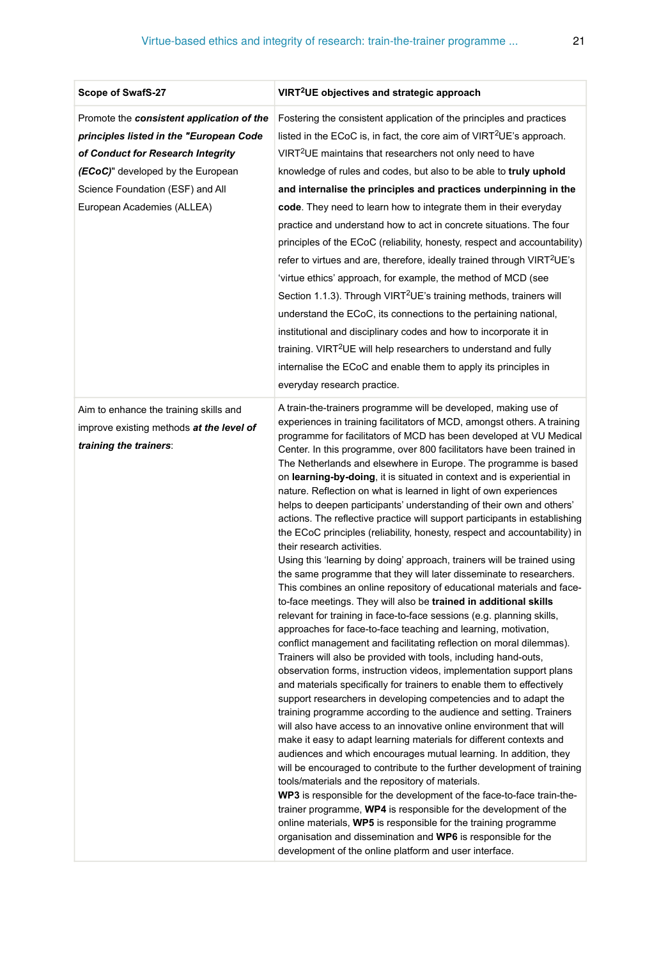| Scope of SwafS-27                                                                                                                                                                                                                | VIRT <sup>2</sup> UE objectives and strategic approach                                                                                                                                                                                                                                                                                                                                                                                                                                                                                                                                                                                                                                                                                                                                                                                                                                                                                                                                                                                                                                                                                                                                                                                                                                                                                                                                                                                                                                                                                                                                                                                                                                                                                                                                                                                                                                                                                                                                                                                                                                                                                                                                                                                                                                                                                                 |  |  |
|----------------------------------------------------------------------------------------------------------------------------------------------------------------------------------------------------------------------------------|--------------------------------------------------------------------------------------------------------------------------------------------------------------------------------------------------------------------------------------------------------------------------------------------------------------------------------------------------------------------------------------------------------------------------------------------------------------------------------------------------------------------------------------------------------------------------------------------------------------------------------------------------------------------------------------------------------------------------------------------------------------------------------------------------------------------------------------------------------------------------------------------------------------------------------------------------------------------------------------------------------------------------------------------------------------------------------------------------------------------------------------------------------------------------------------------------------------------------------------------------------------------------------------------------------------------------------------------------------------------------------------------------------------------------------------------------------------------------------------------------------------------------------------------------------------------------------------------------------------------------------------------------------------------------------------------------------------------------------------------------------------------------------------------------------------------------------------------------------------------------------------------------------------------------------------------------------------------------------------------------------------------------------------------------------------------------------------------------------------------------------------------------------------------------------------------------------------------------------------------------------------------------------------------------------------------------------------------------------|--|--|
| Promote the consistent application of the<br>principles listed in the "European Code<br>of Conduct for Research Integrity<br>(ECoC)" developed by the European<br>Science Foundation (ESF) and All<br>European Academies (ALLEA) | Fostering the consistent application of the principles and practices<br>listed in the ECoC is, in fact, the core aim of $VIRT^2UE$ 's approach.<br>VIRT <sup>2</sup> UE maintains that researchers not only need to have<br>knowledge of rules and codes, but also to be able to truly uphold<br>and internalise the principles and practices underpinning in the<br>code. They need to learn how to integrate them in their everyday<br>practice and understand how to act in concrete situations. The four<br>principles of the ECoC (reliability, honesty, respect and accountability)<br>refer to virtues and are, therefore, ideally trained through VIRT <sup>2</sup> UE's<br>'virtue ethics' approach, for example, the method of MCD (see<br>Section 1.1.3). Through VIRT <sup>2</sup> UE's training methods, trainers will<br>understand the ECoC, its connections to the pertaining national,<br>institutional and disciplinary codes and how to incorporate it in<br>training. VIRT <sup>2</sup> UE will help researchers to understand and fully<br>internalise the ECoC and enable them to apply its principles in<br>everyday research practice.                                                                                                                                                                                                                                                                                                                                                                                                                                                                                                                                                                                                                                                                                                                                                                                                                                                                                                                                                                                                                                                                                                                                                                                         |  |  |
| Aim to enhance the training skills and<br>improve existing methods at the level of<br>training the trainers:                                                                                                                     | A train-the-trainers programme will be developed, making use of<br>experiences in training facilitators of MCD, amongst others. A training<br>programme for facilitators of MCD has been developed at VU Medical<br>Center. In this programme, over 800 facilitators have been trained in<br>The Netherlands and elsewhere in Europe. The programme is based<br>on learning-by-doing, it is situated in context and is experiential in<br>nature. Reflection on what is learned in light of own experiences<br>helps to deepen participants' understanding of their own and others'<br>actions. The reflective practice will support participants in establishing<br>the ECoC principles (reliability, honesty, respect and accountability) in<br>their research activities.<br>Using this 'learning by doing' approach, trainers will be trained using<br>the same programme that they will later disseminate to researchers.<br>This combines an online repository of educational materials and face-<br>to-face meetings. They will also be trained in additional skills<br>relevant for training in face-to-face sessions (e.g. planning skills,<br>approaches for face-to-face teaching and learning, motivation,<br>conflict management and facilitating reflection on moral dilemmas).<br>Trainers will also be provided with tools, including hand-outs,<br>observation forms, instruction videos, implementation support plans<br>and materials specifically for trainers to enable them to effectively<br>support researchers in developing competencies and to adapt the<br>training programme according to the audience and setting. Trainers<br>will also have access to an innovative online environment that will<br>make it easy to adapt learning materials for different contexts and<br>audiences and which encourages mutual learning. In addition, they<br>will be encouraged to contribute to the further development of training<br>tools/materials and the repository of materials.<br>WP3 is responsible for the development of the face-to-face train-the-<br>trainer programme, WP4 is responsible for the development of the<br>online materials, WP5 is responsible for the training programme<br>organisation and dissemination and WP6 is responsible for the<br>development of the online platform and user interface. |  |  |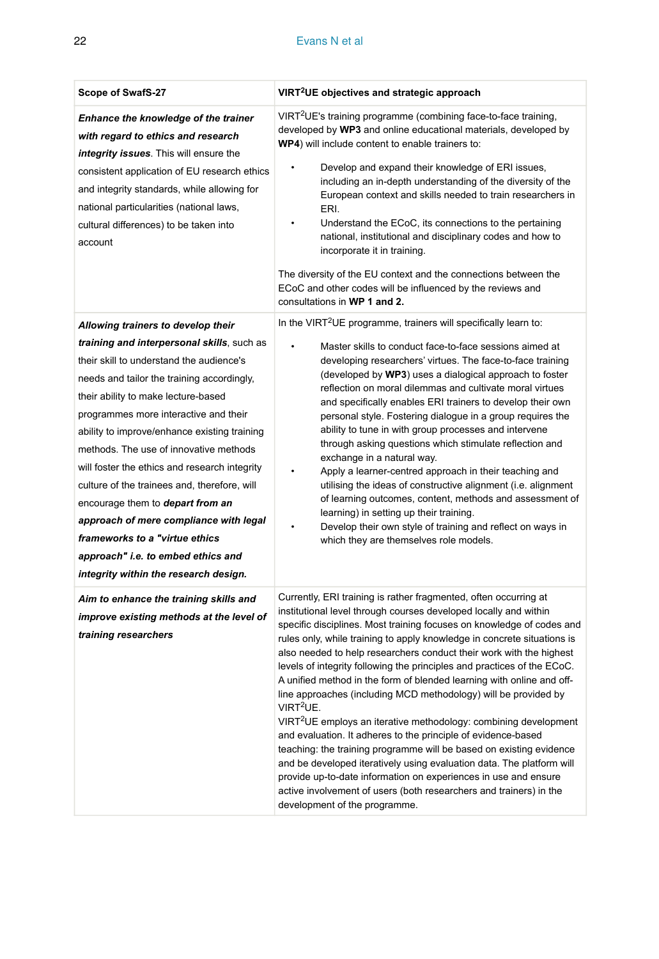#### 22 Evans N et al

| Scope of SwafS-27                                                                                                                                                                                                                                                                                                                                                                                                                                                                                                                                                                                              | VIRT <sup>2</sup> UE objectives and strategic approach                                                                                                                                                                                                                                                                                                                                                                                                                                                                                                                                                                                                                                                                                                                                                                                                                                                                                                                                                                                                                                     |  |  |
|----------------------------------------------------------------------------------------------------------------------------------------------------------------------------------------------------------------------------------------------------------------------------------------------------------------------------------------------------------------------------------------------------------------------------------------------------------------------------------------------------------------------------------------------------------------------------------------------------------------|--------------------------------------------------------------------------------------------------------------------------------------------------------------------------------------------------------------------------------------------------------------------------------------------------------------------------------------------------------------------------------------------------------------------------------------------------------------------------------------------------------------------------------------------------------------------------------------------------------------------------------------------------------------------------------------------------------------------------------------------------------------------------------------------------------------------------------------------------------------------------------------------------------------------------------------------------------------------------------------------------------------------------------------------------------------------------------------------|--|--|
| Enhance the knowledge of the trainer<br>with regard to ethics and research<br>integrity issues. This will ensure the<br>consistent application of EU research ethics<br>and integrity standards, while allowing for<br>national particularities (national laws,<br>cultural differences) to be taken into<br>account                                                                                                                                                                                                                                                                                           | VIRT <sup>2</sup> UE's training programme (combining face-to-face training,<br>developed by WP3 and online educational materials, developed by<br>WP4) will include content to enable trainers to:<br>Develop and expand their knowledge of ERI issues,<br>$\bullet$<br>including an in-depth understanding of the diversity of the<br>European context and skills needed to train researchers in<br>ERI.<br>Understand the ECoC, its connections to the pertaining<br>national, institutional and disciplinary codes and how to<br>incorporate it in training.<br>The diversity of the EU context and the connections between the<br>ECoC and other codes will be influenced by the reviews and<br>consultations in WP 1 and 2.                                                                                                                                                                                                                                                                                                                                                           |  |  |
| Allowing trainers to develop their                                                                                                                                                                                                                                                                                                                                                                                                                                                                                                                                                                             | In the VIRT <sup>2</sup> UE programme, trainers will specifically learn to:                                                                                                                                                                                                                                                                                                                                                                                                                                                                                                                                                                                                                                                                                                                                                                                                                                                                                                                                                                                                                |  |  |
| training and interpersonal skills, such as<br>their skill to understand the audience's<br>needs and tailor the training accordingly,<br>their ability to make lecture-based<br>programmes more interactive and their<br>ability to improve/enhance existing training<br>methods. The use of innovative methods<br>will foster the ethics and research integrity<br>culture of the trainees and, therefore, will<br>encourage them to depart from an<br>approach of mere compliance with legal<br>frameworks to a "virtue ethics<br>approach" i.e. to embed ethics and<br>integrity within the research design. | Master skills to conduct face-to-face sessions aimed at<br>developing researchers' virtues. The face-to-face training<br>(developed by WP3) uses a dialogical approach to foster<br>reflection on moral dilemmas and cultivate moral virtues<br>and specifically enables ERI trainers to develop their own<br>personal style. Fostering dialogue in a group requires the<br>ability to tune in with group processes and intervene<br>through asking questions which stimulate reflection and<br>exchange in a natural way.<br>Apply a learner-centred approach in their teaching and<br>utilising the ideas of constructive alignment (i.e. alignment<br>of learning outcomes, content, methods and assessment of<br>learning) in setting up their training.<br>Develop their own style of training and reflect on ways in<br>which they are themselves role models.                                                                                                                                                                                                                       |  |  |
| Aim to enhance the training skills and<br>improve existing methods at the level of<br>training researchers                                                                                                                                                                                                                                                                                                                                                                                                                                                                                                     | Currently, ERI training is rather fragmented, often occurring at<br>institutional level through courses developed locally and within<br>specific disciplines. Most training focuses on knowledge of codes and<br>rules only, while training to apply knowledge in concrete situations is<br>also needed to help researchers conduct their work with the highest<br>levels of integrity following the principles and practices of the ECoC.<br>A unified method in the form of blended learning with online and off-<br>line approaches (including MCD methodology) will be provided by<br>VIRT <sup>2</sup> UE.<br>VIRT <sup>2</sup> UE employs an iterative methodology: combining development<br>and evaluation. It adheres to the principle of evidence-based<br>teaching: the training programme will be based on existing evidence<br>and be developed iteratively using evaluation data. The platform will<br>provide up-to-date information on experiences in use and ensure<br>active involvement of users (both researchers and trainers) in the<br>development of the programme. |  |  |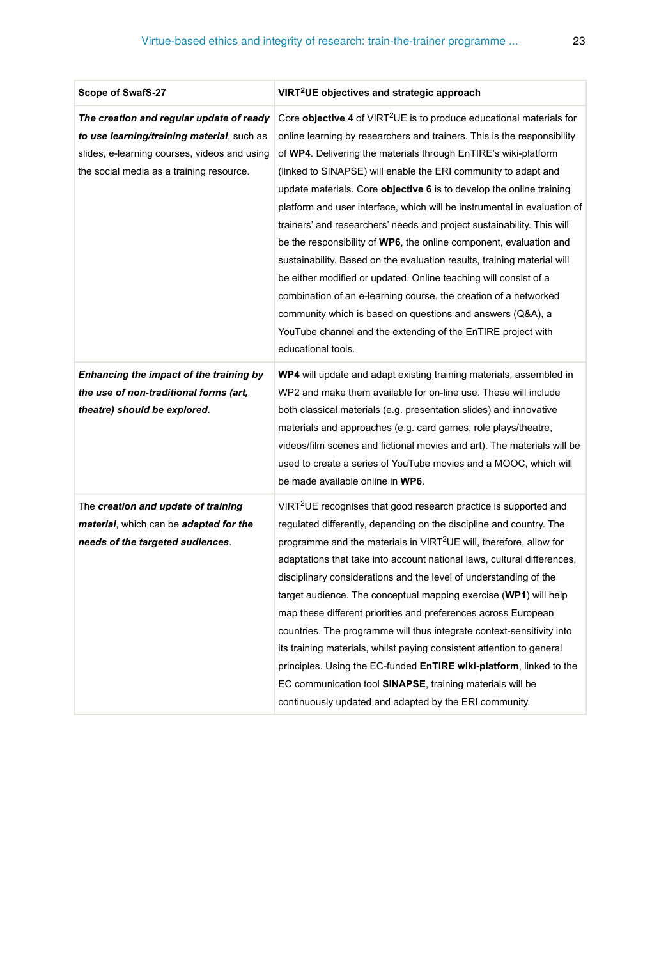| Scope of SwafS-27                                                                                                                                                                  | VIRT <sup>2</sup> UE objectives and strategic approach                                                                                                                                                                                                                                                                                                                                                                                                                                                                                                                                                                                                                                                                                                                                                                                                                                                                                                                      |
|------------------------------------------------------------------------------------------------------------------------------------------------------------------------------------|-----------------------------------------------------------------------------------------------------------------------------------------------------------------------------------------------------------------------------------------------------------------------------------------------------------------------------------------------------------------------------------------------------------------------------------------------------------------------------------------------------------------------------------------------------------------------------------------------------------------------------------------------------------------------------------------------------------------------------------------------------------------------------------------------------------------------------------------------------------------------------------------------------------------------------------------------------------------------------|
| The creation and regular update of ready<br>to use learning/training material, such as<br>slides, e-learning courses, videos and using<br>the social media as a training resource. | Core objective 4 of VIRT <sup>2</sup> UE is to produce educational materials for<br>online learning by researchers and trainers. This is the responsibility<br>of WP4. Delivering the materials through EnTIRE's wiki-platform<br>(linked to SINAPSE) will enable the ERI community to adapt and<br>update materials. Core objective 6 is to develop the online training<br>platform and user interface, which will be instrumental in evaluation of<br>trainers' and researchers' needs and project sustainability. This will<br>be the responsibility of WP6, the online component, evaluation and<br>sustainability. Based on the evaluation results, training material will<br>be either modified or updated. Online teaching will consist of a<br>combination of an e-learning course, the creation of a networked<br>community which is based on questions and answers (Q&A), a<br>YouTube channel and the extending of the EnTIRE project with<br>educational tools. |
| Enhancing the impact of the training by<br>the use of non-traditional forms (art,<br>theatre) should be explored.                                                                  | WP4 will update and adapt existing training materials, assembled in<br>WP2 and make them available for on-line use. These will include<br>both classical materials (e.g. presentation slides) and innovative<br>materials and approaches (e.g. card games, role plays/theatre,<br>videos/film scenes and fictional movies and art). The materials will be<br>used to create a series of YouTube movies and a MOOC, which will<br>be made available online in WP6.                                                                                                                                                                                                                                                                                                                                                                                                                                                                                                           |
| The creation and update of training<br>material, which can be adapted for the<br>needs of the targeted audiences.                                                                  | VIRT <sup>2</sup> UE recognises that good research practice is supported and<br>regulated differently, depending on the discipline and country. The<br>programme and the materials in VIRT <sup>2</sup> UE will, therefore, allow for<br>adaptations that take into account national laws, cultural differences,<br>disciplinary considerations and the level of understanding of the<br>target audience. The conceptual mapping exercise (WP1) will help<br>map these different priorities and preferences across European<br>countries. The programme will thus integrate context-sensitivity into<br>its training materials, whilst paying consistent attention to general<br>principles. Using the EC-funded EnTIRE wiki-platform, linked to the<br>EC communication tool SINAPSE, training materials will be<br>continuously updated and adapted by the ERI community.                                                                                                 |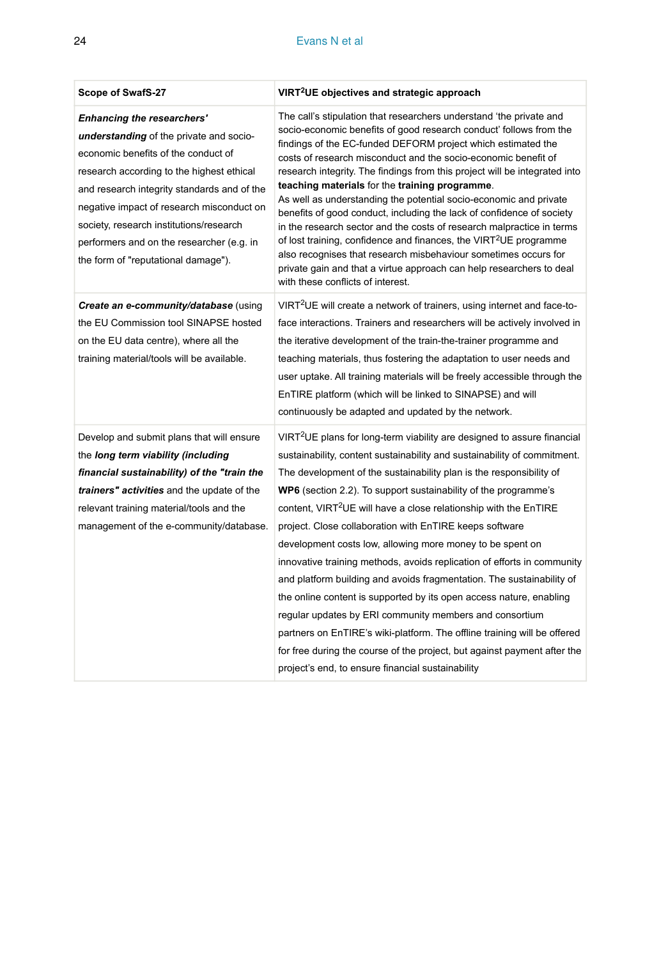#### 24 Evans N et al

| <b>Scope of SwafS-27</b>                                                                                                                                                                                                                                                                                                                                                                    | VIRT <sup>2</sup> UE objectives and strategic approach                                                                                                                                                                                                                                                                                                                                                                                                                                                                                                                                                                                                                                                                                                                                                                                                                                                                                                                                                               |  |  |
|---------------------------------------------------------------------------------------------------------------------------------------------------------------------------------------------------------------------------------------------------------------------------------------------------------------------------------------------------------------------------------------------|----------------------------------------------------------------------------------------------------------------------------------------------------------------------------------------------------------------------------------------------------------------------------------------------------------------------------------------------------------------------------------------------------------------------------------------------------------------------------------------------------------------------------------------------------------------------------------------------------------------------------------------------------------------------------------------------------------------------------------------------------------------------------------------------------------------------------------------------------------------------------------------------------------------------------------------------------------------------------------------------------------------------|--|--|
| <b>Enhancing the researchers'</b><br>understanding of the private and socio-<br>economic benefits of the conduct of<br>research according to the highest ethical<br>and research integrity standards and of the<br>negative impact of research misconduct on<br>society, research institutions/research<br>performers and on the researcher (e.g. in<br>the form of "reputational damage"). | The call's stipulation that researchers understand 'the private and<br>socio-economic benefits of good research conduct' follows from the<br>findings of the EC-funded DEFORM project which estimated the<br>costs of research misconduct and the socio-economic benefit of<br>research integrity. The findings from this project will be integrated into<br>teaching materials for the training programme.<br>As well as understanding the potential socio-economic and private<br>benefits of good conduct, including the lack of confidence of society<br>in the research sector and the costs of research malpractice in terms<br>of lost training, confidence and finances, the VIRT <sup>2</sup> UE programme<br>also recognises that research misbehaviour sometimes occurs for<br>private gain and that a virtue approach can help researchers to deal<br>with these conflicts of interest.                                                                                                                  |  |  |
| Create an e-community/database (using<br>the EU Commission tool SINAPSE hosted<br>on the EU data centre), where all the<br>training material/tools will be available.                                                                                                                                                                                                                       | VIRT <sup>2</sup> UE will create a network of trainers, using internet and face-to-<br>face interactions. Trainers and researchers will be actively involved in<br>the iterative development of the train-the-trainer programme and<br>teaching materials, thus fostering the adaptation to user needs and<br>user uptake. All training materials will be freely accessible through the<br>EnTIRE platform (which will be linked to SINAPSE) and will<br>continuously be adapted and updated by the network.                                                                                                                                                                                                                                                                                                                                                                                                                                                                                                         |  |  |
| Develop and submit plans that will ensure<br>the long term viability (including<br>financial sustainability) of the "train the<br>trainers" activities and the update of the<br>relevant training material/tools and the<br>management of the e-community/database.                                                                                                                         | VIRT <sup>2</sup> UE plans for long-term viability are designed to assure financial<br>sustainability, content sustainability and sustainability of commitment.<br>The development of the sustainability plan is the responsibility of<br>WP6 (section 2.2). To support sustainability of the programme's<br>content, VIRT <sup>2</sup> UE will have a close relationship with the EnTIRE<br>project. Close collaboration with EnTIRE keeps software<br>development costs low, allowing more money to be spent on<br>innovative training methods, avoids replication of efforts in community<br>and platform building and avoids fragmentation. The sustainability of<br>the online content is supported by its open access nature, enabling<br>regular updates by ERI community members and consortium<br>partners on EnTIRE's wiki-platform. The offline training will be offered<br>for free during the course of the project, but against payment after the<br>project's end, to ensure financial sustainability |  |  |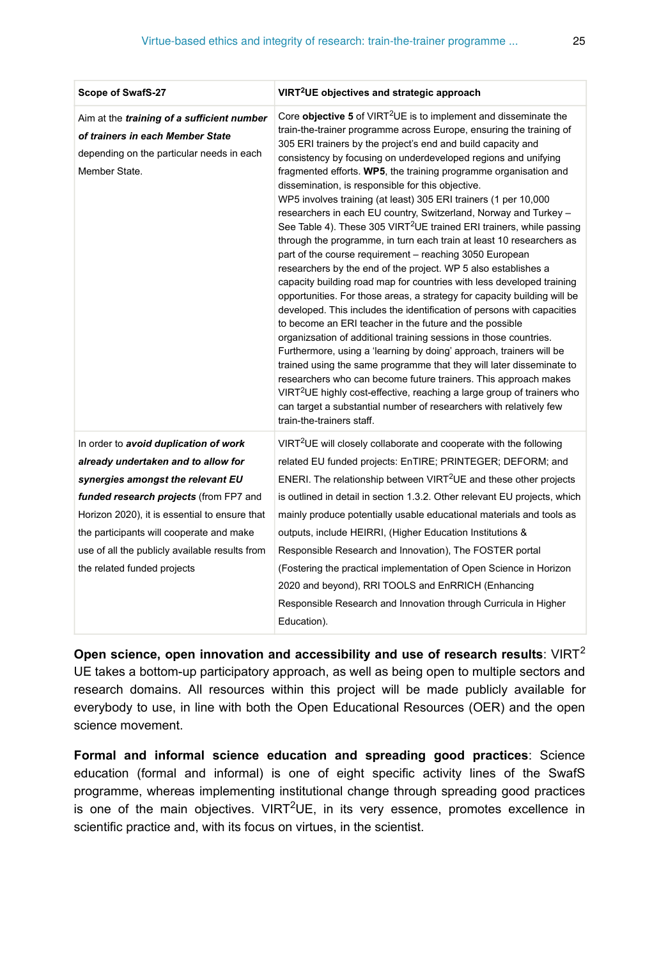| Scope of SwafS-27                                                                                                                            | VIRT <sup>2</sup> UE objectives and strategic approach                                                                                                                                                                                                                                                                                                                                                                                                                                                                                                                                                                                                                                                                                                                                                                                                                                                                                                                                                                                                                                                                                                                                                                                                                                                                                                                                                                                                                                                                                                                                      |  |  |
|----------------------------------------------------------------------------------------------------------------------------------------------|---------------------------------------------------------------------------------------------------------------------------------------------------------------------------------------------------------------------------------------------------------------------------------------------------------------------------------------------------------------------------------------------------------------------------------------------------------------------------------------------------------------------------------------------------------------------------------------------------------------------------------------------------------------------------------------------------------------------------------------------------------------------------------------------------------------------------------------------------------------------------------------------------------------------------------------------------------------------------------------------------------------------------------------------------------------------------------------------------------------------------------------------------------------------------------------------------------------------------------------------------------------------------------------------------------------------------------------------------------------------------------------------------------------------------------------------------------------------------------------------------------------------------------------------------------------------------------------------|--|--|
| Aim at the training of a sufficient number<br>of trainers in each Member State<br>depending on the particular needs in each<br>Member State. | Core objective 5 of VIRT <sup>2</sup> UE is to implement and disseminate the<br>train-the-trainer programme across Europe, ensuring the training of<br>305 ERI trainers by the project's end and build capacity and<br>consistency by focusing on underdeveloped regions and unifying<br>fragmented efforts. WP5, the training programme organisation and<br>dissemination, is responsible for this objective.<br>WP5 involves training (at least) 305 ERI trainers (1 per 10,000<br>researchers in each EU country, Switzerland, Norway and Turkey -<br>See Table 4). These 305 VIRT <sup>2</sup> UE trained ERI trainers, while passing<br>through the programme, in turn each train at least 10 researchers as<br>part of the course requirement - reaching 3050 European<br>researchers by the end of the project. WP 5 also establishes a<br>capacity building road map for countries with less developed training<br>opportunities. For those areas, a strategy for capacity building will be<br>developed. This includes the identification of persons with capacities<br>to become an ERI teacher in the future and the possible<br>organizsation of additional training sessions in those countries.<br>Furthermore, using a 'learning by doing' approach, trainers will be<br>trained using the same programme that they will later disseminate to<br>researchers who can become future trainers. This approach makes<br>VIRT <sup>2</sup> UE highly cost-effective, reaching a large group of trainers who<br>can target a substantial number of researchers with relatively few |  |  |
| In order to avoid duplication of work                                                                                                        | VIRT <sup>2</sup> UE will closely collaborate and cooperate with the following                                                                                                                                                                                                                                                                                                                                                                                                                                                                                                                                                                                                                                                                                                                                                                                                                                                                                                                                                                                                                                                                                                                                                                                                                                                                                                                                                                                                                                                                                                              |  |  |
| already undertaken and to allow for                                                                                                          | related EU funded projects: EnTIRE; PRINTEGER; DEFORM; and                                                                                                                                                                                                                                                                                                                                                                                                                                                                                                                                                                                                                                                                                                                                                                                                                                                                                                                                                                                                                                                                                                                                                                                                                                                                                                                                                                                                                                                                                                                                  |  |  |
| synergies amongst the relevant EU                                                                                                            | ENERI. The relationship between VIRT <sup>2</sup> UE and these other projects                                                                                                                                                                                                                                                                                                                                                                                                                                                                                                                                                                                                                                                                                                                                                                                                                                                                                                                                                                                                                                                                                                                                                                                                                                                                                                                                                                                                                                                                                                               |  |  |
| funded research projects (from FP7 and                                                                                                       | is outlined in detail in section 1.3.2. Other relevant EU projects, which                                                                                                                                                                                                                                                                                                                                                                                                                                                                                                                                                                                                                                                                                                                                                                                                                                                                                                                                                                                                                                                                                                                                                                                                                                                                                                                                                                                                                                                                                                                   |  |  |
| Horizon 2020), it is essential to ensure that                                                                                                | mainly produce potentially usable educational materials and tools as                                                                                                                                                                                                                                                                                                                                                                                                                                                                                                                                                                                                                                                                                                                                                                                                                                                                                                                                                                                                                                                                                                                                                                                                                                                                                                                                                                                                                                                                                                                        |  |  |
| the participants will cooperate and make                                                                                                     | outputs, include HEIRRI, (Higher Education Institutions &                                                                                                                                                                                                                                                                                                                                                                                                                                                                                                                                                                                                                                                                                                                                                                                                                                                                                                                                                                                                                                                                                                                                                                                                                                                                                                                                                                                                                                                                                                                                   |  |  |
| use of all the publicly available results from                                                                                               | Responsible Research and Innovation), The FOSTER portal                                                                                                                                                                                                                                                                                                                                                                                                                                                                                                                                                                                                                                                                                                                                                                                                                                                                                                                                                                                                                                                                                                                                                                                                                                                                                                                                                                                                                                                                                                                                     |  |  |
| the related funded projects                                                                                                                  | (Fostering the practical implementation of Open Science in Horizon                                                                                                                                                                                                                                                                                                                                                                                                                                                                                                                                                                                                                                                                                                                                                                                                                                                                                                                                                                                                                                                                                                                                                                                                                                                                                                                                                                                                                                                                                                                          |  |  |
|                                                                                                                                              | 2020 and beyond), RRI TOOLS and EnRRICH (Enhancing                                                                                                                                                                                                                                                                                                                                                                                                                                                                                                                                                                                                                                                                                                                                                                                                                                                                                                                                                                                                                                                                                                                                                                                                                                                                                                                                                                                                                                                                                                                                          |  |  |
|                                                                                                                                              | Responsible Research and Innovation through Curricula in Higher                                                                                                                                                                                                                                                                                                                                                                                                                                                                                                                                                                                                                                                                                                                                                                                                                                                                                                                                                                                                                                                                                                                                                                                                                                                                                                                                                                                                                                                                                                                             |  |  |
|                                                                                                                                              | Education).                                                                                                                                                                                                                                                                                                                                                                                                                                                                                                                                                                                                                                                                                                                                                                                                                                                                                                                                                                                                                                                                                                                                                                                                                                                                                                                                                                                                                                                                                                                                                                                 |  |  |

**Open science, open innovation and accessibility and use of research results: VIRT<sup>2</sup>** UE takes a bottom-up participatory approach, as well as being open to multiple sectors and research domains. All resources within this project will be made publicly available for everybody to use, in line with both the Open Educational Resources (OER) and the open science movement.

**Formal and informal science education and spreading good practices**: Science education (formal and informal) is one of eight specific activity lines of the SwafS programme, whereas implementing institutional change through spreading good practices is one of the main objectives. VIRT<sup>2</sup>UE, in its very essence, promotes excellence in scientific practice and, with its focus on virtues, in the scientist.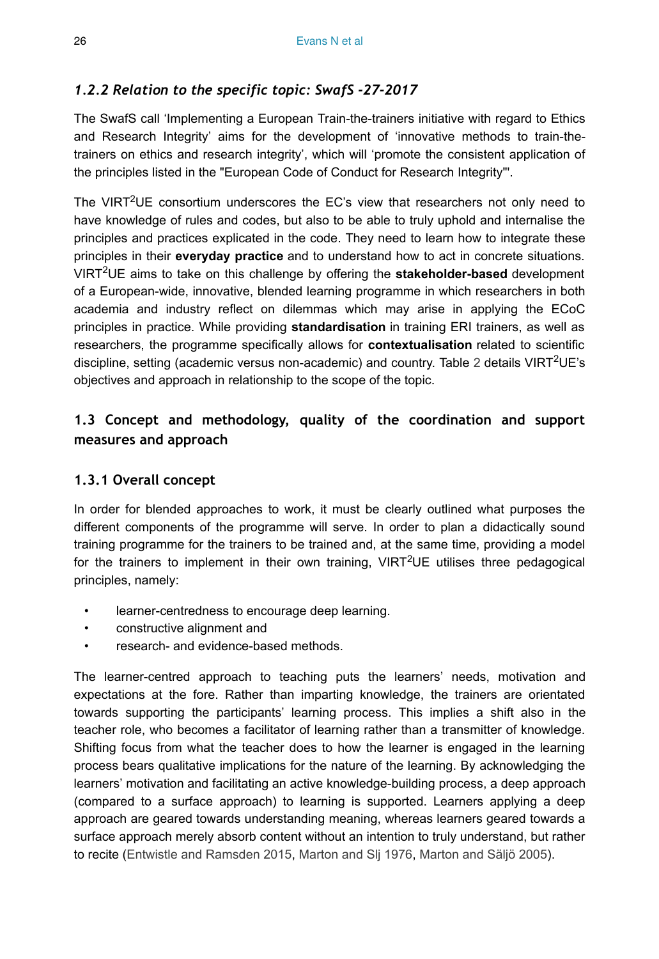## *1.2.2 Relation to the specific topic: SwafS -27-2017*

The SwafS call 'Implementing a European Train-the-trainers initiative with regard to Ethics and Research Integrity' aims for the development of 'innovative methods to train-thetrainers on ethics and research integrity', which will 'promote the consistent application of the principles listed in the "European Code of Conduct for Research Integrity"'.

The VIRT<sup>2</sup>UE consortium underscores the EC's view that researchers not only need to have knowledge of rules and codes, but also to be able to truly uphold and internalise the principles and practices explicated in the code. They need to learn how to integrate these principles in their **everyday practice** and to understand how to act in concrete situations. VIRT<sup>2</sup>UE aims to take on this challenge by offering the **stakeholder-based** development of a European-wide, innovative, blended learning programme in which researchers in both academia and industry reflect on dilemmas which may arise in applying the ECoC principles in practice. While providing **standardisation** in training ERI trainers, as well as researchers, the programme specifically allows for **contextualisation** related to scientific discipline, setting (academic versus non-academic) and country. Table [2](#page-19-0) details VIRT<sup>2</sup>UE's objectives and approach in relationship to the scope of the topic.

## **1.3 Concept and methodology, quality of the coordination and support measures and approach**

## **1.3.1 Overall concept**

In order for blended approaches to work, it must be clearly outlined what purposes the different components of the programme will serve. In order to plan a didactically sound training programme for the trainers to be trained and, at the same time, providing a model for the trainers to implement in their own training,  $VIRT^2UE$  utilises three pedagogical principles, namely:

- learner-centredness to encourage deep learning.
- constructive alignment and
- research- and evidence-based methods.

The learner-centred approach to teaching puts the learners' needs, motivation and expectations at the fore. Rather than imparting knowledge, the trainers are orientated towards supporting the participants' learning process. This implies a shift also in the teacher role, who becomes a facilitator of learning rather than a transmitter of knowledge. Shifting focus from what the teacher does to how the learner is engaged in the learning process bears qualitative implications for the nature of the learning. By acknowledging the learners' motivation and facilitating an active knowledge-building process, a deep approach (compared to a surface approach) to learning is supported. Learners applying a deep approach are geared towards understanding meaning, whereas learners geared towards a surface approach merely absorb content without an intention to truly understand, but rather to recite ([Entwistle and Ramsden 2015](#page-77-9), [Marton and Slj 1976,](#page-79-11) [Marton and Säljö 2005](#page-79-12)).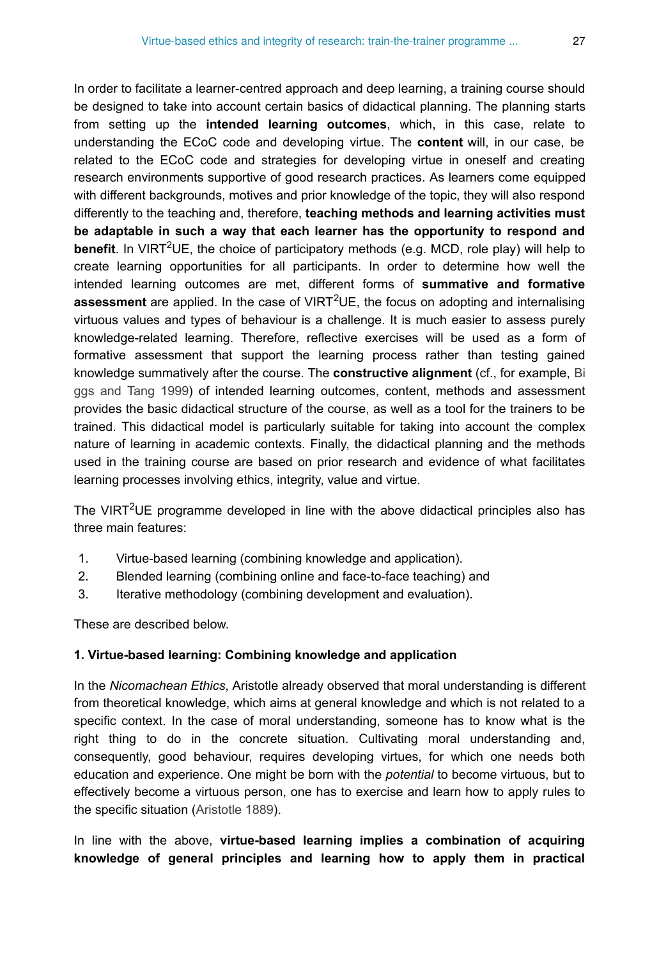In order to facilitate a learner-centred approach and deep learning, a training course should be designed to take into account certain basics of didactical planning. The planning starts from setting up the **intended learning outcomes**, which, in this case, relate to understanding the ECoC code and developing virtue. The **content** will, in our case, be related to the ECoC code and strategies for developing virtue in oneself and creating research environments supportive of good research practices. As learners come equipped with different backgrounds, motives and prior knowledge of the topic, they will also respond differently to the teaching and, therefore, **teaching methods and learning activities must be adaptable in such a way that each learner has the opportunity to respond and** benefit. In VIRT<sup>2</sup>UE, the choice of participatory methods (e.g. MCD, role play) will help to create learning opportunities for all participants. In order to determine how well the intended learning outcomes are met, different forms of **summative and formative** assessment are applied. In the case of VIRT<sup>2</sup>UE, the focus on adopting and internalising virtuous values and types of behaviour is a challenge. It is much easier to assess purely knowledge-related learning. Therefore, reflective exercises will be used as a form of formative assessment that support the learning process rather than testing gained knowledge summatively after the course. The **constructive alignment** (cf., for example, [Bi](#page-77-10) [ggs and Tang 1999\)](#page-77-10) of intended learning outcomes, content, methods and assessment provides the basic didactical structure of the course, as well as a tool for the trainers to be trained. This didactical model is particularly suitable for taking into account the complex nature of learning in academic contexts. Finally, the didactical planning and the methods used in the training course are based on prior research and evidence of what facilitates learning processes involving ethics, integrity, value and virtue.

The VIRT<sup>2</sup>UE programme developed in line with the above didactical principles also has three main features:

- 1. Virtue-based learning (combining knowledge and application).
- 2. Blended learning (combining online and face-to-face teaching) and
- 3. Iterative methodology (combining development and evaluation).

These are described below.

#### **1. Virtue-based learning: Combining knowledge and application**

In the *Nicomachean Ethics*, Aristotle already observed that moral understanding is different from theoretical knowledge, which aims at general knowledge and which is not related to a specific context. In the case of moral understanding, someone has to know what is the right thing to do in the concrete situation. Cultivating moral understanding and, consequently, good behaviour, requires developing virtues, for which one needs both education and experience. One might be born with the *potential* to become virtuous, but to effectively become a virtuous person, one has to exercise and learn how to apply rules to the specific situation ([Aristotle 1889](#page-77-5)).

In line with the above, **virtue-based learning implies a combination of acquiring knowledge of general principles and learning how to apply them in practical**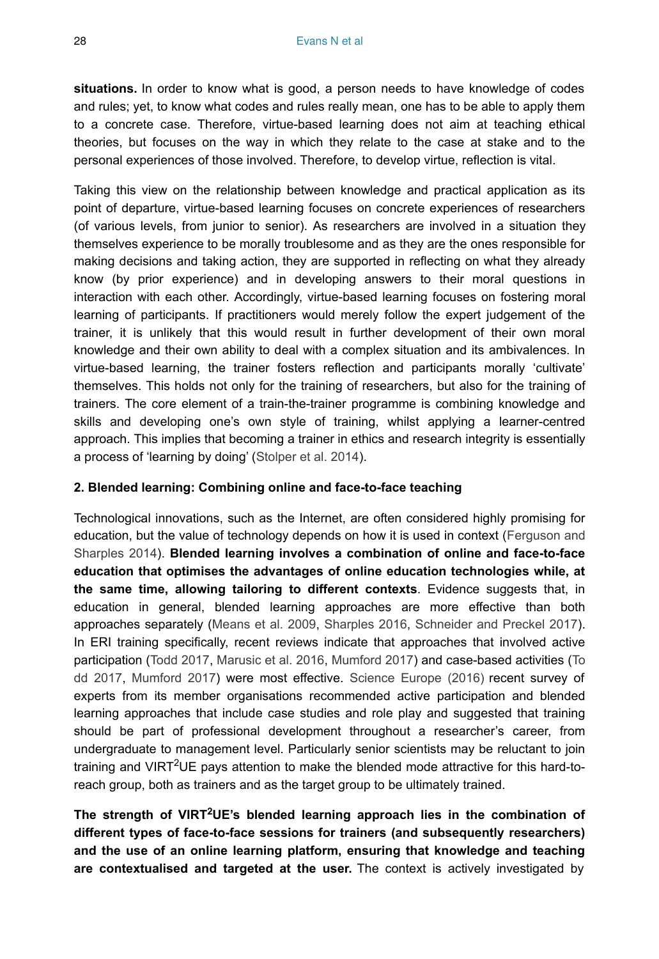**situations.** In order to know what is good, a person needs to have knowledge of codes and rules; yet, to know what codes and rules really mean, one has to be able to apply them to a concrete case. Therefore, virtue-based learning does not aim at teaching ethical theories, but focuses on the way in which they relate to the case at stake and to the personal experiences of those involved. Therefore, to develop virtue, reflection is vital.

Taking this view on the relationship between knowledge and practical application as its point of departure, virtue-based learning focuses on concrete experiences of researchers (of various levels, from junior to senior). As researchers are involved in a situation they themselves experience to be morally troublesome and as they are the ones responsible for making decisions and taking action, they are supported in reflecting on what they already know (by prior experience) and in developing answers to their moral questions in interaction with each other. Accordingly, virtue-based learning focuses on fostering moral learning of participants. If practitioners would merely follow the expert judgement of the trainer, it is unlikely that this would result in further development of their own moral knowledge and their own ability to deal with a complex situation and its ambivalences. In virtue-based learning, the trainer fosters reflection and participants morally 'cultivate' themselves. This holds not only for the training of researchers, but also for the training of trainers. The core element of a train-the-trainer programme is combining knowledge and skills and developing one's own style of training, whilst applying a learner-centred approach. This implies that becoming a trainer in ethics and research integrity is essentially a process of 'learning by doing' ([Stolper et al. 2014\)](#page-81-3).

#### **2. Blended learning: Combining online and face-to-face teaching**

Technological innovations, such as the Internet, are often considered highly promising for education, but the value of technology depends on how it is used in context ([Ferguson and](#page-78-13) [Sharples 2014\)](#page-78-13). **Blended learning involves a combination of online and face-to-face education that optimises the advantages of online education technologies while, at the same time, allowing tailoring to different contexts**. Evidence suggests that, in education in general, blended learning approaches are more effective than both approaches separately [\(Means et al. 2009](#page-79-13), [Sharples 2016,](#page-80-13) [Schneider and Preckel 2017\)](#page-80-14). In ERI training specifically, recent reviews indicate that approaches that involved active participation ([Todd 2017,](#page-81-6) [Marusic et al. 2016](#page-79-14), [Mumford 2017](#page-80-15)) and case-based activities ([To](#page-81-6) [dd 2017,](#page-81-6) [Mumford 2017](#page-80-15)) were most effective. [Science Europe \(2016\)](#page-80-16) recent survey of experts from its member organisations recommended active participation and blended learning approaches that include case studies and role play and suggested that training should be part of professional development throughout a researcher's career, from undergraduate to management level. Particularly senior scientists may be reluctant to join training and VIRT<sup>2</sup>UE pays attention to make the blended mode attractive for this hard-toreach group, both as trainers and as the target group to be ultimately trained.

The strength of VIRT<sup>2</sup>UE's blended learning approach lies in the combination of **different types of face-to-face sessions for trainers (and subsequently researchers) and the use of an online learning platform, ensuring that knowledge and teaching are contextualised and targeted at the user.** The context is actively investigated by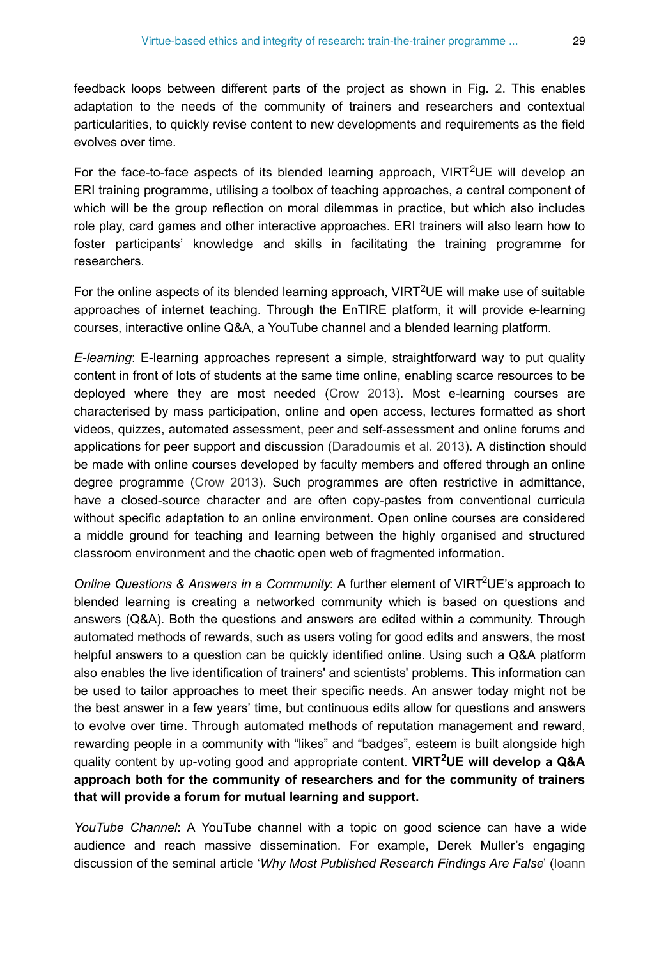feedback loops between different parts of the project as shown in Fig. [2](#page-18-0). This enables adaptation to the needs of the community of trainers and researchers and contextual particularities, to quickly revise content to new developments and requirements as the field evolves over time.

For the face-to-face aspects of its blended learning approach,  $VIRT^2UE$  will develop an ERI training programme, utilising a toolbox of teaching approaches, a central component of which will be the group reflection on moral dilemmas in practice, but which also includes role play, card games and other interactive approaches. ERI trainers will also learn how to foster participants' knowledge and skills in facilitating the training programme for researchers.

For the online aspects of its blended learning approach, VIRT<sup>2</sup>UE will make use of suitable approaches of internet teaching. Through the EnTIRE platform, it will provide e-learning courses, interactive online Q&A, a YouTube channel and a blended learning platform.

*E-learning*: E-learning approaches represent a simple, straightforward way to put quality content in front of lots of students at the same time online, enabling scarce resources to be deployed where they are most needed [\(Crow 2013\)](#page-77-11). Most e-learning courses are characterised by mass participation, online and open access, lectures formatted as short videos, quizzes, automated assessment, peer and self-assessment and online forums and applications for peer support and discussion ([Daradoumis et al. 2013\)](#page-77-12). A distinction should be made with online courses developed by faculty members and offered through an online degree programme [\(Crow 2013](#page-77-11)). Such programmes are often restrictive in admittance, have a closed-source character and are often copy-pastes from conventional curricula without specific adaptation to an online environment. Open online courses are considered a middle ground for teaching and learning between the highly organised and structured classroom environment and the chaotic open web of fragmented information.

Online Questions & Answers in a Community: A further element of VIRT<sup>2</sup>UE's approach to blended learning is creating a networked community which is based on questions and answers (Q&A). Both the questions and answers are edited within a community. Through automated methods of rewards, such as users voting for good edits and answers, the most helpful answers to a question can be quickly identified online. Using such a Q&A platform also enables the live identification of trainers' and scientists' problems. This information can be used to tailor approaches to meet their specific needs. An answer today might not be the best answer in a few years' time, but continuous edits allow for questions and answers to evolve over time. Through automated methods of reputation management and reward, rewarding people in a community with "likes" and "badges", esteem is built alongside high quality content by up-voting good and appropriate content. VIRT<sup>2</sup>UE will develop a Q&A **approach both for the community of researchers and for the community of trainers that will provide a forum for mutual learning and support.**

*YouTube Channel*: A YouTube channel with a topic on good science can have a wide audience and reach massive dissemination. For example, Derek Muller's engaging discussion of the seminal article '*Why Most Published Research Findings Are False*' ([Ioann](#page-78-14)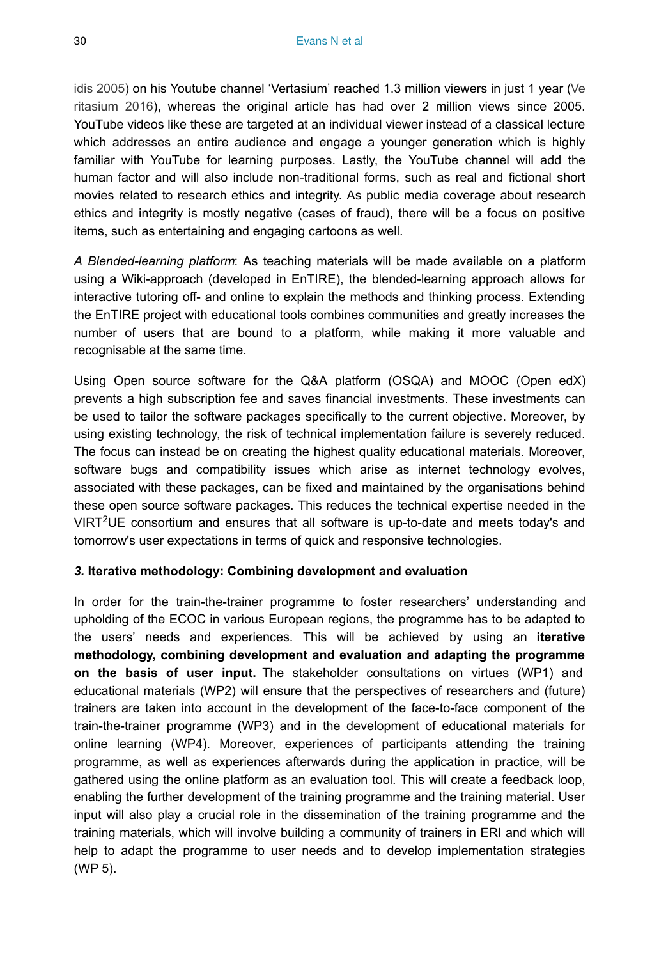[idis 2005\)](#page-78-14) on his Youtube channel 'Vertasium' reached 1.3 million viewers in just 1 year [\(Ve](#page-81-7) [ritasium 2016\)](#page-81-7), whereas the original article has had over 2 million views since 2005. YouTube videos like these are targeted at an individual viewer instead of a classical lecture which addresses an entire audience and engage a younger generation which is highly familiar with YouTube for learning purposes. Lastly, the YouTube channel will add the human factor and will also include non-traditional forms, such as real and fictional short movies related to research ethics and integrity. As public media coverage about research ethics and integrity is mostly negative (cases of fraud), there will be a focus on positive items, such as entertaining and engaging cartoons as well.

*A Blended-learning platform*: As teaching materials will be made available on a platform using a Wiki-approach (developed in EnTIRE), the blended-learning approach allows for interactive tutoring off- and online to explain the methods and thinking process. Extending the EnTIRE project with educational tools combines communities and greatly increases the number of users that are bound to a platform, while making it more valuable and recognisable at the same time.

Using Open source software for the Q&A platform (OSQA) and MOOC (Open edX) prevents a high subscription fee and saves financial investments. These investments can be used to tailor the software packages specifically to the current objective. Moreover, by using existing technology, the risk of technical implementation failure is severely reduced. The focus can instead be on creating the highest quality educational materials. Moreover, software bugs and compatibility issues which arise as internet technology evolves, associated with these packages, can be fixed and maintained by the organisations behind these open source software packages. This reduces the technical expertise needed in the VIRT<sup>2</sup>UE consortium and ensures that all software is up-to-date and meets today's and tomorrow's user expectations in terms of quick and responsive technologies.

#### *3.* **Iterative methodology: Combining development and evaluation**

In order for the train-the-trainer programme to foster researchers' understanding and upholding of the ECOC in various European regions, the programme has to be adapted to the users' needs and experiences. This will be achieved by using an **iterative methodology, combining development and evaluation and adapting the programme on the basis of user input.** The stakeholder consultations on virtues (WP1) and educational materials (WP2) will ensure that the perspectives of researchers and (future) trainers are taken into account in the development of the face-to-face component of the train-the-trainer programme (WP3) and in the development of educational materials for online learning (WP4). Moreover, experiences of participants attending the training programme, as well as experiences afterwards during the application in practice, will be gathered using the online platform as an evaluation tool. This will create a feedback loop, enabling the further development of the training programme and the training material. User input will also play a crucial role in the dissemination of the training programme and the training materials, which will involve building a community of trainers in ERI and which will help to adapt the programme to user needs and to develop implementation strategies (WP 5).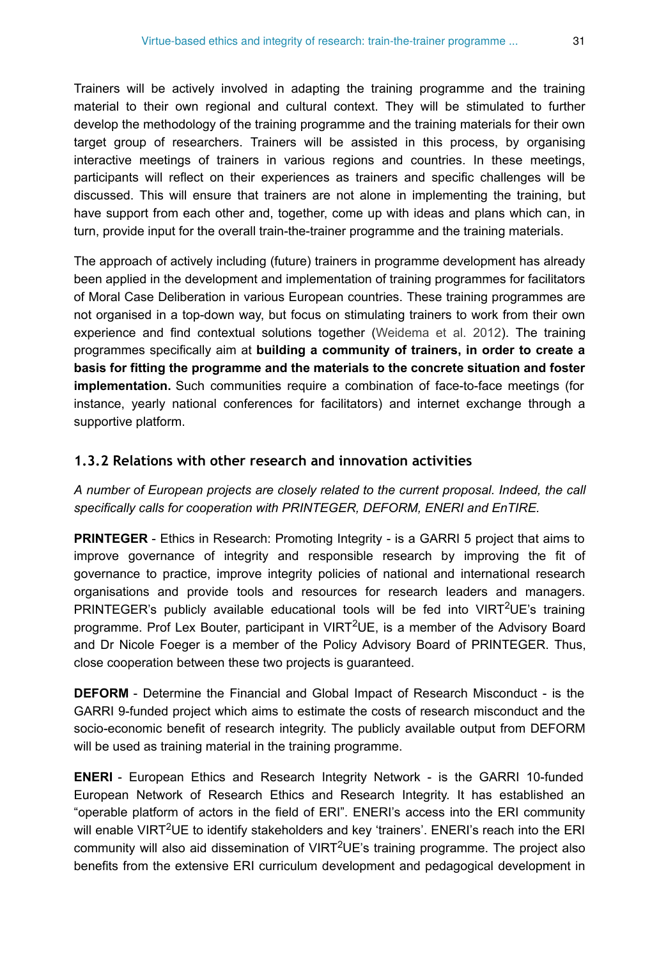Trainers will be actively involved in adapting the training programme and the training material to their own regional and cultural context. They will be stimulated to further develop the methodology of the training programme and the training materials for their own target group of researchers. Trainers will be assisted in this process, by organising interactive meetings of trainers in various regions and countries. In these meetings, participants will reflect on their experiences as trainers and specific challenges will be discussed. This will ensure that trainers are not alone in implementing the training, but have support from each other and, together, come up with ideas and plans which can, in turn, provide input for the overall train-the-trainer programme and the training materials.

The approach of actively including (future) trainers in programme development has already been applied in the development and implementation of training programmes for facilitators of Moral Case Deliberation in various European countries. These training programmes are not organised in a top-down way, but focus on stimulating trainers to work from their own experience and find contextual solutions together ([Weidema et al. 2012\)](#page-81-8). The training programmes specifically aim at **building a community of trainers, in order to create a basis for fitting the programme and the materials to the concrete situation and foster implementation.** Such communities require a combination of face-to-face meetings (for instance, yearly national conferences for facilitators) and internet exchange through a supportive platform.

### **1.3.2 Relations with other research and innovation activities**

*A number of European projects are closely related to the current proposal. Indeed, the call specifically calls for cooperation with PRINTEGER, DEFORM, ENERI and EnTIRE.*

**PRINTEGER** - Ethics in Research: Promoting Integrity - is a GARRI 5 project that aims to improve governance of integrity and responsible research by improving the fit of governance to practice, improve integrity policies of national and international research organisations and provide tools and resources for research leaders and managers. PRINTEGER's publicly available educational tools will be fed into  $VIRT^2UE$ 's training programme. Prof Lex Bouter, participant in VIRT<sup>2</sup>UE, is a member of the Advisory Board and Dr Nicole Foeger is a member of the Policy Advisory Board of PRINTEGER. Thus, close cooperation between these two projects is guaranteed.

**DEFORM** - Determine the Financial and Global Impact of Research Misconduct - is the GARRI 9-funded project which aims to estimate the costs of research misconduct and the socio-economic benefit of research integrity. The publicly available output from DEFORM will be used as training material in the training programme.

**ENERI** - European Ethics and Research Integrity Network - is the GARRI 10-funded European Network of Research Ethics and Research Integrity. It has established an "operable platform of actors in the field of ERI". ENERI's access into the ERI community will enable VIRT<sup>2</sup>UE to identify stakeholders and key 'trainers'. ENERI's reach into the ERI community will also aid dissemination of VIRT<sup>2</sup>UE's training programme. The project also benefits from the extensive ERI curriculum development and pedagogical development in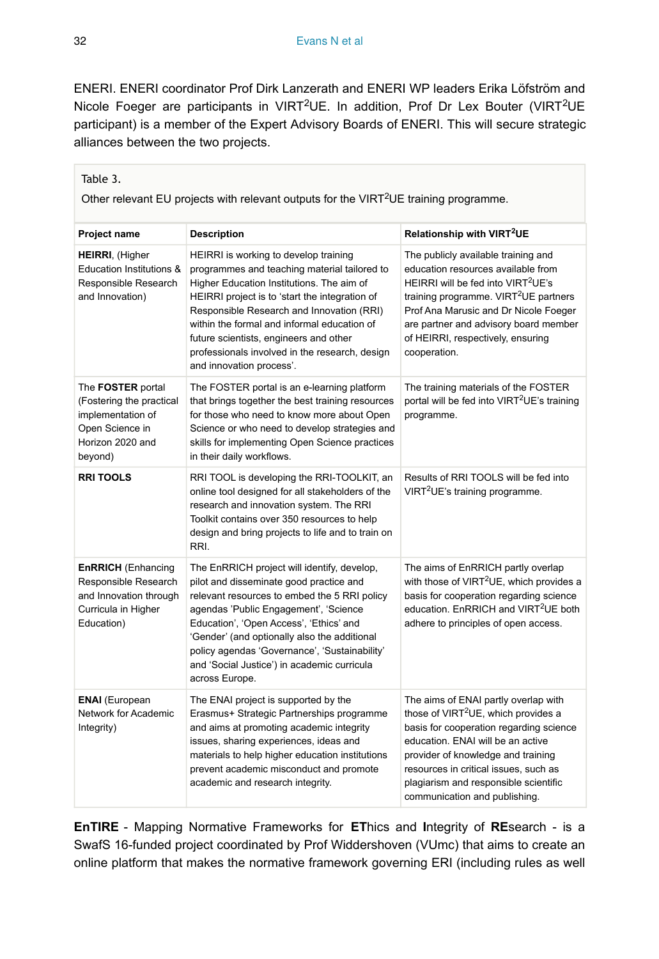ENERI. ENERI coordinator Prof Dirk Lanzerath and ENERI WP leaders Erika Löfström and Nicole Foeger are participants in VIRT<sup>2</sup>UE. In addition, Prof Dr Lex Bouter (VIRT<sup>2</sup>UE participant) is a member of the Expert Advisory Boards of ENERI. This will secure strategic alliances between the two projects.

| Other relevant EU projects with relevant outputs for the VIRT <sup>2</sup> UE training programme.                    |                                                                                                                                                                                                                                                                                                                                                                                                          |                                                                                                                                                                                                                                                                                                                                  |  |  |  |
|----------------------------------------------------------------------------------------------------------------------|----------------------------------------------------------------------------------------------------------------------------------------------------------------------------------------------------------------------------------------------------------------------------------------------------------------------------------------------------------------------------------------------------------|----------------------------------------------------------------------------------------------------------------------------------------------------------------------------------------------------------------------------------------------------------------------------------------------------------------------------------|--|--|--|
| Project name                                                                                                         | <b>Description</b>                                                                                                                                                                                                                                                                                                                                                                                       | Relationship with VIRT <sup>2</sup> UE                                                                                                                                                                                                                                                                                           |  |  |  |
| <b>HEIRRI, (Higher</b><br>Education Institutions &<br>Responsible Research<br>and Innovation)                        | HEIRRI is working to develop training<br>programmes and teaching material tailored to<br>Higher Education Institutions. The aim of<br>HEIRRI project is to 'start the integration of<br>Responsible Research and Innovation (RRI)<br>within the formal and informal education of<br>future scientists, engineers and other<br>professionals involved in the research, design<br>and innovation process'. | The publicly available training and<br>education resources available from<br>HEIRRI will be fed into VIRT <sup>2</sup> UE's<br>training programme. VIRT <sup>2</sup> UE partners<br>Prof Ana Marusic and Dr Nicole Foeger<br>are partner and advisory board member<br>of HEIRRI, respectively, ensuring<br>cooperation.          |  |  |  |
| The FOSTER portal<br>(Fostering the practical<br>implementation of<br>Open Science in<br>Horizon 2020 and<br>beyond) | The FOSTER portal is an e-learning platform<br>that brings together the best training resources<br>for those who need to know more about Open<br>Science or who need to develop strategies and<br>skills for implementing Open Science practices<br>in their daily workflows.                                                                                                                            | The training materials of the FOSTER<br>portal will be fed into VIRT <sup>2</sup> UE's training<br>programme.                                                                                                                                                                                                                    |  |  |  |
| <b>RRITOOLS</b>                                                                                                      | RRI TOOL is developing the RRI-TOOLKIT, an<br>online tool designed for all stakeholders of the<br>research and innovation system. The RRI<br>Toolkit contains over 350 resources to help<br>design and bring projects to life and to train on<br>RRI.                                                                                                                                                    | Results of RRI TOOLS will be fed into<br>VIRT <sup>2</sup> UE's training programme.                                                                                                                                                                                                                                              |  |  |  |
| <b>EnRRICH</b> (Enhancing<br>Responsible Research<br>and Innovation through<br>Curricula in Higher<br>Education)     | The EnRRICH project will identify, develop,<br>pilot and disseminate good practice and<br>relevant resources to embed the 5 RRI policy<br>agendas 'Public Engagement', 'Science<br>Education', 'Open Access', 'Ethics' and<br>'Gender' (and optionally also the additional<br>policy agendas 'Governance', 'Sustainability'<br>and 'Social Justice') in academic curricula<br>across Europe.             | The aims of EnRRICH partly overlap<br>with those of VIRT <sup>2</sup> UE, which provides a<br>basis for cooperation regarding science<br>education. EnRRICH and VIRT <sup>2</sup> UE both<br>adhere to principles of open access.                                                                                                |  |  |  |
| <b>ENAI</b> (European<br>Network for Academic<br>Integrity)                                                          | The ENAI project is supported by the<br>Erasmus+ Strategic Partnerships programme<br>and aims at promoting academic integrity<br>issues, sharing experiences, ideas and<br>materials to help higher education institutions<br>prevent academic misconduct and promote<br>academic and research integrity.                                                                                                | The aims of ENAI partly overlap with<br>those of VIRT <sup>2</sup> UE, which provides a<br>basis for cooperation regarding science<br>education. ENAI will be an active<br>provider of knowledge and training<br>resources in critical issues, such as<br>plagiarism and responsible scientific<br>communication and publishing. |  |  |  |

**EnTIRE** - Mapping Normative Frameworks for **ET**hics and **I**ntegrity of **RE**search - is a SwafS 16-funded project coordinated by Prof Widdershoven (VUmc) that aims to create an online platform that makes the normative framework governing ERI (including rules as well

<span id="page-31-0"></span>Table 3.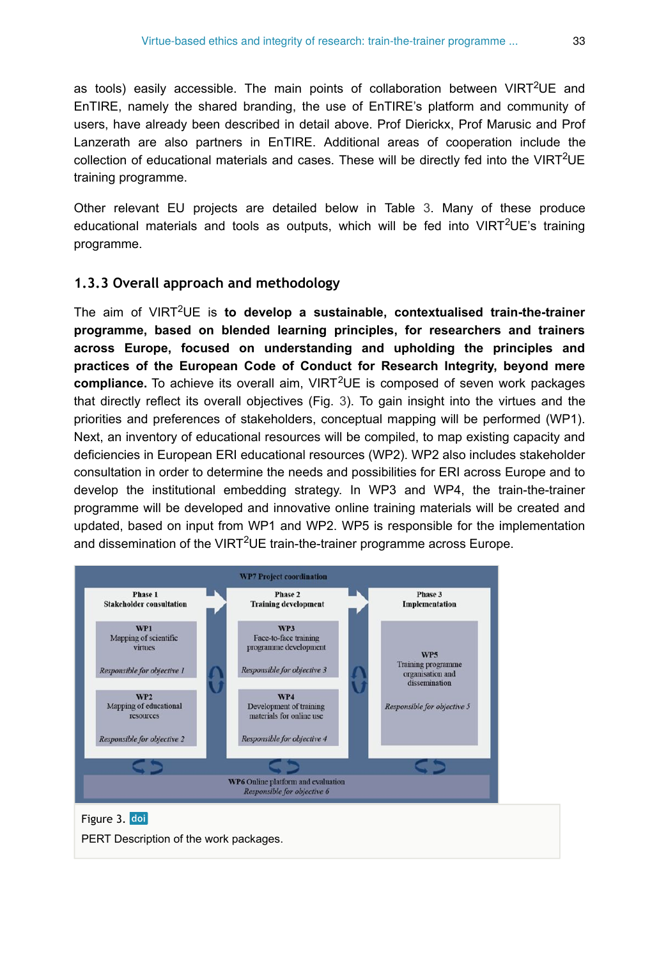as tools) easily accessible. The main points of collaboration between VIRT<sup>2</sup>UE and EnTIRE, namely the shared branding, the use of EnTIRE's platform and community of users, have already been described in detail above. Prof Dierickx, Prof Marusic and Prof Lanzerath are also partners in EnTIRE. Additional areas of cooperation include the collection of educational materials and cases. These will be directly fed into the VIRT<sup>2</sup>UE training programme.

Other relevant EU projects are detailed below in Table [3](#page-31-0). Many of these produce educational materials and tools as outputs, which will be fed into VIRT<sup>2</sup>UE's training programme.

## **1.3.3 Overall approach and methodology**

The aim of VIRT<sup>2</sup>UE is to develop a sustainable, contextualised train-the-trainer **programme, based on blended learning principles, for researchers and trainers across Europe, focused on understanding and upholding the principles and practices of the European Code of Conduct for Research Integrity, beyond mere** compliance. To achieve its overall aim, VIRT<sup>2</sup>UE is composed of seven work packages that directly reflect its overall objectives (Fig. [3\)](#page-32-0). To gain insight into the virtues and the priorities and preferences of stakeholders, conceptual mapping will be performed (WP1). Next, an inventory of educational resources will be compiled, to map existing capacity and deficiencies in European ERI educational resources (WP2). WP2 also includes stakeholder consultation in order to determine the needs and possibilities for ERI across Europe and to develop the institutional embedding strategy. In WP3 and WP4, the train-the-trainer programme will be developed and innovative online training materials will be created and updated, based on input from WP1 and WP2. WP5 is responsible for the implementation and dissemination of the VIRT<sup>2</sup>UE train-the-trainer programme across Europe.

<span id="page-32-0"></span>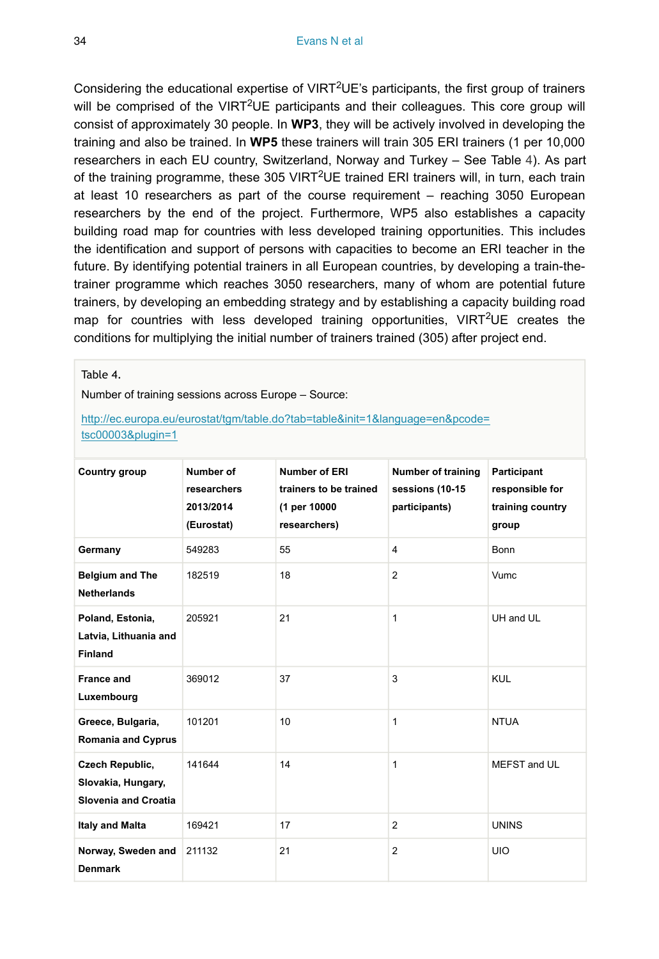Considering the educational expertise of VIRT<sup>2</sup>UE's participants, the first group of trainers will be comprised of the VIRT<sup>2</sup>UE participants and their colleagues. This core group will consist of approximately 30 people. In **WP3**, they will be actively involved in developing the training and also be trained. In **WP5** these trainers will train 305 ERI trainers (1 per 10,000 researchers in each EU country, Switzerland, Norway and Turkey – See Table [4\)](#page-33-0). As part of the training programme, these 305 VIRT<sup>2</sup>UE trained ERI trainers will, in turn, each train at least 10 researchers as part of the course requirement – reaching 3050 European researchers by the end of the project. Furthermore, WP5 also establishes a capacity building road map for countries with less developed training opportunities. This includes the identification and support of persons with capacities to become an ERI teacher in the future. By identifying potential trainers in all European countries, by developing a train-thetrainer programme which reaches 3050 researchers, many of whom are potential future trainers, by developing an embedding strategy and by establishing a capacity building road map for countries with less developed training opportunities, VIRT<sup>2</sup>UE creates the conditions for multiplying the initial number of trainers trained (305) after project end.

#### <span id="page-33-0"></span>Table 4.

Number of training sessions across Europe – Source:

#### [http://ec.europa.eu/eurostat/tgm/table.do?tab=table&init=1&language=en&pcode=](http://ec.europa.eu/eurostat/tgm/table.do?tab=table&init=1&language=en&pcode=tsc00003&plugin=1) [tsc00003&plugin=1](http://ec.europa.eu/eurostat/tgm/table.do?tab=table&init=1&language=en&pcode=tsc00003&plugin=1)

| Country group                                                               | Number of<br>researchers<br>2013/2014<br>(Eurostat) | Number of ERI<br>trainers to be trained<br>(1 per 10000<br>researchers) | <b>Number of training</b><br>sessions (10-15<br>participants) | Participant<br>responsible for<br>training country<br>group |
|-----------------------------------------------------------------------------|-----------------------------------------------------|-------------------------------------------------------------------------|---------------------------------------------------------------|-------------------------------------------------------------|
| Germany                                                                     | 549283                                              | 55                                                                      | 4                                                             | <b>Bonn</b>                                                 |
| <b>Belgium and The</b><br><b>Netherlands</b>                                | 182519                                              | 18                                                                      | 2                                                             | Vumc                                                        |
| Poland, Estonia,<br>Latvia, Lithuania and<br><b>Finland</b>                 | 205921                                              | 21                                                                      | 1                                                             | UH and UL                                                   |
| <b>France and</b><br>Luxembourg                                             | 369012                                              | 37                                                                      | 3                                                             | <b>KUL</b>                                                  |
| Greece, Bulgaria,<br><b>Romania and Cyprus</b>                              | 101201                                              | 10                                                                      | 1                                                             | <b>NTUA</b>                                                 |
| <b>Czech Republic,</b><br>Slovakia, Hungary,<br><b>Slovenia and Croatia</b> | 141644                                              | 14                                                                      | 1                                                             | MEFST and UL                                                |
| <b>Italy and Malta</b>                                                      | 169421                                              | 17                                                                      | 2                                                             | <b>UNINS</b>                                                |
| Norway, Sweden and<br><b>Denmark</b>                                        | 211132                                              | 21                                                                      | 2                                                             | <b>UIO</b>                                                  |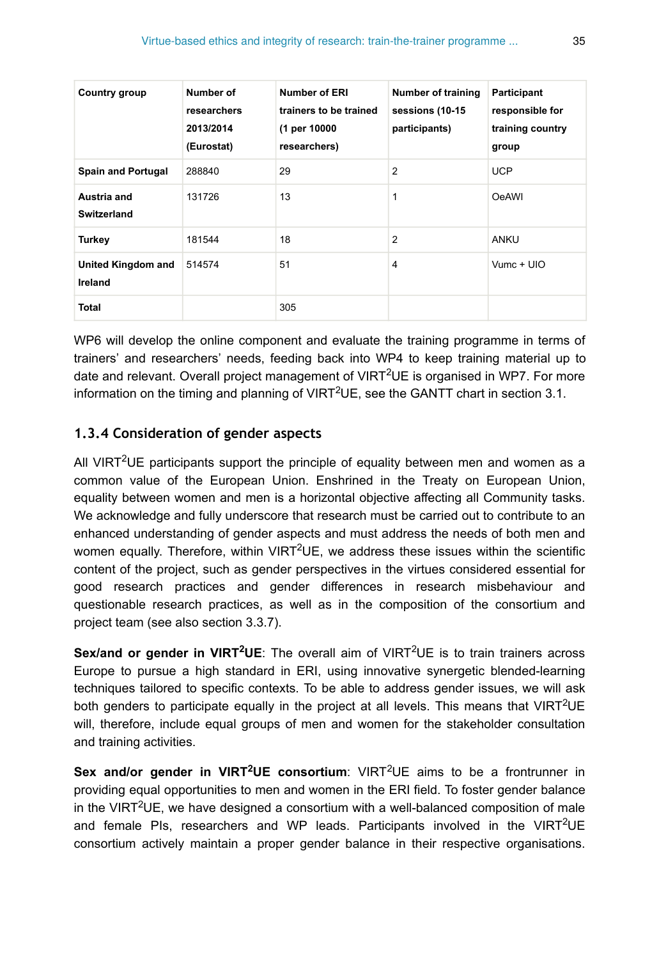| Country group                 | Number of<br>researchers<br>2013/2014<br>(Eurostat) | <b>Number of ERI</b><br>trainers to be trained<br>(1 per 10000<br>researchers) | <b>Number of training</b><br>sessions (10-15<br>participants) | Participant<br>responsible for<br>training country<br>group |
|-------------------------------|-----------------------------------------------------|--------------------------------------------------------------------------------|---------------------------------------------------------------|-------------------------------------------------------------|
| <b>Spain and Portugal</b>     | 288840                                              | 29                                                                             | $\overline{2}$                                                | <b>UCP</b>                                                  |
| Austria and<br>Switzerland    | 131726                                              | 13                                                                             | 1                                                             | OeAWI                                                       |
| <b>Turkey</b>                 | 181544                                              | 18                                                                             | 2                                                             | ANKU                                                        |
| United Kingdom and<br>Ireland | 514574                                              | 51                                                                             | 4                                                             | $V$ umc + UIO                                               |
| Total                         |                                                     | 305                                                                            |                                                               |                                                             |

WP6 will develop the online component and evaluate the training programme in terms of trainers' and researchers' needs, feeding back into WP4 to keep training material up to date and relevant. Overall project management of VIRT<sup>2</sup>UE is organised in WP7. For more information on the timing and planning of VIRT<sup>2</sup>UE, see the GANTT chart in section 3.1.

## **1.3.4 Consideration of gender aspects**

All VIRT<sup>2</sup>UE participants support the principle of equality between men and women as a common value of the European Union. Enshrined in the Treaty on European Union, equality between women and men is a horizontal objective affecting all Community tasks. We acknowledge and fully underscore that research must be carried out to contribute to an enhanced understanding of gender aspects and must address the needs of both men and women equally. Therefore, within VIRT<sup>2</sup>UE, we address these issues within the scientific content of the project, such as gender perspectives in the virtues considered essential for good research practices and gender differences in research misbehaviour and questionable research practices, as well as in the composition of the consortium and project team (see also section 3.3.7).

Sex/and or gender in VIRT<sup>2</sup>UE: The overall aim of VIRT<sup>2</sup>UE is to train trainers across Europe to pursue a high standard in ERI, using innovative synergetic blended-learning techniques tailored to specific contexts. To be able to address gender issues, we will ask both genders to participate equally in the project at all levels. This means that VIRT<sup>2</sup>UE will, therefore, include equal groups of men and women for the stakeholder consultation and training activities.

Sex and/or gender in VIRT<sup>2</sup>UE consortium: VIRT<sup>2</sup>UE aims to be a frontrunner in providing equal opportunities to men and women in the ERI field. To foster gender balance in the VIRT<sup>2</sup>UE, we have designed a consortium with a well-balanced composition of male and female PIs, researchers and WP leads. Participants involved in the VIRT<sup>2</sup>UE consortium actively maintain a proper gender balance in their respective organisations.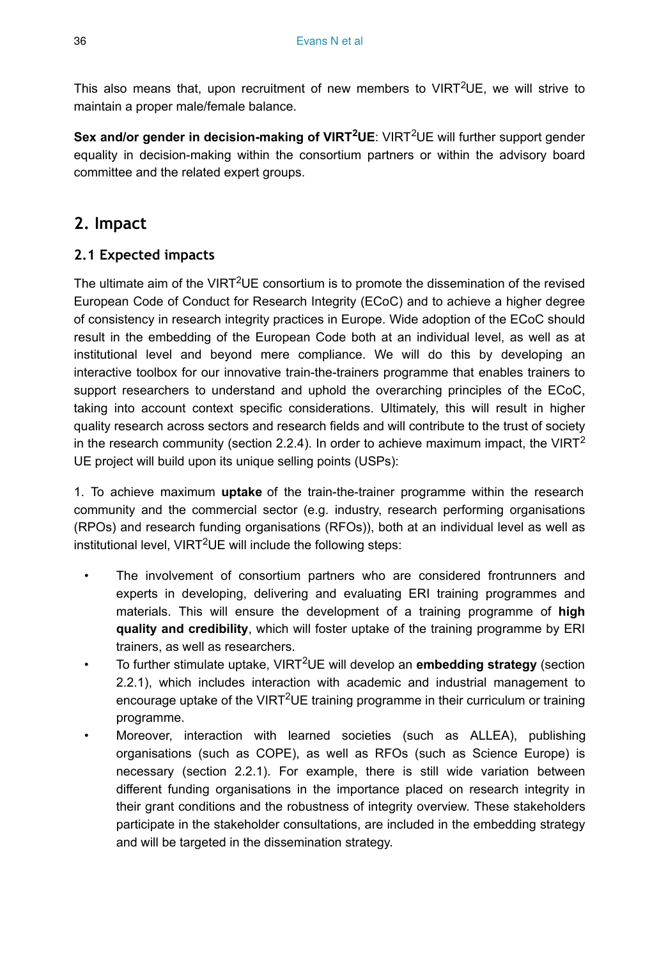This also means that, upon recruitment of new members to VIRT<sup>2</sup>UE, we will strive to maintain a proper male/female balance.

Sex and/or gender in decision-making of VIRT<sup>2</sup>UE: VIRT<sup>2</sup>UE will further support gender equality in decision-making within the consortium partners or within the advisory board committee and the related expert groups.

# **2. Impact**

## **2.1 Expected impacts**

The ultimate aim of the VIRT<sup>2</sup>UE consortium is to promote the dissemination of the revised European Code of Conduct for Research Integrity (ECoC) and to achieve a higher degree of consistency in research integrity practices in Europe. Wide adoption of the ECoC should result in the embedding of the European Code both at an individual level, as well as at institutional level and beyond mere compliance. We will do this by developing an interactive toolbox for our innovative train-the-trainers programme that enables trainers to support researchers to understand and uphold the overarching principles of the ECoC, taking into account context specific considerations. Ultimately, this will result in higher quality research across sectors and research fields and will contribute to the trust of society in the research community (section 2.2.4). In order to achieve maximum impact, the VIRT<sup>2</sup> UE project will build upon its unique selling points (USPs):

1. To achieve maximum **uptake** of the train-the-trainer programme within the research community and the commercial sector (e.g. industry, research performing organisations (RPOs) and research funding organisations (RFOs)), both at an individual level as well as institutional level, VIRT<sup>2</sup>UE will include the following steps:

- The involvement of consortium partners who are considered frontrunners and experts in developing, delivering and evaluating ERI training programmes and materials. This will ensure the development of a training programme of **high quality and credibility**, which will foster uptake of the training programme by ERI trainers, as well as researchers.
- To further stimulate uptake, VIRT<sup>2</sup>UE will develop an **embedding strategy** (section 2.2.1), which includes interaction with academic and industrial management to encourage uptake of the VIRT<sup>2</sup>UE training programme in their curriculum or training programme.
- Moreover, interaction with learned societies (such as ALLEA), publishing organisations (such as COPE), as well as RFOs (such as Science Europe) is necessary (section 2.2.1). For example, there is still wide variation between different funding organisations in the importance placed on research integrity in their grant conditions and the robustness of integrity overview. These stakeholders participate in the stakeholder consultations, are included in the embedding strategy and will be targeted in the dissemination strategy.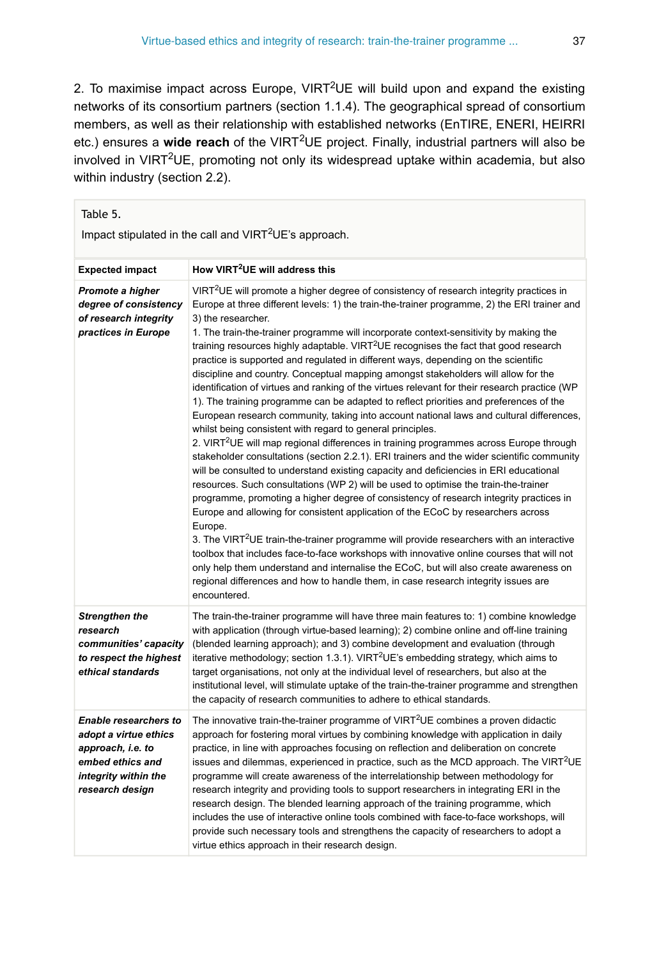2. To maximise impact across Europe, VIRT<sup>2</sup>UE will build upon and expand the existing networks of its consortium partners (section 1.1.4). The geographical spread of consortium members, as well as their relationship with established networks (EnTIRE, ENERI, HEIRRI etc.) ensures a wide reach of the VIRT<sup>2</sup>UE project. Finally, industrial partners will also be involved in VIRT<sup>2</sup>UE, promoting not only its widespread uptake within academia, but also within industry (section 2.2).

<span id="page-36-0"></span>

| Table 5.<br>Impact stipulated in the call and VIRT <sup>2</sup> UE's approach.                                                            |                                                                                                                                                                                                                                                                                                                                                                                                                                                                                                                                                                                                                                                                                                                                                                                                                                                                                                                                                                                                                                                                                                                                                                                                                                                                                                                                                                                                                                                                                                                                                                                                                                                                                                                                                                                                                                                                                                                                          |  |  |  |
|-------------------------------------------------------------------------------------------------------------------------------------------|------------------------------------------------------------------------------------------------------------------------------------------------------------------------------------------------------------------------------------------------------------------------------------------------------------------------------------------------------------------------------------------------------------------------------------------------------------------------------------------------------------------------------------------------------------------------------------------------------------------------------------------------------------------------------------------------------------------------------------------------------------------------------------------------------------------------------------------------------------------------------------------------------------------------------------------------------------------------------------------------------------------------------------------------------------------------------------------------------------------------------------------------------------------------------------------------------------------------------------------------------------------------------------------------------------------------------------------------------------------------------------------------------------------------------------------------------------------------------------------------------------------------------------------------------------------------------------------------------------------------------------------------------------------------------------------------------------------------------------------------------------------------------------------------------------------------------------------------------------------------------------------------------------------------------------------|--|--|--|
| <b>Expected impact</b>                                                                                                                    | How VIRT <sup>2</sup> UE will address this                                                                                                                                                                                                                                                                                                                                                                                                                                                                                                                                                                                                                                                                                                                                                                                                                                                                                                                                                                                                                                                                                                                                                                                                                                                                                                                                                                                                                                                                                                                                                                                                                                                                                                                                                                                                                                                                                               |  |  |  |
| Promote a higher<br>degree of consistency<br>of research integrity<br>practices in Europe                                                 | VIRT <sup>2</sup> UE will promote a higher degree of consistency of research integrity practices in<br>Europe at three different levels: 1) the train-the-trainer programme, 2) the ERI trainer and<br>3) the researcher.<br>1. The train-the-trainer programme will incorporate context-sensitivity by making the<br>training resources highly adaptable. VIRT <sup>2</sup> UE recognises the fact that good research<br>practice is supported and regulated in different ways, depending on the scientific<br>discipline and country. Conceptual mapping amongst stakeholders will allow for the<br>identification of virtues and ranking of the virtues relevant for their research practice (WP<br>1). The training programme can be adapted to reflect priorities and preferences of the<br>European research community, taking into account national laws and cultural differences,<br>whilst being consistent with regard to general principles.<br>2. VIRT <sup>2</sup> UE will map regional differences in training programmes across Europe through<br>stakeholder consultations (section 2.2.1). ERI trainers and the wider scientific community<br>will be consulted to understand existing capacity and deficiencies in ERI educational<br>resources. Such consultations (WP 2) will be used to optimise the train-the-trainer<br>programme, promoting a higher degree of consistency of research integrity practices in<br>Europe and allowing for consistent application of the ECoC by researchers across<br>Europe.<br>3. The VIRT <sup>2</sup> UE train-the-trainer programme will provide researchers with an interactive<br>toolbox that includes face-to-face workshops with innovative online courses that will not<br>only help them understand and internalise the ECoC, but will also create awareness on<br>regional differences and how to handle them, in case research integrity issues are<br>encountered. |  |  |  |
| <b>Strengthen the</b><br>research<br>communities' capacity<br>to respect the highest<br>ethical standards                                 | The train-the-trainer programme will have three main features to: 1) combine knowledge<br>with application (through virtue-based learning); 2) combine online and off-line training<br>(blended learning approach); and 3) combine development and evaluation (through<br>iterative methodology; section 1.3.1). VIRT <sup>2</sup> UE's embedding strategy, which aims to<br>target organisations, not only at the individual level of researchers, but also at the<br>institutional level, will stimulate uptake of the train-the-trainer programme and strengthen<br>the capacity of research communities to adhere to ethical standards.                                                                                                                                                                                                                                                                                                                                                                                                                                                                                                                                                                                                                                                                                                                                                                                                                                                                                                                                                                                                                                                                                                                                                                                                                                                                                              |  |  |  |
| <b>Enable researchers to</b><br>adopt a virtue ethics<br>approach, i.e. to<br>embed ethics and<br>integrity within the<br>research design | The innovative train-the-trainer programme of VIRT <sup>2</sup> UE combines a proven didactic<br>approach for fostering moral virtues by combining knowledge with application in daily<br>practice, in line with approaches focusing on reflection and deliberation on concrete<br>issues and dilemmas, experienced in practice, such as the MCD approach. The VIRT <sup>2</sup> UE<br>programme will create awareness of the interrelationship between methodology for<br>research integrity and providing tools to support researchers in integrating ERI in the<br>research design. The blended learning approach of the training programme, which<br>includes the use of interactive online tools combined with face-to-face workshops, will<br>provide such necessary tools and strengthens the capacity of researchers to adopt a<br>virtue ethics approach in their research design.                                                                                                                                                                                                                                                                                                                                                                                                                                                                                                                                                                                                                                                                                                                                                                                                                                                                                                                                                                                                                                              |  |  |  |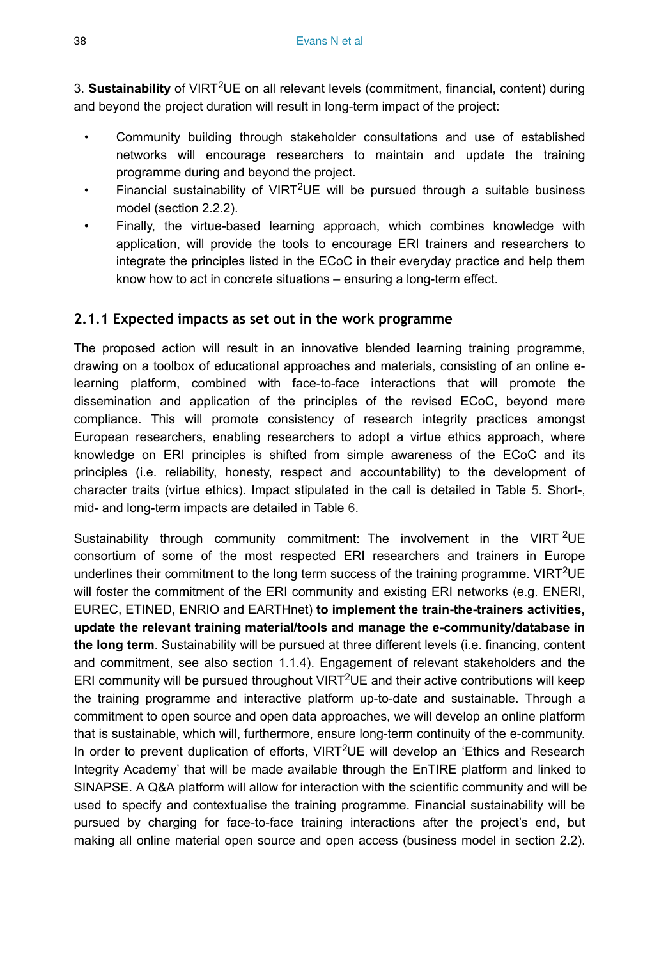3. Sustainability of VIRT<sup>2</sup>UE on all relevant levels (commitment, financial, content) during and beyond the project duration will result in long-term impact of the project:

- Community building through stakeholder consultations and use of established networks will encourage researchers to maintain and update the training programme during and beyond the project.
- Financial sustainability of VIRT<sup>2</sup>UE will be pursued through a suitable business model (section 2.2.2).
- Finally, the virtue-based learning approach, which combines knowledge with application, will provide the tools to encourage ERI trainers and researchers to integrate the principles listed in the ECoC in their everyday practice and help them know how to act in concrete situations – ensuring a long-term effect.

## **2.1.1 Expected impacts as set out in the work programme**

The proposed action will result in an innovative blended learning training programme, drawing on a toolbox of educational approaches and materials, consisting of an online elearning platform, combined with face-to-face interactions that will promote the dissemination and application of the principles of the revised ECoC, beyond mere compliance. This will promote consistency of research integrity practices amongst European researchers, enabling researchers to adopt a virtue ethics approach, where knowledge on ERI principles is shifted from simple awareness of the ECoC and its principles (i.e. reliability, honesty, respect and accountability) to the development of character traits (virtue ethics). Impact stipulated in the call is detailed in Table [5](#page-36-0). Short-, mid- and long-term impacts are detailed in Table [6.](#page-38-0)

Sustainability through community commitment: The involvement in the VIRT <sup>2</sup>UE consortium of some of the most respected ERI researchers and trainers in Europe underlines their commitment to the long term success of the training programme. VIRT<sup>2</sup>UE will foster the commitment of the ERI community and existing ERI networks (e.g. ENERI, EUREC, ETINED, ENRIO and EARTHnet) **to implement the train-the-trainers activities, update the relevant training material/tools and manage the e-community/database in the long term**. Sustainability will be pursued at three different levels (i.e. financing, content and commitment, see also section 1.1.4). Engagement of relevant stakeholders and the ERI community will be pursued throughout VIRT<sup>2</sup>UE and their active contributions will keep the training programme and interactive platform up-to-date and sustainable. Through a commitment to open source and open data approaches, we will develop an online platform that is sustainable, which will, furthermore, ensure long-term continuity of the e-community. In order to prevent duplication of efforts, VIRT<sup>2</sup>UE will develop an 'Ethics and Research Integrity Academy' that will be made available through the EnTIRE platform and linked to SINAPSE. A Q&A platform will allow for interaction with the scientific community and will be used to specify and contextualise the training programme. Financial sustainability will be pursued by charging for face-to-face training interactions after the project's end, but making all online material open source and open access (business model in section 2.2).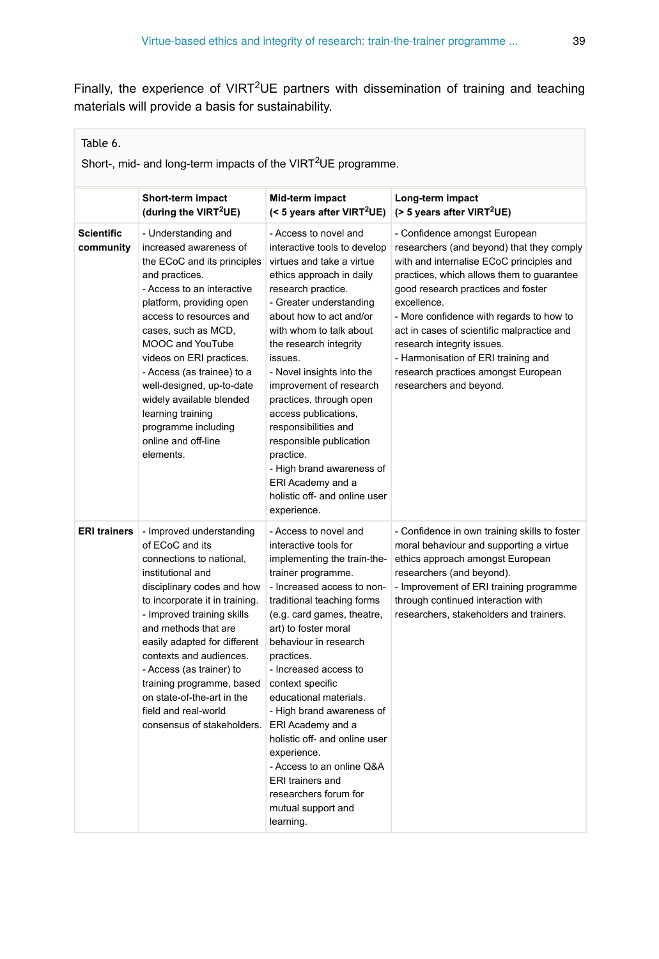Finally, the experience of VIRT<sup>2</sup>UE partners with dissemination of training and teaching materials will provide a basis for sustainability.

#### <span id="page-38-0"></span>Table 6.

Short-, mid- and long-term impacts of the VIRT<sup>2</sup>UE programme.

|                                | Short-term impact<br>(during the VIRT <sup>2</sup> UE)                                                                                                                                                                                                                                                                                                                                                                            | Mid-term impact<br>(< 5 years after VIRT <sup>2</sup> UE)                                                                                                                                                                                                                                                                                                                                                                                                                                                                                                                                                                                                                                                                                                                                                                                          | Long-term impact<br>$($ > 5 years after VIRT <sup>2</sup> UE)                                                                                                                                                                                                                                                                                                                                                                                             |
|--------------------------------|-----------------------------------------------------------------------------------------------------------------------------------------------------------------------------------------------------------------------------------------------------------------------------------------------------------------------------------------------------------------------------------------------------------------------------------|----------------------------------------------------------------------------------------------------------------------------------------------------------------------------------------------------------------------------------------------------------------------------------------------------------------------------------------------------------------------------------------------------------------------------------------------------------------------------------------------------------------------------------------------------------------------------------------------------------------------------------------------------------------------------------------------------------------------------------------------------------------------------------------------------------------------------------------------------|-----------------------------------------------------------------------------------------------------------------------------------------------------------------------------------------------------------------------------------------------------------------------------------------------------------------------------------------------------------------------------------------------------------------------------------------------------------|
| <b>Scientific</b><br>community | - Understanding and<br>increased awareness of<br>the ECoC and its principles<br>and practices.<br>- Access to an interactive<br>platform, providing open<br>access to resources and<br>cases, such as MCD.<br>MOOC and YouTube<br>videos on ERI practices.<br>- Access (as trainee) to a<br>well-designed, up-to-date<br>widely available blended<br>learning training<br>programme including<br>online and off-line<br>elements. | - Access to novel and<br>interactive tools to develop<br>virtues and take a virtue<br>ethics approach in daily<br>research practice.<br>- Greater understanding<br>about how to act and/or<br>with whom to talk about<br>the research integrity<br>issues.<br>- Novel insights into the<br>improvement of research<br>practices, through open<br>access publications,<br>responsibilities and<br>responsible publication<br>practice.<br>- High brand awareness of<br>ERI Academy and a<br>holistic off- and online user<br>experience.                                                                                                                                                                                                                                                                                                            | - Confidence amongst European<br>researchers (and beyond) that they comply<br>with and internalise ECoC principles and<br>practices, which allows them to guarantee<br>good research practices and foster<br>excellence.<br>- More confidence with regards to how to<br>act in cases of scientific malpractice and<br>research integrity issues.<br>- Harmonisation of ERI training and<br>research practices amongst European<br>researchers and beyond. |
| <b>ERI trainers</b>            | - Improved understanding<br>of ECoC and its<br>connections to national,<br>institutional and<br>disciplinary codes and how<br>to incorporate it in training.<br>- Improved training skills<br>and methods that are<br>easily adapted for different<br>contexts and audiences.<br>- Access (as trainer) to<br>training programme, based<br>on state-of-the-art in the<br>field and real-world<br>consensus of stakeholders.        | - Access to novel and<br>- Confidence in own training skills to foster<br>interactive tools for<br>moral behaviour and supporting a virtue<br>ethics approach amongst European<br>implementing the train-the-<br>trainer programme.<br>researchers (and beyond).<br>- Increased access to non-<br>- Improvement of ERI training programme<br>traditional teaching forms<br>through continued interaction with<br>(e.g. card games, theatre,<br>researchers, stakeholders and trainers.<br>art) to foster moral<br>behaviour in research<br>practices.<br>- Increased access to<br>context specific<br>educational materials.<br>- High brand awareness of<br>ERI Academy and a<br>holistic off- and online user<br>experience.<br>- Access to an online Q&A<br><b>ERI</b> trainers and<br>researchers forum for<br>mutual support and<br>learning. |                                                                                                                                                                                                                                                                                                                                                                                                                                                           |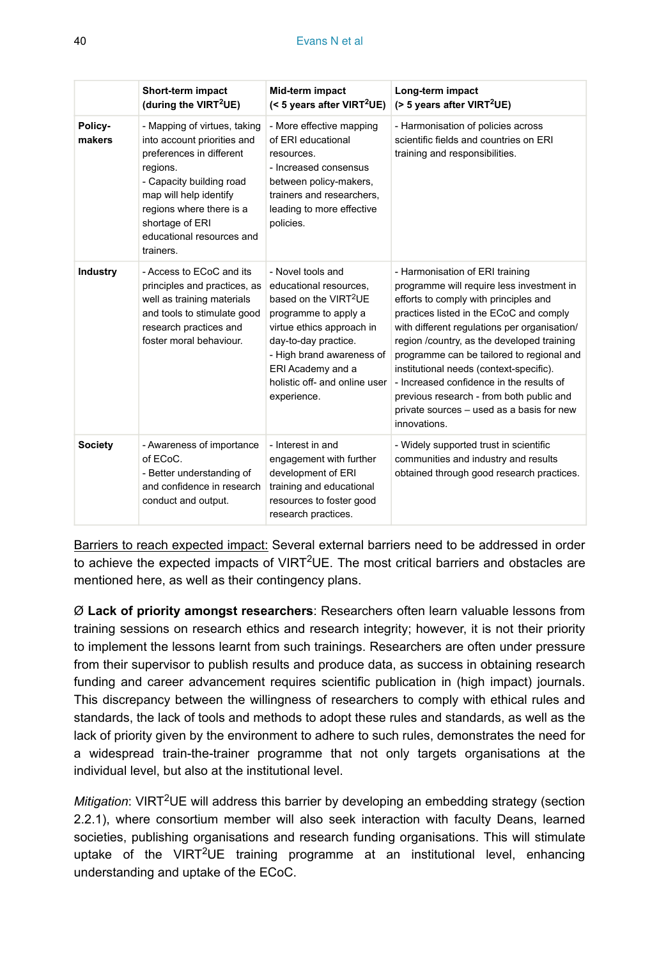|                   | Short-term impact<br>(during the VIRT <sup>2</sup> UE)                                                                                                                                                                                             | Mid-term impact<br>(< 5 years after VIRT <sup>2</sup> UE)                                                                                                                                                                                                       | Long-term impact<br>$($ > 5 years after VIRT <sup>2</sup> UE)                                                                                                                                                                                                                                                                                                                                                                                                                                               |
|-------------------|----------------------------------------------------------------------------------------------------------------------------------------------------------------------------------------------------------------------------------------------------|-----------------------------------------------------------------------------------------------------------------------------------------------------------------------------------------------------------------------------------------------------------------|-------------------------------------------------------------------------------------------------------------------------------------------------------------------------------------------------------------------------------------------------------------------------------------------------------------------------------------------------------------------------------------------------------------------------------------------------------------------------------------------------------------|
| Policy-<br>makers | - Mapping of virtues, taking<br>into account priorities and<br>preferences in different<br>regions.<br>- Capacity building road<br>map will help identify<br>regions where there is a<br>shortage of ERI<br>educational resources and<br>trainers. | - More effective mapping<br>of ERI educational<br>resources.<br>- Increased consensus<br>between policy-makers,<br>trainers and researchers.<br>leading to more effective<br>policies.                                                                          | - Harmonisation of policies across<br>scientific fields and countries on ERI<br>training and responsibilities.                                                                                                                                                                                                                                                                                                                                                                                              |
| Industry          | - Access to ECoC and its<br>principles and practices, as<br>well as training materials<br>and tools to stimulate good<br>research practices and<br>foster moral behaviour.                                                                         | - Novel tools and<br>educational resources.<br>based on the VIRT <sup>2</sup> UE<br>programme to apply a<br>virtue ethics approach in<br>day-to-day practice.<br>- High brand awareness of<br>ERI Academy and a<br>holistic off- and online user<br>experience. | - Harmonisation of ERI training<br>programme will require less investment in<br>efforts to comply with principles and<br>practices listed in the ECoC and comply<br>with different regulations per organisation/<br>region /country, as the developed training<br>programme can be tailored to regional and<br>institutional needs (context-specific).<br>- Increased confidence in the results of<br>previous research - from both public and<br>private sources - used as a basis for new<br>innovations. |
| <b>Society</b>    | - Awareness of importance<br>of ECoC.<br>- Better understanding of<br>and confidence in research<br>conduct and output.                                                                                                                            | - Interest in and<br>engagement with further<br>development of ERI<br>training and educational<br>resources to foster good<br>research practices.                                                                                                               | - Widely supported trust in scientific<br>communities and industry and results<br>obtained through good research practices.                                                                                                                                                                                                                                                                                                                                                                                 |

Barriers to reach expected impact: Several external barriers need to be addressed in order to achieve the expected impacts of VIRT<sup>2</sup>UE. The most critical barriers and obstacles are mentioned here, as well as their contingency plans.

Ø **Lack of priority amongst researchers**: Researchers often learn valuable lessons from training sessions on research ethics and research integrity; however, it is not their priority to implement the lessons learnt from such trainings. Researchers are often under pressure from their supervisor to publish results and produce data, as success in obtaining research funding and career advancement requires scientific publication in (high impact) journals. This discrepancy between the willingness of researchers to comply with ethical rules and standards, the lack of tools and methods to adopt these rules and standards, as well as the lack of priority given by the environment to adhere to such rules, demonstrates the need for a widespread train-the-trainer programme that not only targets organisations at the individual level, but also at the institutional level.

Mitigation: VIRT<sup>2</sup>UE will address this barrier by developing an embedding strategy (section 2.2.1), where consortium member will also seek interaction with faculty Deans, learned societies, publishing organisations and research funding organisations. This will stimulate uptake of the VIRT<sup>2</sup>UE training programme at an institutional level, enhancing understanding and uptake of the ECoC.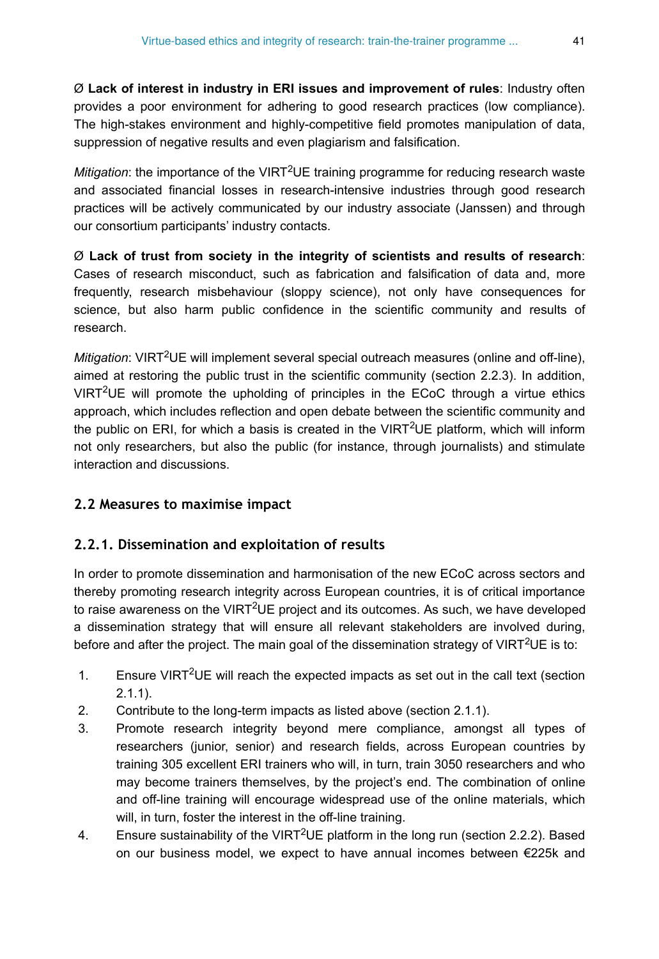Ø **Lack of interest in industry in ERI issues and improvement of rules**: Industry often provides a poor environment for adhering to good research practices (low compliance). The high-stakes environment and highly-competitive field promotes manipulation of data, suppression of negative results and even plagiarism and falsification.

Mitigation: the importance of the VIRT<sup>2</sup>UE training programme for reducing research waste and associated financial losses in research-intensive industries through good research practices will be actively communicated by our industry associate (Janssen) and through our consortium participants' industry contacts.

Ø **Lack of trust from society in the integrity of scientists and results of research**: Cases of research misconduct, such as fabrication and falsification of data and, more frequently, research misbehaviour (sloppy science), not only have consequences for science, but also harm public confidence in the scientific community and results of research.

Mitigation: VIRT<sup>2</sup>UE will implement several special outreach measures (online and off-line), aimed at restoring the public trust in the scientific community (section 2.2.3). In addition, VIRT<sup>2</sup>UE will promote the upholding of principles in the ECoC through a virtue ethics approach, which includes reflection and open debate between the scientific community and the public on ERI, for which a basis is created in the VIRT<sup>2</sup>UE platform, which will inform not only researchers, but also the public (for instance, through journalists) and stimulate interaction and discussions.

### **2.2 Measures to maximise impact**

### **2.2.1. Dissemination and exploitation of results**

In order to promote dissemination and harmonisation of the new ECoC across sectors and thereby promoting research integrity across European countries, it is of critical importance to raise awareness on the VIRT<sup>2</sup>UE project and its outcomes. As such, we have developed a dissemination strategy that will ensure all relevant stakeholders are involved during, before and after the project. The main goal of the dissemination strategy of VIRT<sup>2</sup>UE is to:

- 1. Ensure VIRT<sup>2</sup>UE will reach the expected impacts as set out in the call text (section 2.1.1).
- 2. Contribute to the long-term impacts as listed above (section 2.1.1).
- 3. Promote research integrity beyond mere compliance, amongst all types of researchers (junior, senior) and research fields, across European countries by training 305 excellent ERI trainers who will, in turn, train 3050 researchers and who may become trainers themselves, by the project's end. The combination of online and off-line training will encourage widespread use of the online materials, which will, in turn, foster the interest in the off-line training.
- 4. Ensure sustainability of the VIRT<sup>2</sup>UE platform in the long run (section 2.2.2). Based on our business model, we expect to have annual incomes between €225k and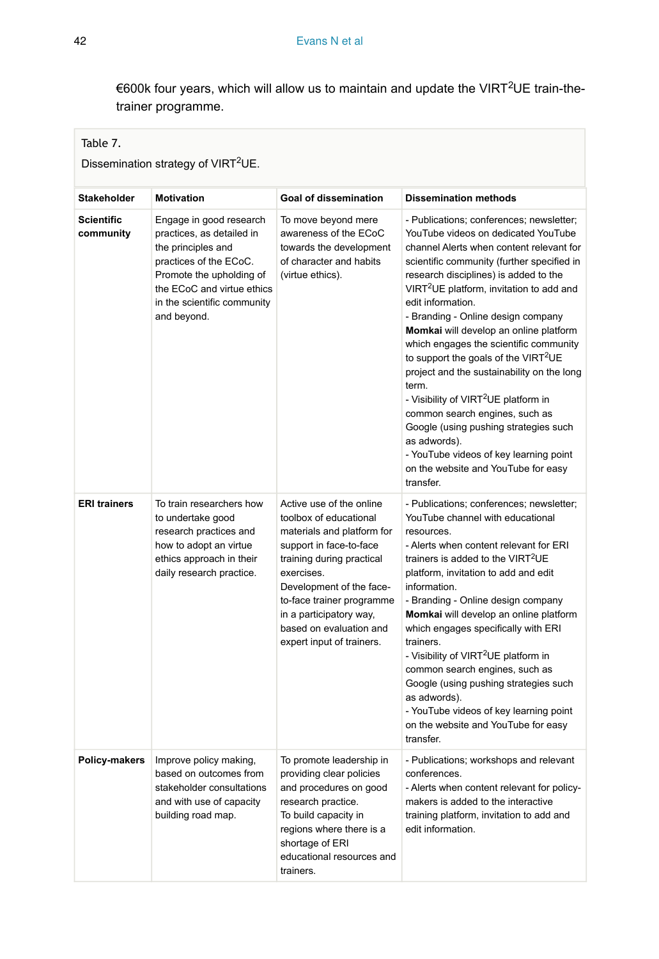€600k four years, which will allow us to maintain and update the VIRT<sup>2</sup>UE train-thetrainer programme.

## <span id="page-41-0"></span>Table 7.

Dissemination strategy of VIRT<sup>2</sup>UE.

| Stakeholder                    | <b>Motivation</b>                                                                                                                                                                                            | <b>Goal of dissemination</b>                                                                                                                                                                                                                                                                       | <b>Dissemination methods</b>                                                                                                                                                                                                                                                                                                                                                                                                                                                                                                                                                                                                                                                                                                                                                      |
|--------------------------------|--------------------------------------------------------------------------------------------------------------------------------------------------------------------------------------------------------------|----------------------------------------------------------------------------------------------------------------------------------------------------------------------------------------------------------------------------------------------------------------------------------------------------|-----------------------------------------------------------------------------------------------------------------------------------------------------------------------------------------------------------------------------------------------------------------------------------------------------------------------------------------------------------------------------------------------------------------------------------------------------------------------------------------------------------------------------------------------------------------------------------------------------------------------------------------------------------------------------------------------------------------------------------------------------------------------------------|
| <b>Scientific</b><br>community | Engage in good research<br>practices, as detailed in<br>the principles and<br>practices of the ECoC.<br>Promote the upholding of<br>the ECoC and virtue ethics<br>in the scientific community<br>and beyond. | To move beyond mere<br>awareness of the ECoC<br>towards the development<br>of character and habits<br>(virtue ethics).                                                                                                                                                                             | - Publications; conferences; newsletter;<br>YouTube videos on dedicated YouTube<br>channel Alerts when content relevant for<br>scientific community (further specified in<br>research disciplines) is added to the<br>VIRT <sup>2</sup> UE platform, invitation to add and<br>edit information.<br>- Branding - Online design company<br>Momkai will develop an online platform<br>which engages the scientific community<br>to support the goals of the VIRT <sup>2</sup> UE<br>project and the sustainability on the long<br>term.<br>- Visibility of VIRT <sup>2</sup> UE platform in<br>common search engines, such as<br>Google (using pushing strategies such<br>as adwords).<br>- YouTube videos of key learning point<br>on the website and YouTube for easy<br>transfer. |
| <b>ERI trainers</b>            | To train researchers how<br>to undertake good<br>research practices and<br>how to adopt an virtue<br>ethics approach in their<br>daily research practice.                                                    | Active use of the online<br>toolbox of educational<br>materials and platform for<br>support in face-to-face<br>training during practical<br>exercises.<br>Development of the face-<br>to-face trainer programme<br>in a participatory way,<br>based on evaluation and<br>expert input of trainers. | - Publications; conferences; newsletter;<br>YouTube channel with educational<br>resources.<br>- Alerts when content relevant for ERI<br>trainers is added to the VIRT <sup>2</sup> UE<br>platform, invitation to add and edit<br>information.<br>- Branding - Online design company<br>Momkai will develop an online platform<br>which engages specifically with ERI<br>trainers.<br>- Visibility of VIRT <sup>2</sup> UE platform in<br>common search engines, such as<br>Google (using pushing strategies such<br>as adwords).<br>- YouTube videos of key learning point<br>on the website and YouTube for easy<br>transfer.                                                                                                                                                    |
| Policy-makers                  | Improve policy making,<br>based on outcomes from<br>stakeholder consultations<br>and with use of capacity<br>building road map.                                                                              | To promote leadership in<br>providing clear policies<br>and procedures on good<br>research practice.<br>To build capacity in<br>regions where there is a<br>shortage of ERI<br>educational resources and<br>trainers.                                                                              | - Publications; workshops and relevant<br>conferences.<br>- Alerts when content relevant for policy-<br>makers is added to the interactive<br>training platform, invitation to add and<br>edit information.                                                                                                                                                                                                                                                                                                                                                                                                                                                                                                                                                                       |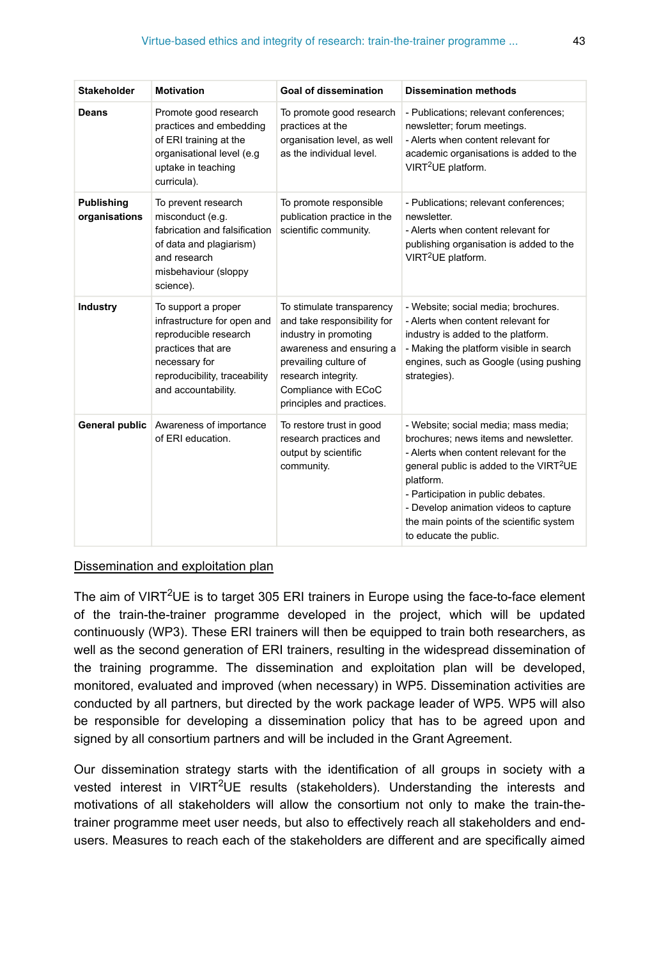| <b>Stakeholder</b>                 | <b>Motivation</b>                                                                                                                                                          | <b>Goal of dissemination</b>                                                                                                                                                                                       | <b>Dissemination methods</b>                                                                                                                                                                                                                                                                                                                     |
|------------------------------------|----------------------------------------------------------------------------------------------------------------------------------------------------------------------------|--------------------------------------------------------------------------------------------------------------------------------------------------------------------------------------------------------------------|--------------------------------------------------------------------------------------------------------------------------------------------------------------------------------------------------------------------------------------------------------------------------------------------------------------------------------------------------|
| <b>Deans</b>                       | Promote good research<br>practices and embedding<br>of ERI training at the<br>organisational level (e.g<br>uptake in teaching<br>curricula).                               | To promote good research<br>practices at the<br>organisation level, as well<br>as the individual level.                                                                                                            | - Publications; relevant conferences;<br>newsletter; forum meetings.<br>- Alerts when content relevant for<br>academic organisations is added to the<br>VIRT <sup>2</sup> UE platform.                                                                                                                                                           |
| <b>Publishing</b><br>organisations | To prevent research<br>misconduct (e.g.<br>fabrication and falsification<br>of data and plagiarism)<br>and research<br>misbehaviour (sloppy<br>science).                   | To promote responsible<br>publication practice in the<br>scientific community.                                                                                                                                     | - Publications; relevant conferences;<br>newsletter.<br>- Alerts when content relevant for<br>publishing organisation is added to the<br>VIRT <sup>2</sup> UE platform.                                                                                                                                                                          |
| Industry                           | To support a proper<br>infrastructure for open and<br>reproducible research<br>practices that are<br>necessary for<br>reproducibility, traceability<br>and accountability. | To stimulate transparency<br>and take responsibility for<br>industry in promoting<br>awareness and ensuring a<br>prevailing culture of<br>research integrity.<br>Compliance with ECoC<br>principles and practices. | - Website; social media; brochures.<br>- Alerts when content relevant for<br>industry is added to the platform.<br>- Making the platform visible in search<br>engines, such as Google (using pushing<br>strategies).                                                                                                                             |
| General public                     | Awareness of importance<br>of ERI education.                                                                                                                               | To restore trust in good<br>research practices and<br>output by scientific<br>community.                                                                                                                           | - Website; social media; mass media;<br>brochures: news items and newsletter.<br>- Alerts when content relevant for the<br>general public is added to the VIRT <sup>2</sup> UE<br>platform.<br>- Participation in public debates.<br>- Develop animation videos to capture<br>the main points of the scientific system<br>to educate the public. |

### Dissemination and exploitation plan

The aim of VIRT<sup>2</sup>UE is to target 305 ERI trainers in Europe using the face-to-face element of the train-the-trainer programme developed in the project, which will be updated continuously (WP3). These ERI trainers will then be equipped to train both researchers, as well as the second generation of ERI trainers, resulting in the widespread dissemination of the training programme. The dissemination and exploitation plan will be developed, monitored, evaluated and improved (when necessary) in WP5. Dissemination activities are conducted by all partners, but directed by the work package leader of WP5. WP5 will also be responsible for developing a dissemination policy that has to be agreed upon and signed by all consortium partners and will be included in the Grant Agreement.

Our dissemination strategy starts with the identification of all groups in society with a vested interest in VIRT<sup>2</sup>UE results (stakeholders). Understanding the interests and motivations of all stakeholders will allow the consortium not only to make the train-thetrainer programme meet user needs, but also to effectively reach all stakeholders and endusers. Measures to reach each of the stakeholders are different and are specifically aimed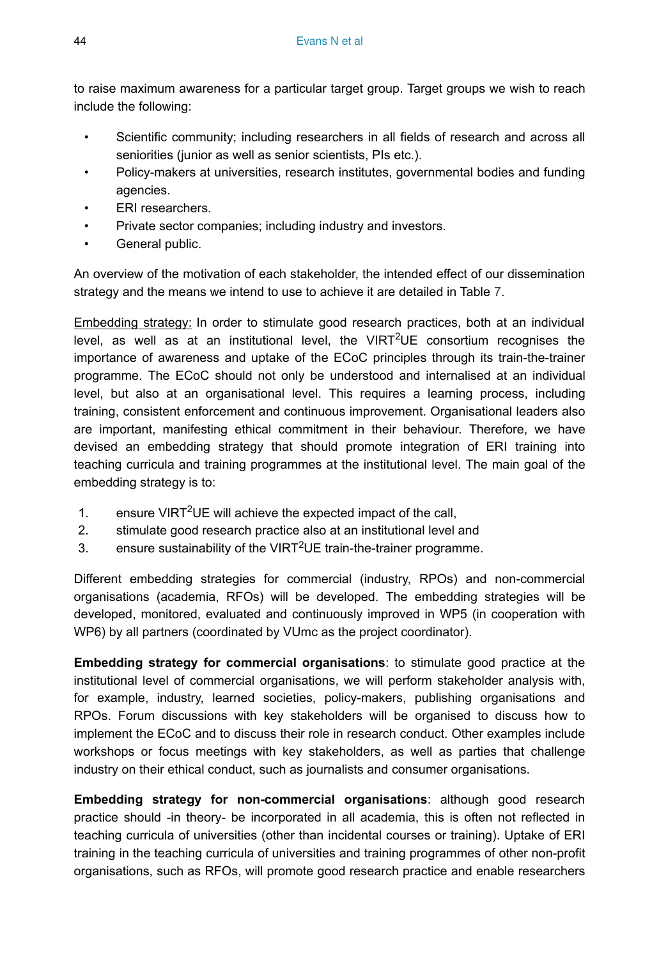to raise maximum awareness for a particular target group. Target groups we wish to reach include the following:

- Scientific community; including researchers in all fields of research and across all seniorities (junior as well as senior scientists, PIs etc.).
- Policy-makers at universities, research institutes, governmental bodies and funding agencies.
- **ERI** researchers.
- Private sector companies; including industry and investors.
- General public.

An overview of the motivation of each stakeholder, the intended effect of our dissemination strategy and the means we intend to use to achieve it are detailed in Table [7](#page-41-0).

Embedding strategy: In order to stimulate good research practices, both at an individual level, as well as at an institutional level, the VIRT<sup>2</sup>UE consortium recognises the importance of awareness and uptake of the ECoC principles through its train-the-trainer programme. The ECoC should not only be understood and internalised at an individual level, but also at an organisational level. This requires a learning process, including training, consistent enforcement and continuous improvement. Organisational leaders also are important, manifesting ethical commitment in their behaviour. Therefore, we have devised an embedding strategy that should promote integration of ERI training into teaching curricula and training programmes at the institutional level. The main goal of the embedding strategy is to:

- 1. ensure VIRT<sup>2</sup>UE will achieve the expected impact of the call,
- 2. stimulate good research practice also at an institutional level and
- 3. ensure sustainability of the VIRT<sup>2</sup>UE train-the-trainer programme.

Different embedding strategies for commercial (industry, RPOs) and non-commercial organisations (academia, RFOs) will be developed. The embedding strategies will be developed, monitored, evaluated and continuously improved in WP5 (in cooperation with WP6) by all partners (coordinated by VUmc as the project coordinator).

**Embedding strategy for commercial organisations**: to stimulate good practice at the institutional level of commercial organisations, we will perform stakeholder analysis with, for example, industry, learned societies, policy-makers, publishing organisations and RPOs. Forum discussions with key stakeholders will be organised to discuss how to implement the ECoC and to discuss their role in research conduct. Other examples include workshops or focus meetings with key stakeholders, as well as parties that challenge industry on their ethical conduct, such as journalists and consumer organisations.

**Embedding strategy for non-commercial organisations**: although good research practice should -in theory- be incorporated in all academia, this is often not reflected in teaching curricula of universities (other than incidental courses or training). Uptake of ERI training in the teaching curricula of universities and training programmes of other non-profit organisations, such as RFOs, will promote good research practice and enable researchers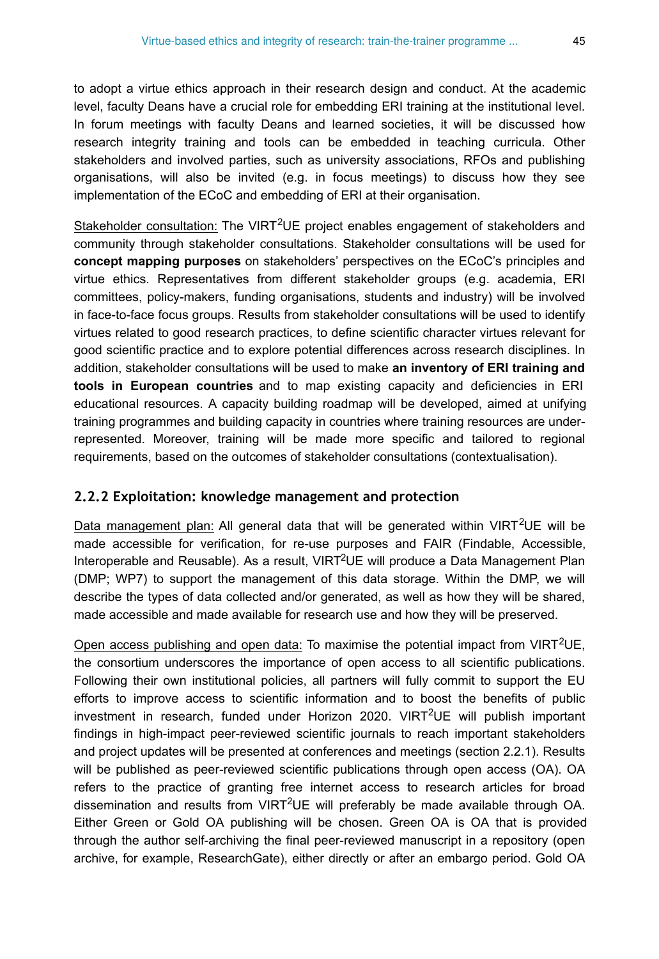to adopt a virtue ethics approach in their research design and conduct. At the academic level, faculty Deans have a crucial role for embedding ERI training at the institutional level. In forum meetings with faculty Deans and learned societies, it will be discussed how research integrity training and tools can be embedded in teaching curricula. Other stakeholders and involved parties, such as university associations, RFOs and publishing organisations, will also be invited (e.g. in focus meetings) to discuss how they see implementation of the ECoC and embedding of ERI at their organisation.

Stakeholder consultation: The VIRT<sup>2</sup>UE project enables engagement of stakeholders and community through stakeholder consultations. Stakeholder consultations will be used for **concept mapping purposes** on stakeholders' perspectives on the ECoC's principles and virtue ethics. Representatives from different stakeholder groups (e.g. academia, ERI committees, policy-makers, funding organisations, students and industry) will be involved in face-to-face focus groups. Results from stakeholder consultations will be used to identify virtues related to good research practices, to define scientific character virtues relevant for good scientific practice and to explore potential differences across research disciplines. In addition, stakeholder consultations will be used to make **an inventory of ERI training and tools in European countries** and to map existing capacity and deficiencies in ERI educational resources. A capacity building roadmap will be developed, aimed at unifying training programmes and building capacity in countries where training resources are underrepresented. Moreover, training will be made more specific and tailored to regional requirements, based on the outcomes of stakeholder consultations (contextualisation).

#### **2.2.2 Exploitation: knowledge management and protection**

Data management plan: All general data that will be generated within VIRT<sup>2</sup>UE will be made accessible for verification, for re-use purposes and FAIR (Findable, Accessible, Interoperable and Reusable). As a result, VIRT<sup>2</sup>UE will produce a Data Management Plan (DMP; WP7) to support the management of this data storage. Within the DMP, we will describe the types of data collected and/or generated, as well as how they will be shared, made accessible and made available for research use and how they will be preserved.

Open access publishing and open data: To maximise the potential impact from VIRT<sup>2</sup>UE, the consortium underscores the importance of open access to all scientific publications. Following their own institutional policies, all partners will fully commit to support the EU efforts to improve access to scientific information and to boost the benefits of public investment in research, funded under Horizon 2020. VIRT<sup>2</sup>UE will publish important findings in high-impact peer-reviewed scientific journals to reach important stakeholders and project updates will be presented at conferences and meetings (section 2.2.1). Results will be published as peer-reviewed scientific publications through open access (OA). OA refers to the practice of granting free internet access to research articles for broad dissemination and results from VIRT<sup>2</sup>UE will preferably be made available through OA. Either Green or Gold OA publishing will be chosen. Green OA is OA that is provided through the author self-archiving the final peer-reviewed manuscript in a repository (open archive, for example, ResearchGate), either directly or after an embargo period. Gold OA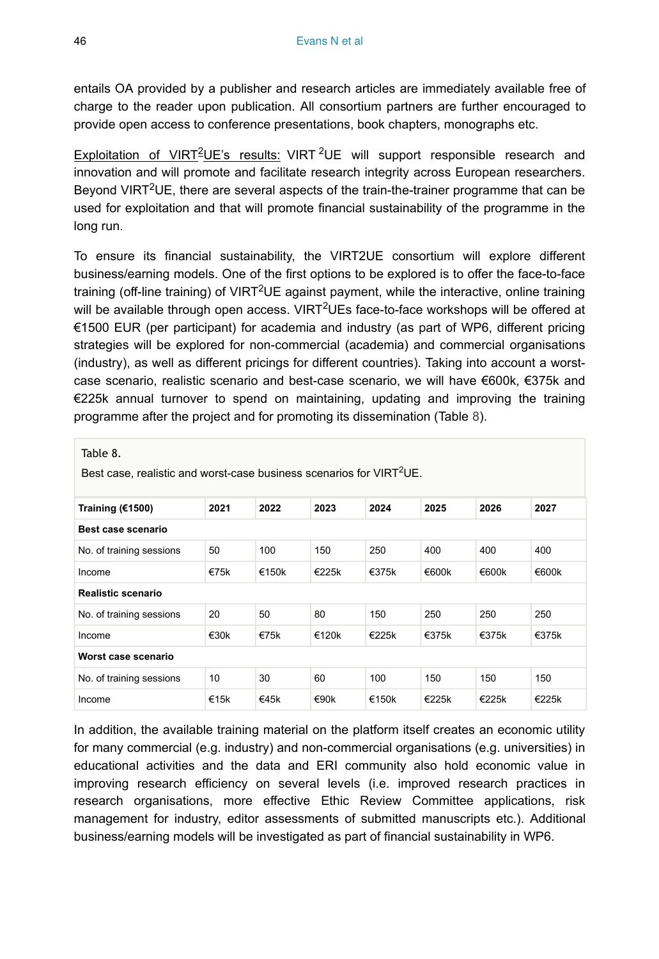entails OA provided by a publisher and research articles are immediately available free of charge to the reader upon publication. All consortium partners are further encouraged to provide open access to conference presentations, book chapters, monographs etc.

Exploitation of VIRT<sup>2</sup>UE's results: VIRT <sup>2</sup>UE will support responsible research and innovation and will promote and facilitate research integrity across European researchers. Beyond VIRT<sup>2</sup>UE, there are several aspects of the train-the-trainer programme that can be used for exploitation and that will promote financial sustainability of the programme in the long run.

To ensure its financial sustainability, the VIRT2UE consortium will explore different business/earning models. One of the first options to be explored is to offer the face-to-face training (off-line training) of VIRT<sup>2</sup>UE against payment, while the interactive, online training will be available through open access. VIRT<sup>2</sup>UEs face-to-face workshops will be offered at €1500 EUR (per participant) for academia and industry (as part of WP6, different pricing strategies will be explored for non-commercial (academia) and commercial organisations (industry), as well as different pricings for different countries). Taking into account a worstcase scenario, realistic scenario and best-case scenario, we will have €600k, €375k and €225k annual turnover to spend on maintaining, updating and improving the training programme after the project and for promoting its dissemination (Table [8](#page-45-0)).

<span id="page-45-0"></span>

| Table 8.<br>Best case, realistic and worst-case business scenarios for VIRT <sup>2</sup> UE. |         |          |                   |       |          |          |          |
|----------------------------------------------------------------------------------------------|---------|----------|-------------------|-------|----------|----------|----------|
| Training (€1500)                                                                             | 2021    | 2022     | 2023              | 2024  | 2025     | 2026     | 2027     |
| Best case scenario                                                                           |         |          |                   |       |          |          |          |
| No. of training sessions                                                                     | 50      | 100      | 150               | 250   | 400      | 400      | 400      |
| Income                                                                                       | €75 $k$ | €150 $k$ | €225k             | €375k | €600 $k$ | €600 $k$ | €600 $k$ |
| Realistic scenario                                                                           |         |          |                   |       |          |          |          |
| No. of training sessions                                                                     | 20      | 50       | 80                | 150   | 250      | 250      | 250      |
| Income                                                                                       | €30 $k$ | €75 $k$  | €120 $\mathsf{k}$ | €225k | €375k    | €375k    | €375k    |
| Worst case scenario                                                                          |         |          |                   |       |          |          |          |
| No. of training sessions                                                                     | 10      | 30       | 60                | 100   | 150      | 150      | 150      |
| Income                                                                                       | €15 $k$ | €45 $k$  | €90 $k$           | €150k | €225k    | €225k    | €225k    |

In addition, the available training material on the platform itself creates an economic utility for many commercial (e.g. industry) and non-commercial organisations (e.g. universities) in educational activities and the data and ERI community also hold economic value in improving research efficiency on several levels (i.e. improved research practices in research organisations, more effective Ethic Review Committee applications, risk management for industry, editor assessments of submitted manuscripts etc.). Additional business/earning models will be investigated as part of financial sustainability in WP6.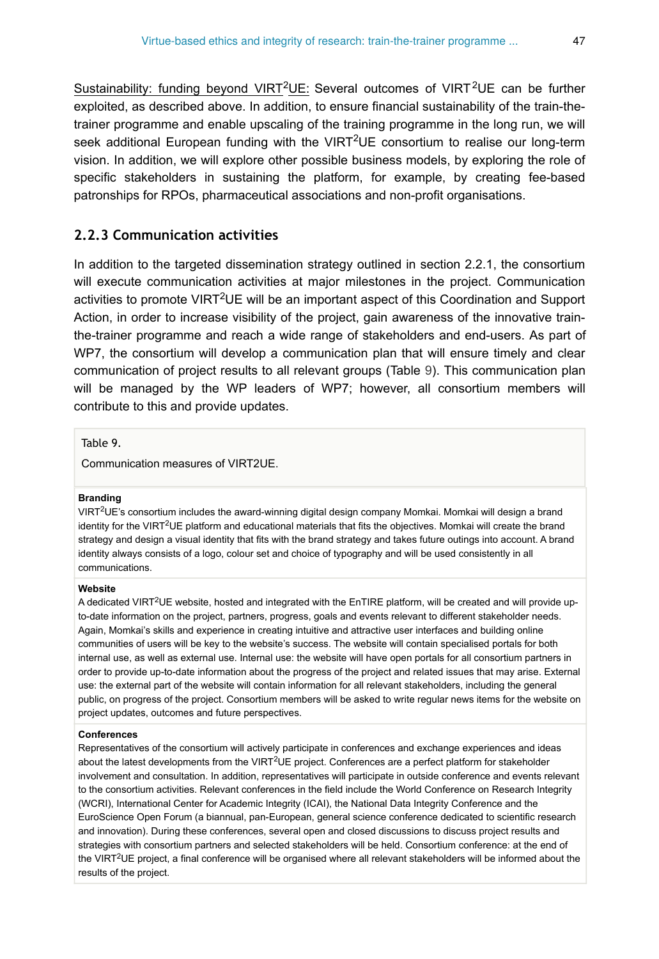Sustainability: funding beyond VIRT<sup>2</sup>UE: Several outcomes of VIRT<sup>2</sup>UE can be further exploited, as described above. In addition, to ensure financial sustainability of the train-thetrainer programme and enable upscaling of the training programme in the long run, we will seek additional European funding with the VIRT<sup>2</sup>UE consortium to realise our long-term vision. In addition, we will explore other possible business models, by exploring the role of specific stakeholders in sustaining the platform, for example, by creating fee-based patronships for RPOs, pharmaceutical associations and non-profit organisations.

#### **2.2.3 Communication activities**

In addition to the targeted dissemination strategy outlined in section 2.2.1, the consortium will execute communication activities at major milestones in the project. Communication activities to promote VIRT<sup>2</sup>UE will be an important aspect of this Coordination and Support Action, in order to increase visibility of the project, gain awareness of the innovative trainthe-trainer programme and reach a wide range of stakeholders and end-users. As part of WP7, the consortium will develop a communication plan that will ensure timely and clear communication of project results to all relevant groups (Table [9](#page-46-0)). This communication plan will be managed by the WP leaders of WP7; however, all consortium members will contribute to this and provide updates.

<span id="page-46-0"></span>Table 9.

Communication measures of VIRT2UE.

#### **Branding**

VIRT<sup>2</sup>UE's consortium includes the award-winning digital design company Momkai. Momkai will design a brand identity for the VIRT<sup>2</sup>UE platform and educational materials that fits the objectives. Momkai will create the brand strategy and design a visual identity that fits with the brand strategy and takes future outings into account. A brand identity always consists of a logo, colour set and choice of typography and will be used consistently in all communications.

#### **Website**

A dedicated VIRT<sup>2</sup>UE website, hosted and integrated with the EnTIRE platform, will be created and will provide upto-date information on the project, partners, progress, goals and events relevant to different stakeholder needs. Again, Momkai's skills and experience in creating intuitive and attractive user interfaces and building online communities of users will be key to the website's success. The website will contain specialised portals for both internal use, as well as external use. Internal use: the website will have open portals for all consortium partners in order to provide up-to-date information about the progress of the project and related issues that may arise. External use: the external part of the website will contain information for all relevant stakeholders, including the general public, on progress of the project. Consortium members will be asked to write regular news items for the website on project updates, outcomes and future perspectives.

#### **Conferences**

Representatives of the consortium will actively participate in conferences and exchange experiences and ideas about the latest developments from the VIRT<sup>2</sup>UE project. Conferences are a perfect platform for stakeholder involvement and consultation. In addition, representatives will participate in outside conference and events relevant to the consortium activities. Relevant conferences in the field include the World Conference on Research Integrity (WCRI), International Center for Academic Integrity (ICAI), the National Data Integrity Conference and the EuroScience Open Forum (a biannual, pan-European, general science conference dedicated to scientific research and innovation). During these conferences, several open and closed discussions to discuss project results and strategies with consortium partners and selected stakeholders will be held. Consortium conference: at the end of the VIRT<sup>2</sup>UE project, a final conference will be organised where all relevant stakeholders will be informed about the results of the project.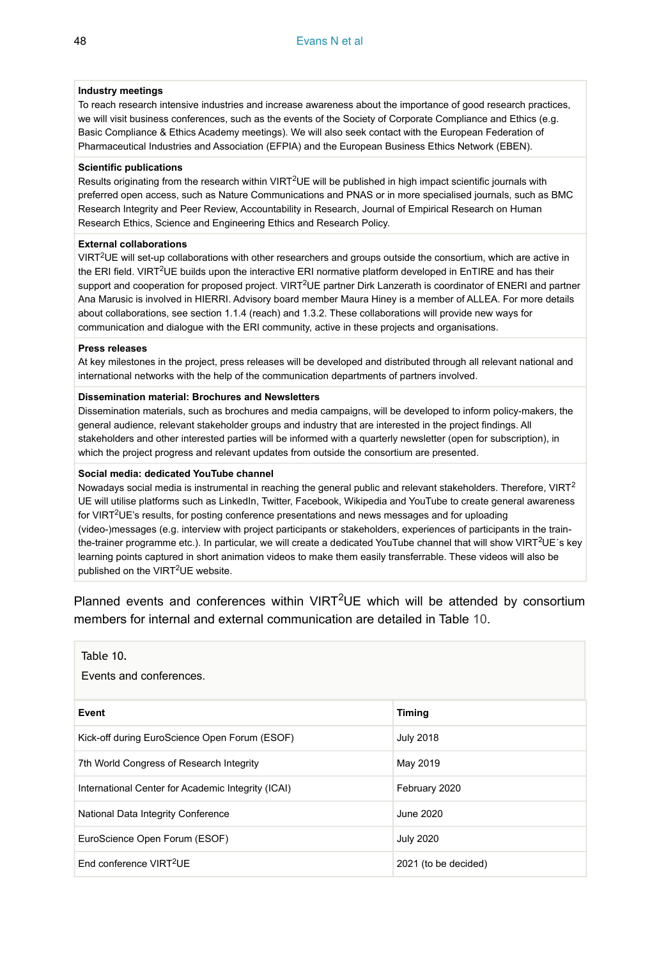#### **Industry meetings**

To reach research intensive industries and increase awareness about the importance of good research practices, we will visit business conferences, such as the events of the Society of Corporate Compliance and Ethics (e.g. Basic Compliance & Ethics Academy meetings). We will also seek contact with the European Federation of Pharmaceutical Industries and Association (EFPIA) and the European Business Ethics Network (EBEN).

#### **Scientific publications**

Results originating from the research within VIRT<sup>2</sup>UE will be published in high impact scientific journals with preferred open access, such as Nature Communications and PNAS or in more specialised journals, such as BMC Research Integrity and Peer Review, Accountability in Research, Journal of Empirical Research on Human Research Ethics, Science and Engineering Ethics and Research Policy.

#### **External collaborations**

VIRT<sup>2</sup>UE will set-up collaborations with other researchers and groups outside the consortium, which are active in the ERI field. VIRT<sup>2</sup>UE builds upon the interactive ERI normative platform developed in EnTIRE and has their support and cooperation for proposed project. VIRT<sup>2</sup>UE partner Dirk Lanzerath is coordinator of ENERI and partner Ana Marusic is involved in HIERRI. Advisory board member Maura Hiney is a member of ALLEA. For more details about collaborations, see section 1.1.4 (reach) and 1.3.2. These collaborations will provide new ways for communication and dialogue with the ERI community, active in these projects and organisations.

#### **Press releases**

At key milestones in the project, press releases will be developed and distributed through all relevant national and international networks with the help of the communication departments of partners involved.

#### **Dissemination material: Brochures and Newsletters**

Dissemination materials, such as brochures and media campaigns, will be developed to inform policy-makers, the general audience, relevant stakeholder groups and industry that are interested in the project findings. All stakeholders and other interested parties will be informed with a quarterly newsletter (open for subscription), in which the project progress and relevant updates from outside the consortium are presented.

#### **Social media: dedicated YouTube channel**

Nowadays social media is instrumental in reaching the general public and relevant stakeholders. Therefore, VIRT<sup>2</sup> UE will utilise platforms such as LinkedIn, Twitter, Facebook, Wikipedia and YouTube to create general awareness for VIRT<sup>2</sup>UE's results, for posting conference presentations and news messages and for uploading (video-)messages (e.g. interview with project participants or stakeholders, experiences of participants in the trainthe-trainer programme etc.). In particular, we will create a dedicated YouTube channel that will show VIRT<sup>2</sup>UE's key learning points captured in short animation videos to make them easily transferrable. These videos will also be published on the VIRT<sup>2</sup>UE website.

Planned events and conferences within  $VIRT^2UE$  which will be attended by consortium members for internal and external communication are detailed in Table [10](#page-47-0).

<span id="page-47-0"></span>

| Table 10.<br>Events and conferences.               |                      |
|----------------------------------------------------|----------------------|
| Event                                              | <b>Timing</b>        |
| Kick-off during EuroScience Open Forum (ESOF)      | <b>July 2018</b>     |
| 7th World Congress of Research Integrity           | May 2019             |
| International Center for Academic Integrity (ICAI) | February 2020        |
| National Data Integrity Conference                 | June 2020            |
| EuroScience Open Forum (ESOF)                      | <b>July 2020</b>     |
| End conference VIRT <sup>2</sup> UE                | 2021 (to be decided) |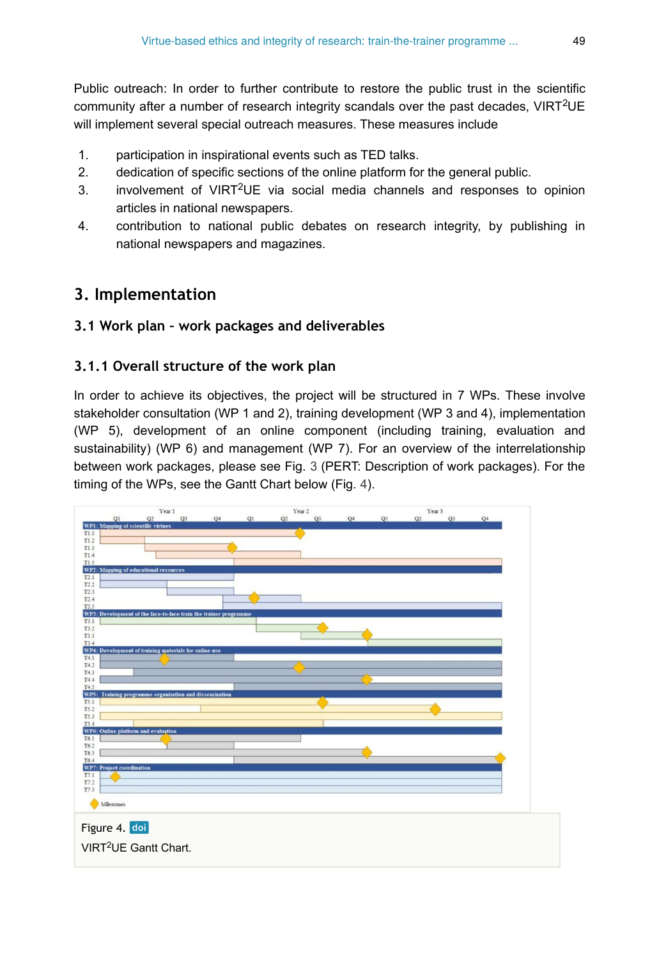Public outreach: In order to further contribute to restore the public trust in the scientific community after a number of research integrity scandals over the past decades, VIRT<sup>2</sup>UE will implement several special outreach measures. These measures include

- 1. participation in inspirational events such as TED talks.
- 2. dedication of specific sections of the online platform for the general public.
- 3. involvement of VIRT<sup>2</sup>UE via social media channels and responses to opinion articles in national newspapers.
- 4. contribution to national public debates on research integrity, by publishing in national newspapers and magazines.

# **3. Implementation**

## **3.1 Work plan – work packages and deliverables**

## **3.1.1 Overall structure of the work plan**

In order to achieve its objectives, the project will be structured in 7 WPs. These involve stakeholder consultation (WP 1 and 2), training development (WP 3 and 4), implementation (WP 5), development of an online component (including training, evaluation and sustainability) (WP 6) and management (WP 7). For an overview of the interrelationship between work packages, please see Fig. [3](#page-32-0) (PERT: Description of work packages). For the timing of the WPs, see the Gantt Chart below (Fig. [4\)](#page-48-0).

<span id="page-48-0"></span>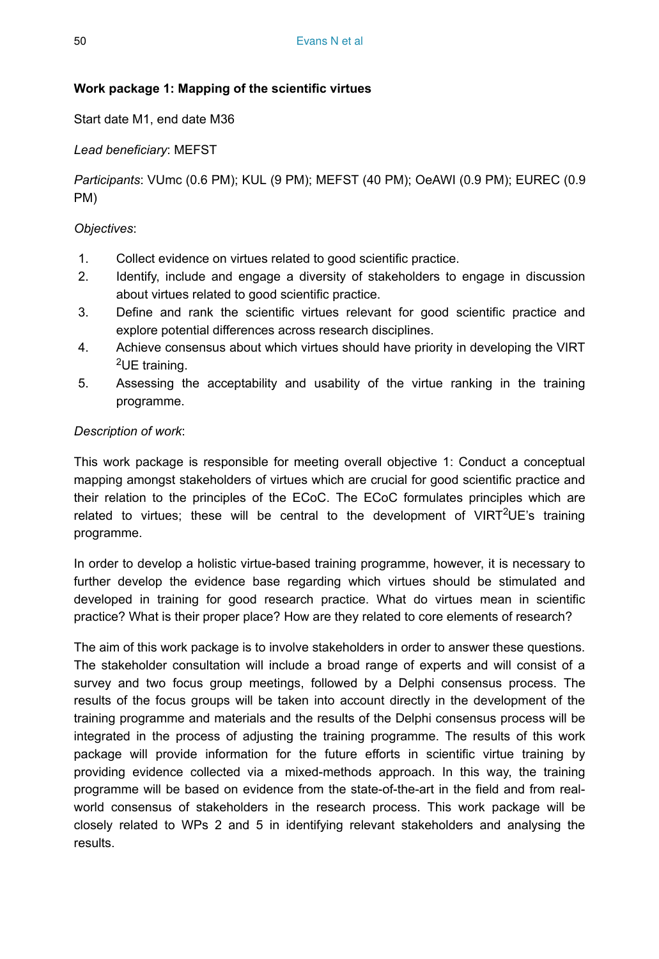## **Work package 1: Mapping of the scientific virtues**

Start date M1, end date M36

## *Lead beneficiary*: MEFST

*Participants*: VUmc (0.6 PM); KUL (9 PM); MEFST (40 PM); OeAWI (0.9 PM); EUREC (0.9 PM)

## *Objectives*:

- 1. Collect evidence on virtues related to good scientific practice.
- 2. Identify, include and engage a diversity of stakeholders to engage in discussion about virtues related to good scientific practice.
- 3. Define and rank the scientific virtues relevant for good scientific practice and explore potential differences across research disciplines.
- 4. Achieve consensus about which virtues should have priority in developing the VIRT  $2$ UE training.
- 5. Assessing the acceptability and usability of the virtue ranking in the training programme.

### *Description of work*:

This work package is responsible for meeting overall objective 1: Conduct a conceptual mapping amongst stakeholders of virtues which are crucial for good scientific practice and their relation to the principles of the ECoC. The ECoC formulates principles which are related to virtues; these will be central to the development of VIRT<sup>2</sup>UE's training programme.

In order to develop a holistic virtue-based training programme, however, it is necessary to further develop the evidence base regarding which virtues should be stimulated and developed in training for good research practice. What do virtues mean in scientific practice? What is their proper place? How are they related to core elements of research?

The aim of this work package is to involve stakeholders in order to answer these questions. The stakeholder consultation will include a broad range of experts and will consist of a survey and two focus group meetings, followed by a Delphi consensus process. The results of the focus groups will be taken into account directly in the development of the training programme and materials and the results of the Delphi consensus process will be integrated in the process of adjusting the training programme. The results of this work package will provide information for the future efforts in scientific virtue training by providing evidence collected via a mixed-methods approach. In this way, the training programme will be based on evidence from the state-of-the-art in the field and from realworld consensus of stakeholders in the research process. This work package will be closely related to WPs 2 and 5 in identifying relevant stakeholders and analysing the results.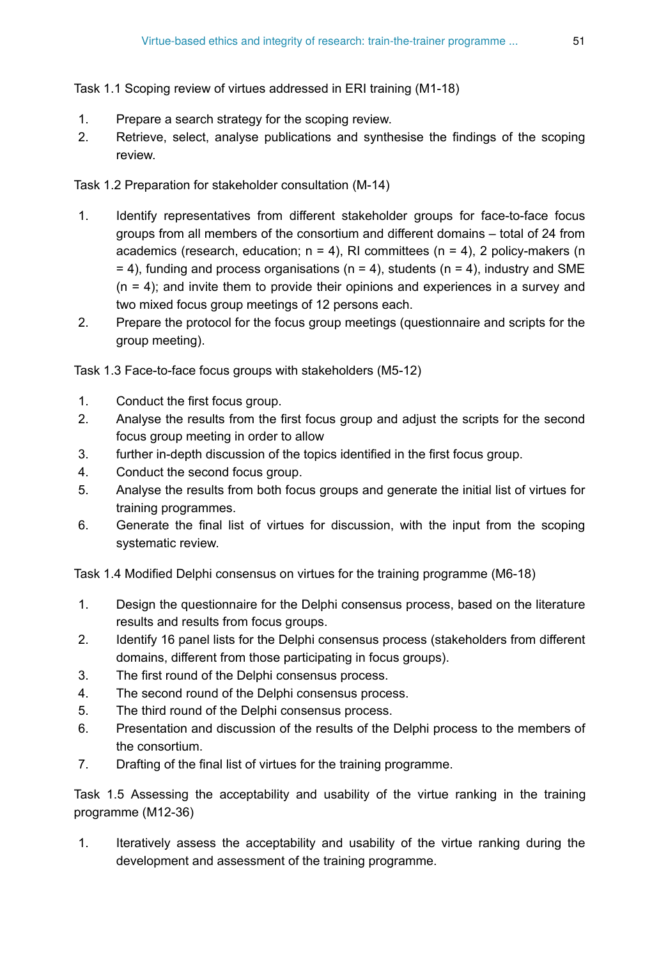Task 1.1 Scoping review of virtues addressed in ERI training (M1-18)

- 1. Prepare a search strategy for the scoping review.
- 2. Retrieve, select, analyse publications and synthesise the findings of the scoping review.

Task 1.2 Preparation for stakeholder consultation (M-14)

- 1. Identify representatives from different stakeholder groups for face-to-face focus groups from all members of the consortium and different domains – total of 24 from academics (research, education;  $n = 4$ ), RI committees ( $n = 4$ ), 2 policy-makers (n  $= 4$ ), funding and process organisations (n = 4), students (n = 4), industry and SME  $(n = 4)$ ; and invite them to provide their opinions and experiences in a survey and two mixed focus group meetings of 12 persons each.
- 2. Prepare the protocol for the focus group meetings (questionnaire and scripts for the group meeting).

Task 1.3 Face-to-face focus groups with stakeholders (M5-12)

- 1. Conduct the first focus group.
- 2. Analyse the results from the first focus group and adjust the scripts for the second focus group meeting in order to allow
- 3. further in-depth discussion of the topics identified in the first focus group.
- 4. Conduct the second focus group.
- 5. Analyse the results from both focus groups and generate the initial list of virtues for training programmes.
- 6. Generate the final list of virtues for discussion, with the input from the scoping systematic review.

Task 1.4 Modified Delphi consensus on virtues for the training programme (M6-18)

- 1. Design the questionnaire for the Delphi consensus process, based on the literature results and results from focus groups.
- 2. Identify 16 panel lists for the Delphi consensus process (stakeholders from different domains, different from those participating in focus groups).
- 3. The first round of the Delphi consensus process.
- 4. The second round of the Delphi consensus process.
- 5. The third round of the Delphi consensus process.
- 6. Presentation and discussion of the results of the Delphi process to the members of the consortium.
- 7. Drafting of the final list of virtues for the training programme.

Task 1.5 Assessing the acceptability and usability of the virtue ranking in the training programme (M12-36)

1. Iteratively assess the acceptability and usability of the virtue ranking during the development and assessment of the training programme.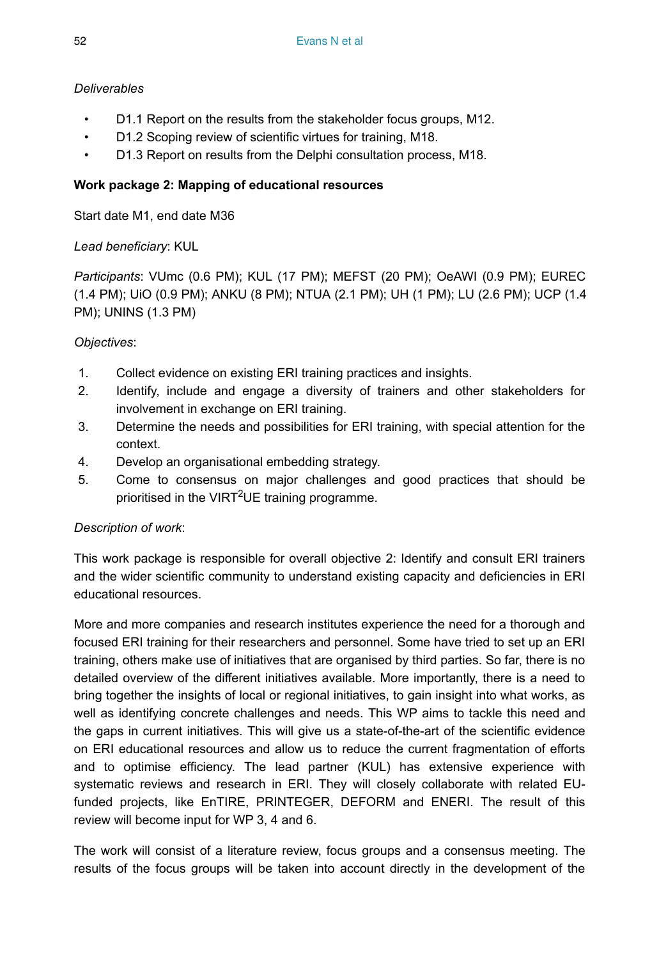## *Deliverables*

- D1.1 Report on the results from the stakeholder focus groups, M12.
- D1.2 Scoping review of scientific virtues for training, M18.
- D1.3 Report on results from the Delphi consultation process, M18.

## **Work package 2: Mapping of educational resources**

Start date M1, end date M36

## *Lead beneficiary*: KUL

*Participants*: VUmc (0.6 PM); KUL (17 PM); MEFST (20 PM); OeAWI (0.9 PM); EUREC (1.4 PM); UiO (0.9 PM); ANKU (8 PM); NTUA (2.1 PM); UH (1 PM); LU (2.6 PM); UCP (1.4 PM); UNINS (1.3 PM)

## *Objectives*:

- 1. Collect evidence on existing ERI training practices and insights.
- 2. Identify, include and engage a diversity of trainers and other stakeholders for involvement in exchange on ERI training.
- 3. Determine the needs and possibilities for ERI training, with special attention for the context.
- 4. Develop an organisational embedding strategy.
- 5. Come to consensus on major challenges and good practices that should be prioritised in the VIRT<sup>2</sup>UE training programme.

## *Description of work*:

This work package is responsible for overall objective 2: Identify and consult ERI trainers and the wider scientific community to understand existing capacity and deficiencies in ERI educational resources.

More and more companies and research institutes experience the need for a thorough and focused ERI training for their researchers and personnel. Some have tried to set up an ERI training, others make use of initiatives that are organised by third parties. So far, there is no detailed overview of the different initiatives available. More importantly, there is a need to bring together the insights of local or regional initiatives, to gain insight into what works, as well as identifying concrete challenges and needs. This WP aims to tackle this need and the gaps in current initiatives. This will give us a state-of-the-art of the scientific evidence on ERI educational resources and allow us to reduce the current fragmentation of efforts and to optimise efficiency. The lead partner (KUL) has extensive experience with systematic reviews and research in ERI. They will closely collaborate with related EUfunded projects, like EnTIRE, PRINTEGER, DEFORM and ENERI. The result of this review will become input for WP 3, 4 and 6.

The work will consist of a literature review, focus groups and a consensus meeting. The results of the focus groups will be taken into account directly in the development of the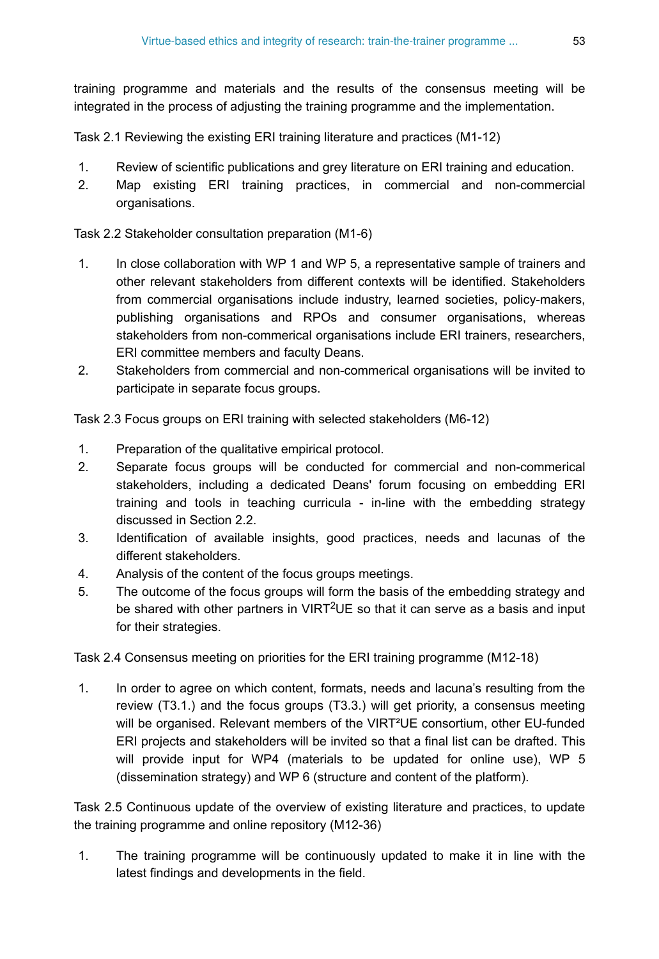training programme and materials and the results of the consensus meeting will be integrated in the process of adjusting the training programme and the implementation.

Task 2.1 Reviewing the existing ERI training literature and practices (M1-12)

- 1. Review of scientific publications and grey literature on ERI training and education.
- 2. Map existing ERI training practices, in commercial and non-commercial organisations.

Task 2.2 Stakeholder consultation preparation (M1-6)

- 1. In close collaboration with WP 1 and WP 5, a representative sample of trainers and other relevant stakeholders from different contexts will be identified. Stakeholders from commercial organisations include industry, learned societies, policy-makers, publishing organisations and RPOs and consumer organisations, whereas stakeholders from non-commerical organisations include ERI trainers, researchers, ERI committee members and faculty Deans.
- 2. Stakeholders from commercial and non-commerical organisations will be invited to participate in separate focus groups.

Task 2.3 Focus groups on ERI training with selected stakeholders (M6-12)

- 1. Preparation of the qualitative empirical protocol.
- 2. Separate focus groups will be conducted for commercial and non-commerical stakeholders, including a dedicated Deans' forum focusing on embedding ERI training and tools in teaching curricula - in-line with the embedding strategy discussed in Section 2.2.
- 3. Identification of available insights, good practices, needs and lacunas of the different stakeholders.
- 4. Analysis of the content of the focus groups meetings.
- 5. The outcome of the focus groups will form the basis of the embedding strategy and be shared with other partners in VIRT<sup>2</sup>UE so that it can serve as a basis and input for their strategies.

Task 2.4 Consensus meeting on priorities for the ERI training programme (M12-18)

1. In order to agree on which content, formats, needs and lacuna's resulting from the review (T3.1.) and the focus groups (T3.3.) will get priority, a consensus meeting will be organised. Relevant members of the VIRT²UE consortium, other EU-funded ERI projects and stakeholders will be invited so that a final list can be drafted. This will provide input for WP4 (materials to be updated for online use), WP 5 (dissemination strategy) and WP 6 (structure and content of the platform).

Task 2.5 Continuous update of the overview of existing literature and practices, to update the training programme and online repository (M12-36)

1. The training programme will be continuously updated to make it in line with the latest findings and developments in the field.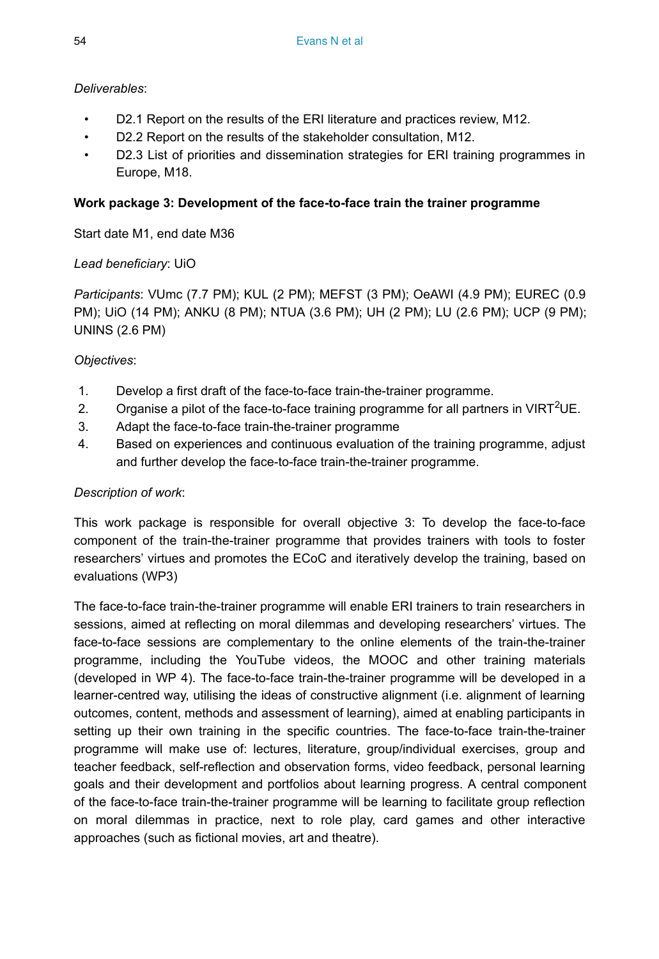## *Deliverables*:

- D2.1 Report on the results of the ERI literature and practices review, M12.
- D2.2 Report on the results of the stakeholder consultation, M12.
- D2.3 List of priorities and dissemination strategies for ERI training programmes in Europe, M18.

## **Work package 3: Development of the face-to-face train the trainer programme**

Start date M1, end date M36

## *Lead beneficiary*: UiO

*Participants*: VUmc (7.7 PM); KUL (2 PM); MEFST (3 PM); OeAWI (4.9 PM); EUREC (0.9 PM); UiO (14 PM); ANKU (8 PM); NTUA (3.6 PM); UH (2 PM); LU (2.6 PM); UCP (9 PM); UNINS (2.6 PM)

## *Objectives*:

- 1. Develop a first draft of the face-to-face train-the-trainer programme.
- 2. Organise a pilot of the face-to-face training programme for all partners in VIRT<sup>2</sup>UE.
- 3. Adapt the face-to-face train-the-trainer programme
- 4. Based on experiences and continuous evaluation of the training programme, adjust and further develop the face-to-face train-the-trainer programme.

### *Description of work*:

This work package is responsible for overall objective 3: To develop the face-to-face component of the train-the-trainer programme that provides trainers with tools to foster researchers' virtues and promotes the ECoC and iteratively develop the training, based on evaluations (WP3)

The face-to-face train-the-trainer programme will enable ERI trainers to train researchers in sessions, aimed at reflecting on moral dilemmas and developing researchers' virtues. The face-to-face sessions are complementary to the online elements of the train-the-trainer programme, including the YouTube videos, the MOOC and other training materials (developed in WP 4). The face-to-face train-the-trainer programme will be developed in a learner-centred way, utilising the ideas of constructive alignment (i.e. alignment of learning outcomes, content, methods and assessment of learning), aimed at enabling participants in setting up their own training in the specific countries. The face-to-face train-the-trainer programme will make use of: lectures, literature, group/individual exercises, group and teacher feedback, self-reflection and observation forms, video feedback, personal learning goals and their development and portfolios about learning progress. A central component of the face-to-face train-the-trainer programme will be learning to facilitate group reflection on moral dilemmas in practice, next to role play, card games and other interactive approaches (such as fictional movies, art and theatre).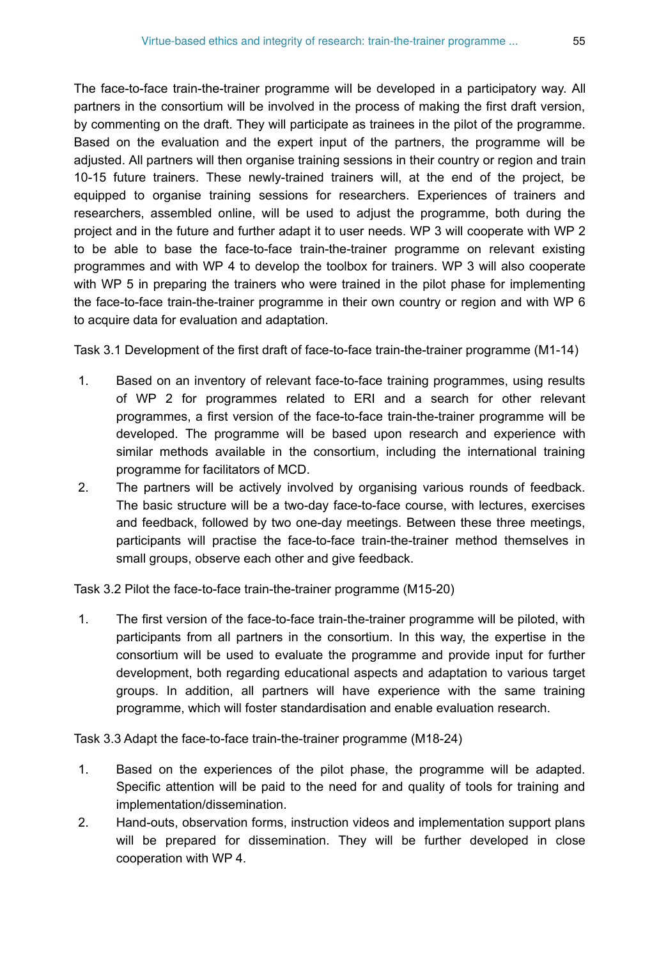The face-to-face train-the-trainer programme will be developed in a participatory way. All partners in the consortium will be involved in the process of making the first draft version, by commenting on the draft. They will participate as trainees in the pilot of the programme. Based on the evaluation and the expert input of the partners, the programme will be adjusted. All partners will then organise training sessions in their country or region and train 10-15 future trainers. These newly-trained trainers will, at the end of the project, be equipped to organise training sessions for researchers. Experiences of trainers and researchers, assembled online, will be used to adjust the programme, both during the project and in the future and further adapt it to user needs. WP 3 will cooperate with WP 2 to be able to base the face-to-face train-the-trainer programme on relevant existing programmes and with WP 4 to develop the toolbox for trainers. WP 3 will also cooperate with WP 5 in preparing the trainers who were trained in the pilot phase for implementing the face-to-face train-the-trainer programme in their own country or region and with WP 6 to acquire data for evaluation and adaptation.

Task 3.1 Development of the first draft of face-to-face train-the-trainer programme (M1-14)

- 1. Based on an inventory of relevant face-to-face training programmes, using results of WP 2 for programmes related to ERI and a search for other relevant programmes, a first version of the face-to-face train-the-trainer programme will be developed. The programme will be based upon research and experience with similar methods available in the consortium, including the international training programme for facilitators of MCD.
- 2. The partners will be actively involved by organising various rounds of feedback. The basic structure will be a two-day face-to-face course, with lectures, exercises and feedback, followed by two one-day meetings. Between these three meetings, participants will practise the face-to-face train-the-trainer method themselves in small groups, observe each other and give feedback.

Task 3.2 Pilot the face-to-face train-the-trainer programme (M15-20)

1. The first version of the face-to-face train-the-trainer programme will be piloted, with participants from all partners in the consortium. In this way, the expertise in the consortium will be used to evaluate the programme and provide input for further development, both regarding educational aspects and adaptation to various target groups. In addition, all partners will have experience with the same training programme, which will foster standardisation and enable evaluation research.

Task 3.3 Adapt the face-to-face train-the-trainer programme (M18-24)

- 1. Based on the experiences of the pilot phase, the programme will be adapted. Specific attention will be paid to the need for and quality of tools for training and implementation/dissemination.
- 2. Hand-outs, observation forms, instruction videos and implementation support plans will be prepared for dissemination. They will be further developed in close cooperation with WP 4.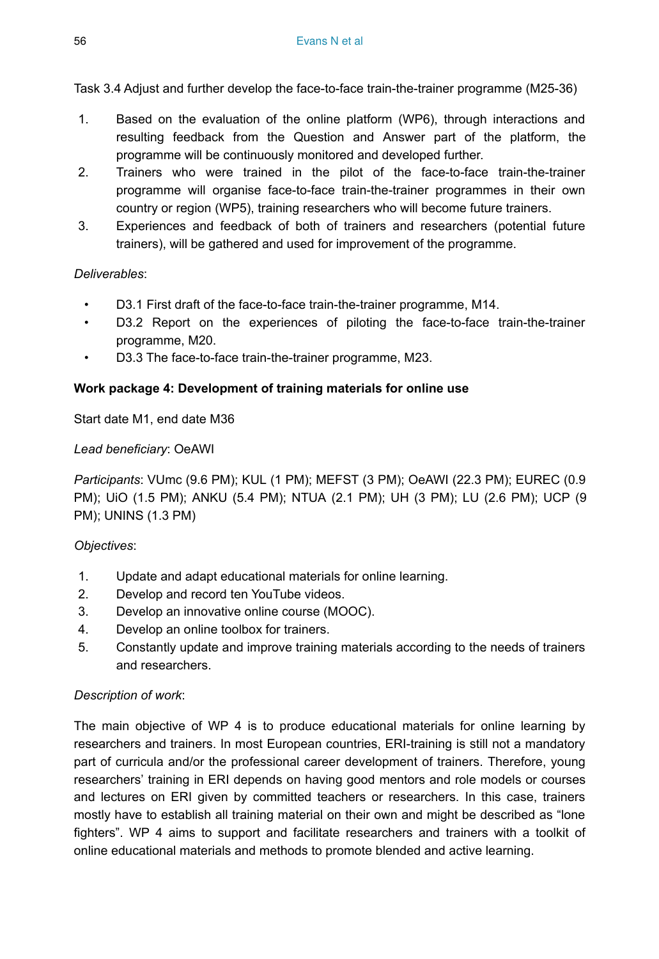Task 3.4 Adjust and further develop the face-to-face train-the-trainer programme (M25-36)

- 1. Based on the evaluation of the online platform (WP6), through interactions and resulting feedback from the Question and Answer part of the platform, the programme will be continuously monitored and developed further.
- 2. Trainers who were trained in the pilot of the face-to-face train-the-trainer programme will organise face-to-face train-the-trainer programmes in their own country or region (WP5), training researchers who will become future trainers.
- 3. Experiences and feedback of both of trainers and researchers (potential future trainers), will be gathered and used for improvement of the programme.

#### *Deliverables*:

- D3.1 First draft of the face-to-face train-the-trainer programme, M14.
- D3.2 Report on the experiences of piloting the face-to-face train-the-trainer programme, M20.
- D3.3 The face-to-face train-the-trainer programme, M23.

#### **Work package 4: Development of training materials for online use**

Start date M1, end date M36

#### *Lead beneficiary*: OeAWI

*Participants*: VUmc (9.6 PM); KUL (1 PM); MEFST (3 PM); OeAWI (22.3 PM); EUREC (0.9 PM); UiO (1.5 PM); ANKU (5.4 PM); NTUA (2.1 PM); UH (3 PM); LU (2.6 PM); UCP (9 PM); UNINS (1.3 PM)

### *Objectives*:

- 1. Update and adapt educational materials for online learning.
- 2. Develop and record ten YouTube videos.
- 3. Develop an innovative online course (MOOC).
- 4. Develop an online toolbox for trainers.
- 5. Constantly update and improve training materials according to the needs of trainers and researchers.

#### *Description of work*:

The main objective of WP 4 is to produce educational materials for online learning by researchers and trainers. In most European countries, ERI-training is still not a mandatory part of curricula and/or the professional career development of trainers. Therefore, young researchers' training in ERI depends on having good mentors and role models or courses and lectures on ERI given by committed teachers or researchers. In this case, trainers mostly have to establish all training material on their own and might be described as "lone fighters". WP 4 aims to support and facilitate researchers and trainers with a toolkit of online educational materials and methods to promote blended and active learning.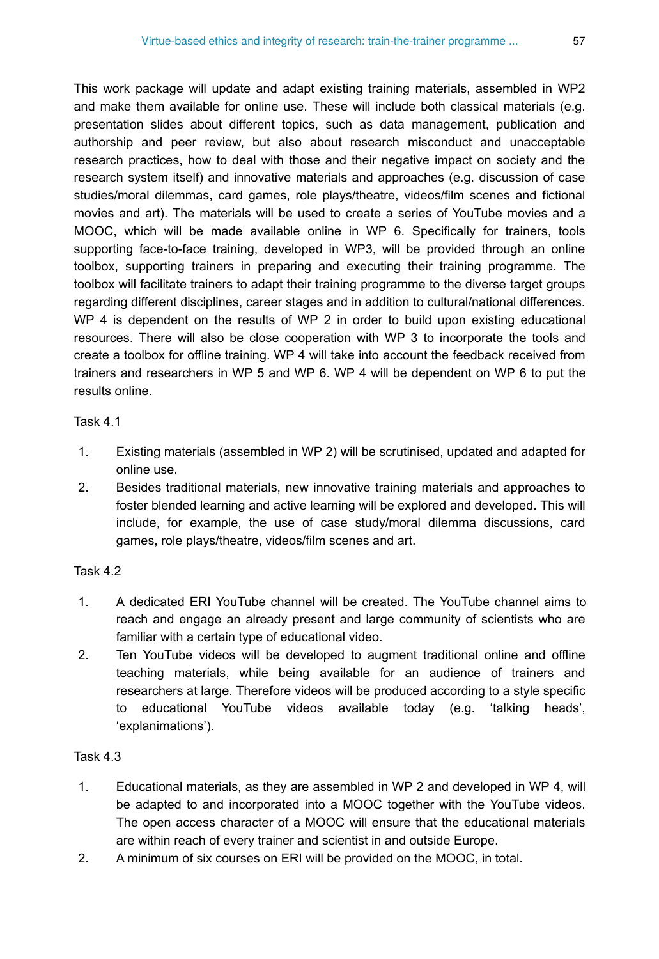This work package will update and adapt existing training materials, assembled in WP2 and make them available for online use. These will include both classical materials (e.g. presentation slides about different topics, such as data management, publication and authorship and peer review, but also about research misconduct and unacceptable research practices, how to deal with those and their negative impact on society and the research system itself) and innovative materials and approaches (e.g. discussion of case studies/moral dilemmas, card games, role plays/theatre, videos/film scenes and fictional movies and art). The materials will be used to create a series of YouTube movies and a MOOC, which will be made available online in WP 6. Specifically for trainers, tools supporting face-to-face training, developed in WP3, will be provided through an online toolbox, supporting trainers in preparing and executing their training programme. The toolbox will facilitate trainers to adapt their training programme to the diverse target groups regarding different disciplines, career stages and in addition to cultural/national differences. WP 4 is dependent on the results of WP 2 in order to build upon existing educational resources. There will also be close cooperation with WP 3 to incorporate the tools and create a toolbox for offline training. WP 4 will take into account the feedback received from trainers and researchers in WP 5 and WP 6. WP 4 will be dependent on WP 6 to put the results online.

#### Task 4.1

- 1. Existing materials (assembled in WP 2) will be scrutinised, updated and adapted for online use.
- 2. Besides traditional materials, new innovative training materials and approaches to foster blended learning and active learning will be explored and developed. This will include, for example, the use of case study/moral dilemma discussions, card games, role plays/theatre, videos/film scenes and art.

### Task 4.2

- 1. A dedicated ERI YouTube channel will be created. The YouTube channel aims to reach and engage an already present and large community of scientists who are familiar with a certain type of educational video.
- 2. Ten YouTube videos will be developed to augment traditional online and offline teaching materials, while being available for an audience of trainers and researchers at large. Therefore videos will be produced according to a style specific to educational YouTube videos available today (e.g. 'talking heads', 'explanimations').

### Task 4.3

- 1. Educational materials, as they are assembled in WP 2 and developed in WP 4, will be adapted to and incorporated into a MOOC together with the YouTube videos. The open access character of a MOOC will ensure that the educational materials are within reach of every trainer and scientist in and outside Europe.
- 2. A minimum of six courses on ERI will be provided on the MOOC, in total.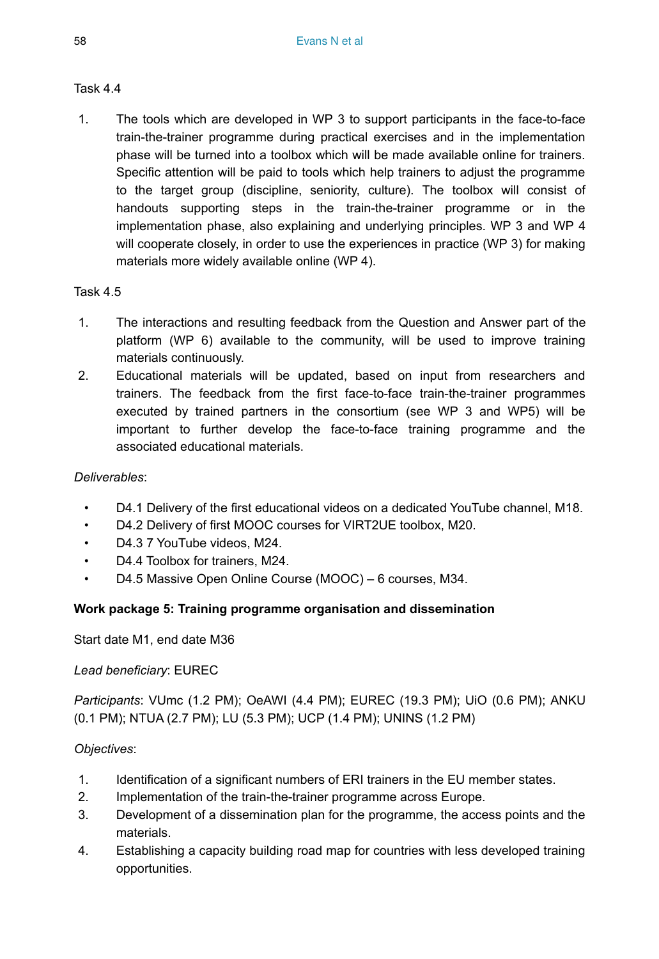## Task 4.4

1. The tools which are developed in WP 3 to support participants in the face-to-face train-the-trainer programme during practical exercises and in the implementation phase will be turned into a toolbox which will be made available online for trainers. Specific attention will be paid to tools which help trainers to adjust the programme to the target group (discipline, seniority, culture). The toolbox will consist of handouts supporting steps in the train-the-trainer programme or in the implementation phase, also explaining and underlying principles. WP 3 and WP 4 will cooperate closely, in order to use the experiences in practice (WP 3) for making materials more widely available online (WP 4).

## Task 4.5

- 1. The interactions and resulting feedback from the Question and Answer part of the platform (WP 6) available to the community, will be used to improve training materials continuously.
- 2. Educational materials will be updated, based on input from researchers and trainers. The feedback from the first face-to-face train-the-trainer programmes executed by trained partners in the consortium (see WP 3 and WP5) will be important to further develop the face-to-face training programme and the associated educational materials.

### *Deliverables*:

- D4.1 Delivery of the first educational videos on a dedicated YouTube channel, M18.
- D4.2 Delivery of first MOOC courses for VIRT2UE toolbox, M20.
- D4.3 7 YouTube videos, M24.
- D4.4 Toolbox for trainers, M24.
- D4.5 Massive Open Online Course (MOOC) 6 courses, M34.

## **Work package 5: Training programme organisation and dissemination**

Start date M1, end date M36

### *Lead beneficiary*: EUREC

*Participants*: VUmc (1.2 PM); OeAWI (4.4 PM); EUREC (19.3 PM); UiO (0.6 PM); ANKU (0.1 PM); NTUA (2.7 PM); LU (5.3 PM); UCP (1.4 PM); UNINS (1.2 PM)

### *Objectives*:

- 1. Identification of a significant numbers of ERI trainers in the EU member states.
- 2. Implementation of the train-the-trainer programme across Europe.
- 3. Development of a dissemination plan for the programme, the access points and the materials.
- 4. Establishing a capacity building road map for countries with less developed training opportunities.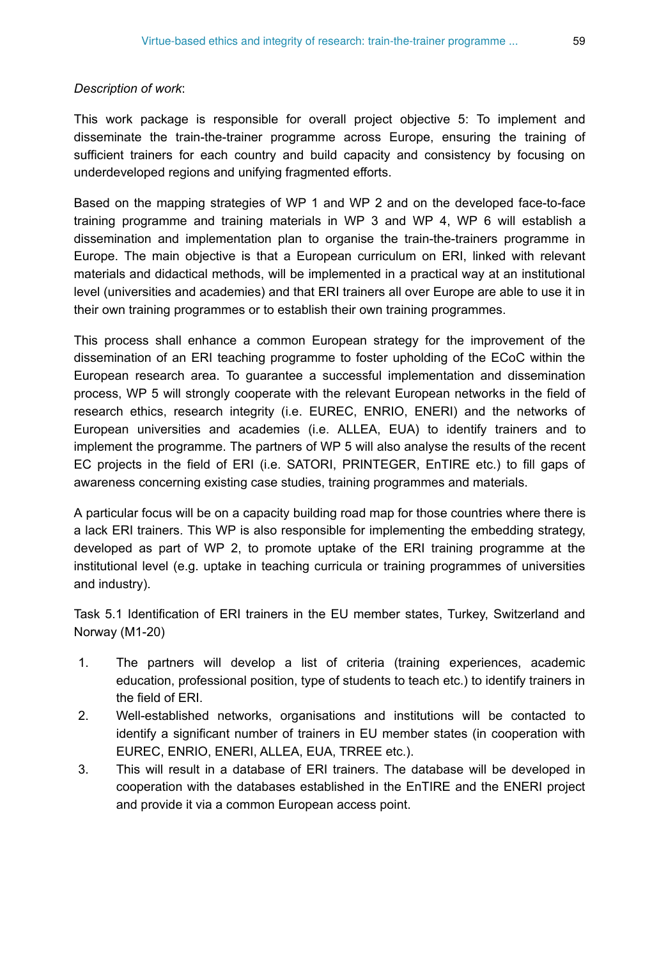#### *Description of work*:

This work package is responsible for overall project objective 5: To implement and disseminate the train-the-trainer programme across Europe, ensuring the training of sufficient trainers for each country and build capacity and consistency by focusing on underdeveloped regions and unifying fragmented efforts.

Based on the mapping strategies of WP 1 and WP 2 and on the developed face-to-face training programme and training materials in WP 3 and WP 4, WP 6 will establish a dissemination and implementation plan to organise the train-the-trainers programme in Europe. The main objective is that a European curriculum on ERI, linked with relevant materials and didactical methods, will be implemented in a practical way at an institutional level (universities and academies) and that ERI trainers all over Europe are able to use it in their own training programmes or to establish their own training programmes.

This process shall enhance a common European strategy for the improvement of the dissemination of an ERI teaching programme to foster upholding of the ECoC within the European research area. To guarantee a successful implementation and dissemination process, WP 5 will strongly cooperate with the relevant European networks in the field of research ethics, research integrity (i.e. EUREC, ENRIO, ENERI) and the networks of European universities and academies (i.e. ALLEA, EUA) to identify trainers and to implement the programme. The partners of WP 5 will also analyse the results of the recent EC projects in the field of ERI (i.e. SATORI, PRINTEGER, EnTIRE etc.) to fill gaps of awareness concerning existing case studies, training programmes and materials.

A particular focus will be on a capacity building road map for those countries where there is a lack ERI trainers. This WP is also responsible for implementing the embedding strategy, developed as part of WP 2, to promote uptake of the ERI training programme at the institutional level (e.g. uptake in teaching curricula or training programmes of universities and industry).

Task 5.1 Identification of ERI trainers in the EU member states, Turkey, Switzerland and Norway (M1-20)

- 1. The partners will develop a list of criteria (training experiences, academic education, professional position, type of students to teach etc.) to identify trainers in the field of ERI.
- 2. Well-established networks, organisations and institutions will be contacted to identify a significant number of trainers in EU member states (in cooperation with EUREC, ENRIO, ENERI, ALLEA, EUA, TRREE etc.).
- 3. This will result in a database of ERI trainers. The database will be developed in cooperation with the databases established in the EnTIRE and the ENERI project and provide it via a common European access point.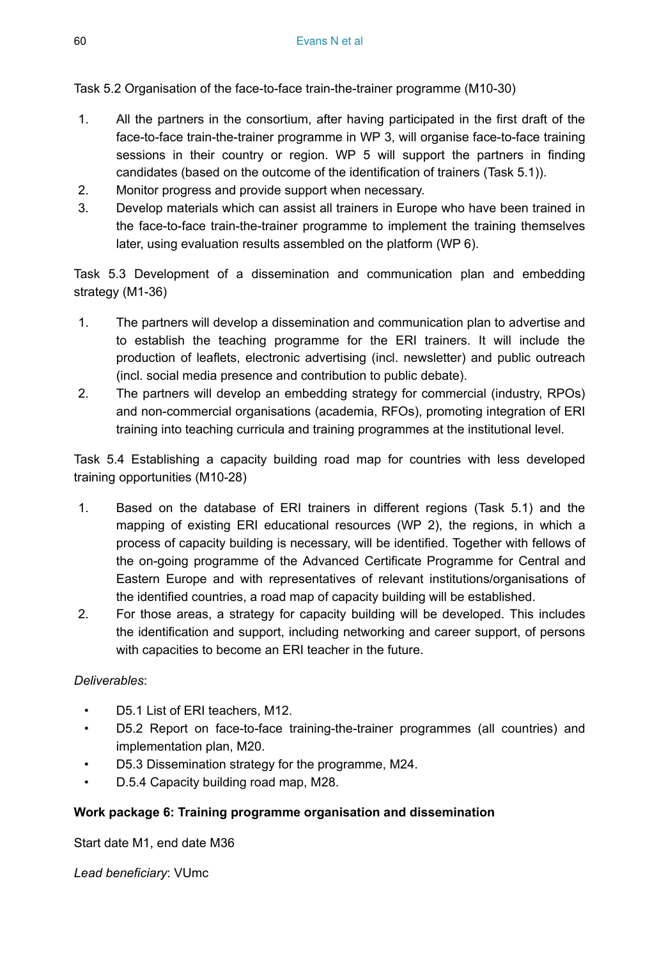Task 5.2 Organisation of the face-to-face train-the-trainer programme (M10-30)

- 1. All the partners in the consortium, after having participated in the first draft of the face-to-face train-the-trainer programme in WP 3, will organise face-to-face training sessions in their country or region. WP 5 will support the partners in finding candidates (based on the outcome of the identification of trainers (Task 5.1)).
- 2. Monitor progress and provide support when necessary.
- 3. Develop materials which can assist all trainers in Europe who have been trained in the face-to-face train-the-trainer programme to implement the training themselves later, using evaluation results assembled on the platform (WP 6).

Task 5.3 Development of a dissemination and communication plan and embedding strategy (M1-36)

- 1. The partners will develop a dissemination and communication plan to advertise and to establish the teaching programme for the ERI trainers. It will include the production of leaflets, electronic advertising (incl. newsletter) and public outreach (incl. social media presence and contribution to public debate).
- 2. The partners will develop an embedding strategy for commercial (industry, RPOs) and non-commercial organisations (academia, RFOs), promoting integration of ERI training into teaching curricula and training programmes at the institutional level.

Task 5.4 Establishing a capacity building road map for countries with less developed training opportunities (M10-28)

- 1. Based on the database of ERI trainers in different regions (Task 5.1) and the mapping of existing ERI educational resources (WP 2), the regions, in which a process of capacity building is necessary, will be identified. Together with fellows of the on-going programme of the Advanced Certificate Programme for Central and Eastern Europe and with representatives of relevant institutions/organisations of the identified countries, a road map of capacity building will be established.
- 2. For those areas, a strategy for capacity building will be developed. This includes the identification and support, including networking and career support, of persons with capacities to become an ERI teacher in the future.

### *Deliverables*:

- D5.1 List of ERI teachers, M12.
- D5.2 Report on face-to-face training-the-trainer programmes (all countries) and implementation plan, M20.
- D5.3 Dissemination strategy for the programme, M24.
- D.5.4 Capacity building road map, M28.

### **Work package 6: Training programme organisation and dissemination**

Start date M1, end date M36

*Lead beneficiary*: VUmc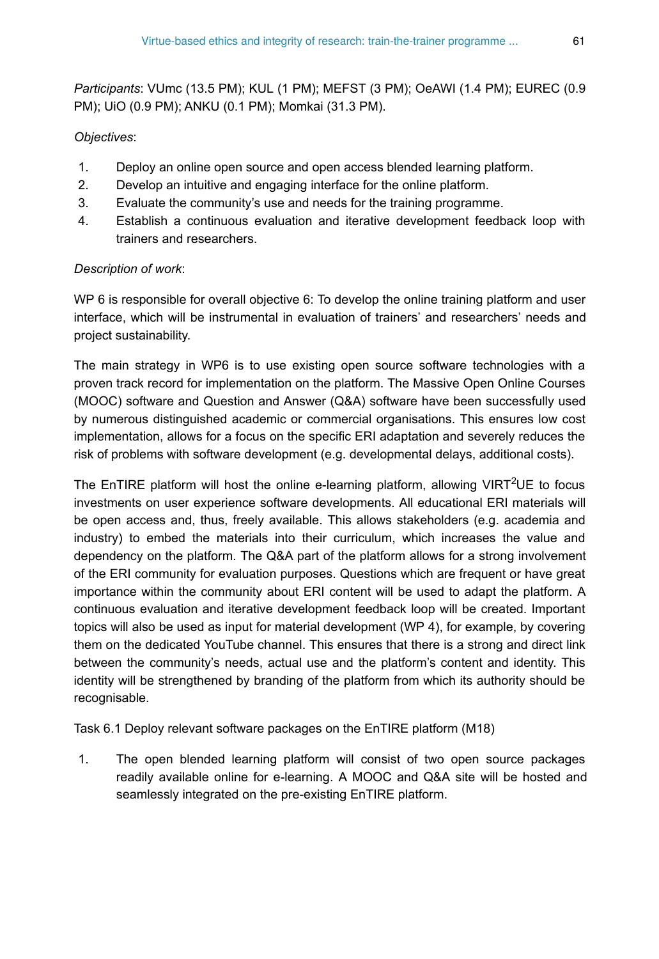*Participants*: VUmc (13.5 PM); KUL (1 PM); MEFST (3 PM); OeAWI (1.4 PM); EUREC (0.9 PM); UiO (0.9 PM); ANKU (0.1 PM); Momkai (31.3 PM).

## *Objectives*:

- 1. Deploy an online open source and open access blended learning platform.
- 2. Develop an intuitive and engaging interface for the online platform.
- 3. Evaluate the community's use and needs for the training programme.
- 4. Establish a continuous evaluation and iterative development feedback loop with trainers and researchers.

### *Description of work*:

WP 6 is responsible for overall objective 6: To develop the online training platform and user interface, which will be instrumental in evaluation of trainers' and researchers' needs and project sustainability.

The main strategy in WP6 is to use existing open source software technologies with a proven track record for implementation on the platform. The Massive Open Online Courses (MOOC) software and Question and Answer (Q&A) software have been successfully used by numerous distinguished academic or commercial organisations. This ensures low cost implementation, allows for a focus on the specific ERI adaptation and severely reduces the risk of problems with software development (e.g. developmental delays, additional costs).

The EnTIRE platform will host the online e-learning platform, allowing VIRT<sup>2</sup>UE to focus investments on user experience software developments. All educational ERI materials will be open access and, thus, freely available. This allows stakeholders (e.g. academia and industry) to embed the materials into their curriculum, which increases the value and dependency on the platform. The Q&A part of the platform allows for a strong involvement of the ERI community for evaluation purposes. Questions which are frequent or have great importance within the community about ERI content will be used to adapt the platform. A continuous evaluation and iterative development feedback loop will be created. Important topics will also be used as input for material development (WP 4), for example, by covering them on the dedicated YouTube channel. This ensures that there is a strong and direct link between the community's needs, actual use and the platform's content and identity. This identity will be strengthened by branding of the platform from which its authority should be recognisable.

Task 6.1 Deploy relevant software packages on the EnTIRE platform (M18)

1. The open blended learning platform will consist of two open source packages readily available online for e-learning. A MOOC and Q&A site will be hosted and seamlessly integrated on the pre-existing EnTIRE platform.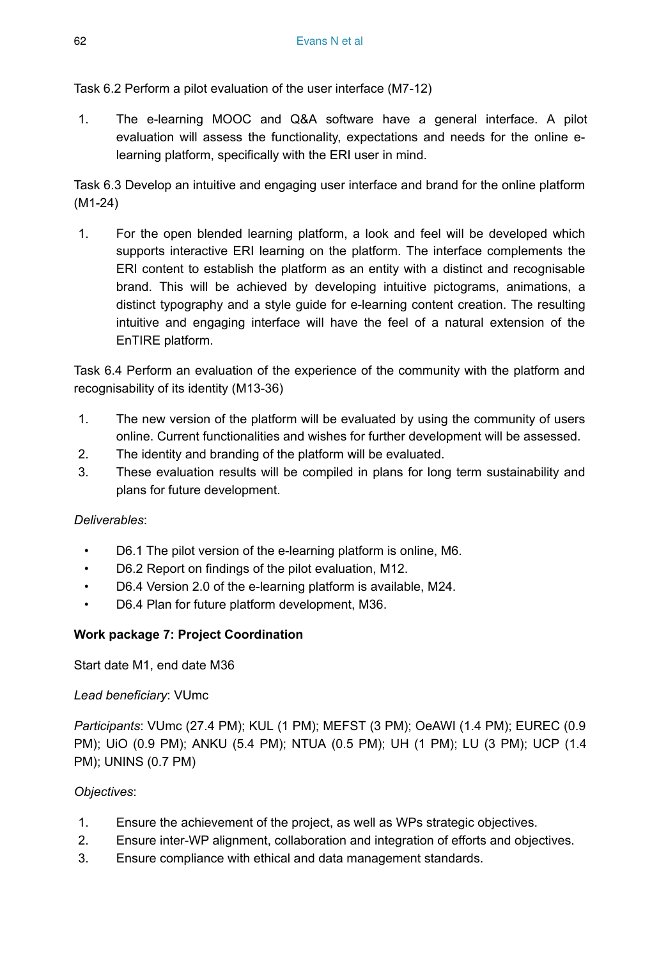Task 6.2 Perform a pilot evaluation of the user interface (M7-12)

1. The e-learning MOOC and Q&A software have a general interface. A pilot evaluation will assess the functionality, expectations and needs for the online elearning platform, specifically with the ERI user in mind.

Task 6.3 Develop an intuitive and engaging user interface and brand for the online platform (M1-24)

1. For the open blended learning platform, a look and feel will be developed which supports interactive ERI learning on the platform. The interface complements the ERI content to establish the platform as an entity with a distinct and recognisable brand. This will be achieved by developing intuitive pictograms, animations, a distinct typography and a style guide for e-learning content creation. The resulting intuitive and engaging interface will have the feel of a natural extension of the EnTIRE platform.

Task 6.4 Perform an evaluation of the experience of the community with the platform and recognisability of its identity (M13-36)

- 1. The new version of the platform will be evaluated by using the community of users online. Current functionalities and wishes for further development will be assessed.
- 2. The identity and branding of the platform will be evaluated.
- 3. These evaluation results will be compiled in plans for long term sustainability and plans for future development.

### *Deliverables*:

- D6.1 The pilot version of the e-learning platform is online, M6.
- D6.2 Report on findings of the pilot evaluation, M12.
- D6.4 Version 2.0 of the e-learning platform is available, M24.
- D6.4 Plan for future platform development, M36.

### **Work package 7: Project Coordination**

Start date M1, end date M36

### *Lead beneficiary*: VUmc

*Participants*: VUmc (27.4 PM); KUL (1 PM); MEFST (3 PM); OeAWI (1.4 PM); EUREC (0.9 PM); UiO (0.9 PM); ANKU (5.4 PM); NTUA (0.5 PM); UH (1 PM); LU (3 PM); UCP (1.4 PM); UNINS (0.7 PM)

### *Objectives*:

- 1. Ensure the achievement of the project, as well as WPs strategic objectives.
- 2. Ensure inter-WP alignment, collaboration and integration of efforts and objectives.
- 3. Ensure compliance with ethical and data management standards.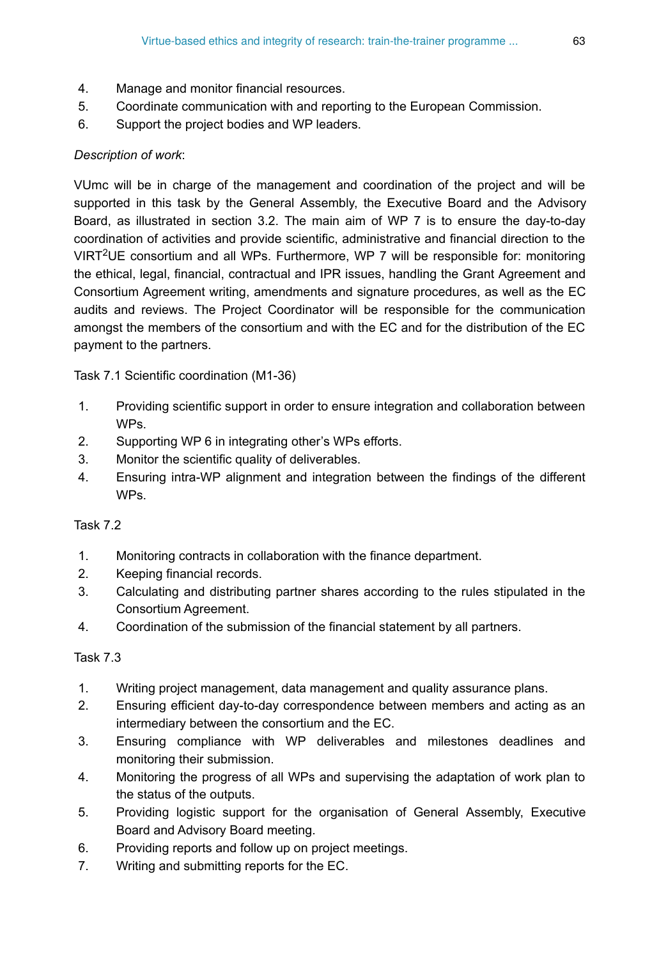- 4. Manage and monitor financial resources.
- 5. Coordinate communication with and reporting to the European Commission.
- 6. Support the project bodies and WP leaders.

## *Description of work*:

VUmc will be in charge of the management and coordination of the project and will be supported in this task by the General Assembly, the Executive Board and the Advisory Board, as illustrated in section 3.2. The main aim of WP 7 is to ensure the day-to-day coordination of activities and provide scientific, administrative and financial direction to the VIRT<sup>2</sup>UE consortium and all WPs. Furthermore, WP 7 will be responsible for: monitoring the ethical, legal, financial, contractual and IPR issues, handling the Grant Agreement and Consortium Agreement writing, amendments and signature procedures, as well as the EC audits and reviews. The Project Coordinator will be responsible for the communication amongst the members of the consortium and with the EC and for the distribution of the EC payment to the partners.

Task 7.1 Scientific coordination (M1-36)

- 1. Providing scientific support in order to ensure integration and collaboration between WPs.
- 2. Supporting WP 6 in integrating other's WPs efforts.
- 3. Monitor the scientific quality of deliverables.
- 4. Ensuring intra-WP alignment and integration between the findings of the different WPs.

### Task 7.2

- 1. Monitoring contracts in collaboration with the finance department.
- 2. Keeping financial records.
- 3. Calculating and distributing partner shares according to the rules stipulated in the Consortium Agreement.
- 4. Coordination of the submission of the financial statement by all partners.

### Task 7.3

- 1. Writing project management, data management and quality assurance plans.
- 2. Ensuring efficient day-to-day correspondence between members and acting as an intermediary between the consortium and the EC.
- 3. Ensuring compliance with WP deliverables and milestones deadlines and monitoring their submission.
- 4. Monitoring the progress of all WPs and supervising the adaptation of work plan to the status of the outputs.
- 5. Providing logistic support for the organisation of General Assembly, Executive Board and Advisory Board meeting.
- 6. Providing reports and follow up on project meetings.
- 7. Writing and submitting reports for the EC.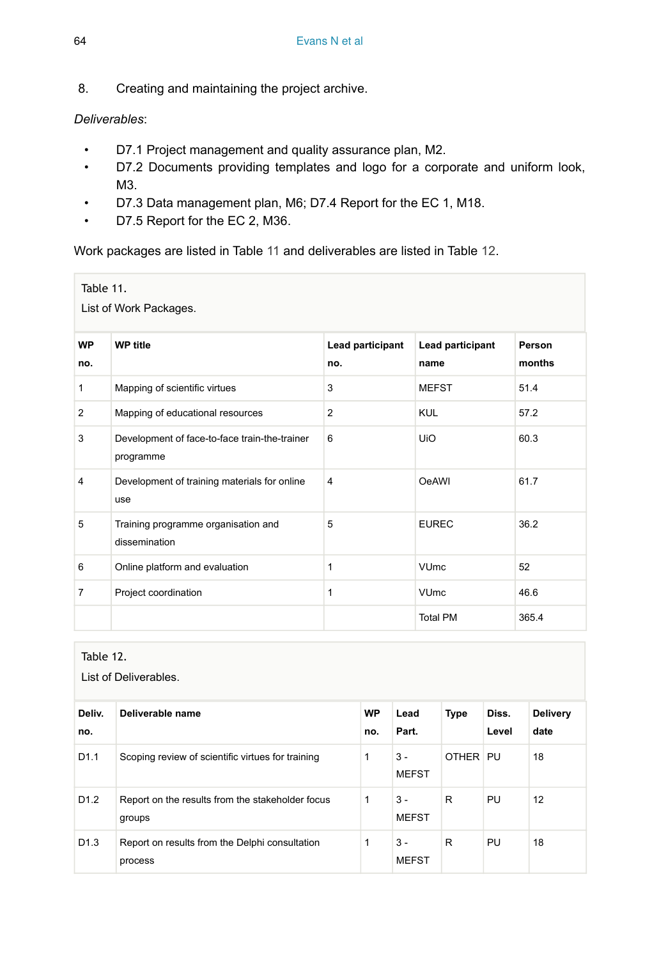8. Creating and maintaining the project archive.

## *Deliverables*:

- D7.1 Project management and quality assurance plan, M2.
- D7.2 Documents providing templates and logo for a corporate and uniform look, M3.
- D7.3 Data management plan, M6; D7.4 Report for the EC 1, M18.
- D7.5 Report for the EC 2, M36.

Work packages are listed in Table [11](#page-63-0) and deliverables are listed in Table [12](#page-63-1).

<span id="page-63-0"></span>

| Table 11.    | List of Work Packages.                                     |                         |                          |                  |
|--------------|------------------------------------------------------------|-------------------------|--------------------------|------------------|
| WP<br>no.    | <b>WP title</b>                                            | Lead participant<br>no. | Lead participant<br>name | Person<br>months |
| $\mathbf{1}$ | Mapping of scientific virtues                              | 3                       | <b>MEFST</b>             | 51.4             |
| 2            | Mapping of educational resources                           | 2                       | <b>KUL</b>               | 57.2             |
| 3            | Development of face-to-face train-the-trainer<br>programme | 6                       | UiO                      | 60.3             |
| 4            | Development of training materials for online<br>use        | 4                       | <b>OeAWI</b>             | 61.7             |
| 5            | Training programme organisation and<br>dissemination       | 5                       | <b>EUREC</b>             | 36.2             |
| 6            | Online platform and evaluation                             | 1                       | <b>VUmc</b>              | 52               |
| 7            | Project coordination                                       | 1                       | <b>VUmc</b>              | 46.6             |
|              |                                                            |                         | <b>Total PM</b>          | 365.4            |

<span id="page-63-1"></span>Table 12.

| List of Deliverables. |                                                            |                  |                       |             |                |                         |
|-----------------------|------------------------------------------------------------|------------------|-----------------------|-------------|----------------|-------------------------|
| Deliv.<br>no.         | Deliverable name                                           | <b>WP</b><br>no. | Lead<br>Part.         | <b>Type</b> | Diss.<br>Level | <b>Delivery</b><br>date |
| D <sub>1.1</sub>      | Scoping review of scientific virtues for training          | 1                | $3 -$<br><b>MEFST</b> | OTHER PU    |                | 18                      |
| D <sub>1.2</sub>      | Report on the results from the stakeholder focus<br>groups | 1                | $3 -$<br><b>MEFST</b> | R           | <b>PU</b>      | 12                      |
| D <sub>1.3</sub>      | Report on results from the Delphi consultation<br>process  | 1                | $3 -$<br><b>MEFST</b> | R           | <b>PU</b>      | 18                      |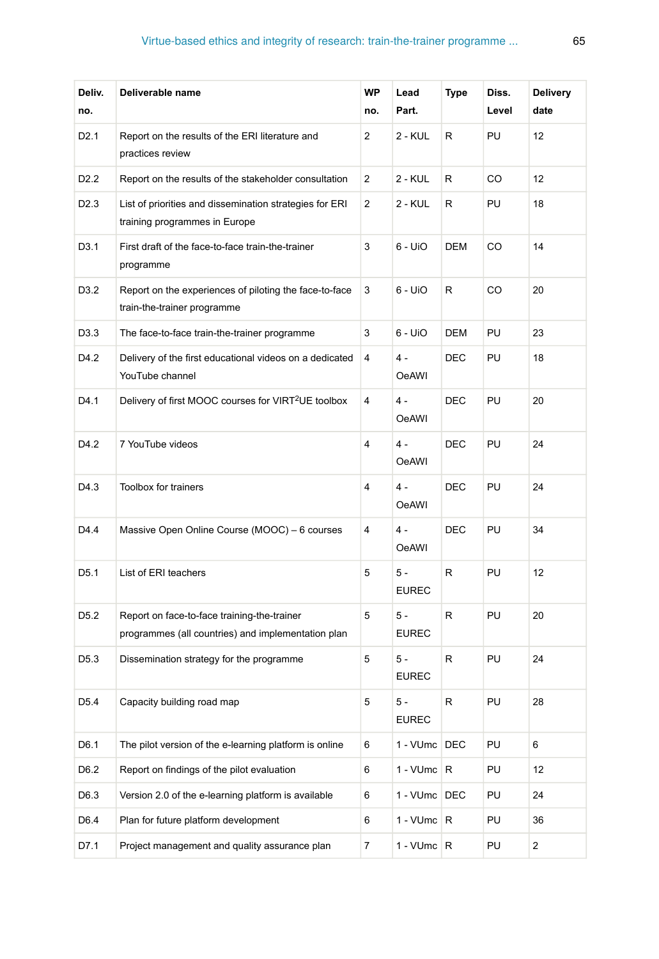# Virtue-based ethics and integrity of research: train-the-trainer programme ... 65

| Deliv.<br>no.    | Deliverable name                                                                                  | WP<br>no.      | Lead<br>Part.         | Type       | Diss.<br>Level | <b>Delivery</b><br>date |
|------------------|---------------------------------------------------------------------------------------------------|----------------|-----------------------|------------|----------------|-------------------------|
| D <sub>2.1</sub> | Report on the results of the ERI literature and<br>practices review                               | $\overline{2}$ | 2 - KUL               | R          | PU             | 12                      |
| D <sub>2.2</sub> | Report on the results of the stakeholder consultation                                             | 2              | 2 - KUL               | R          | CO             | 12                      |
| D <sub>2.3</sub> | List of priorities and dissemination strategies for ERI<br>training programmes in Europe          | $\overline{2}$ | 2 - KUL               | R          | PU             | 18                      |
| D3.1             | First draft of the face-to-face train-the-trainer<br>programme                                    | 3              | $6 - Ui$              | DEM        | CO             | 14                      |
| D3.2             | Report on the experiences of piloting the face-to-face<br>train-the-trainer programme             | 3              | $6 - Ui$              | R          | CO             | 20                      |
| D3.3             | The face-to-face train-the-trainer programme                                                      | 3              | $6 - U10$             | DEM        | PU             | 23                      |
| D4.2             | Delivery of the first educational videos on a dedicated<br>YouTube channel                        | 4              | $4 -$<br>OeAWI        | DEC        | PU             | 18                      |
| D4.1             | Delivery of first MOOC courses for VIRT <sup>2</sup> UE toolbox                                   | 4              | $4 -$<br><b>OeAWI</b> | <b>DEC</b> | PU             | 20                      |
| D4.2             | 7 YouTube videos                                                                                  | 4              | $4 -$<br>OeAWI        | DEC        | PU             | 24                      |
| D4.3             | <b>Toolbox for trainers</b>                                                                       | 4              | $4 -$<br><b>OeAWI</b> | <b>DEC</b> | PU             | 24                      |
| D4.4             | Massive Open Online Course (MOOC) - 6 courses                                                     | 4              | $4 -$<br><b>OeAWI</b> | DEC        | PU             | 34                      |
| D <sub>5.1</sub> | List of ERI teachers                                                                              | 5              | $5 -$<br><b>EUREC</b> | R          | PU             | 12                      |
| D <sub>5.2</sub> | Report on face-to-face training-the-trainer<br>programmes (all countries) and implementation plan | 5              | $5 -$<br><b>EUREC</b> | R          | PU             | 20                      |
| D <sub>5.3</sub> | Dissemination strategy for the programme                                                          | 5              | $5 -$<br><b>EUREC</b> | R          | PU             | 24                      |
| D <sub>5.4</sub> | Capacity building road map                                                                        | 5              | 5 -<br><b>EUREC</b>   | R          | PU             | 28                      |
| D6.1             | The pilot version of the e-learning platform is online                                            | 6              | 1 - VUmc DEC          |            | PU             | 6                       |
| D6.2             | Report on findings of the pilot evaluation                                                        | 6              | $1 - VUmc$ R          |            | PU             | 12                      |
| D6.3             | Version 2.0 of the e-learning platform is available                                               | 6              | 1 - VUmc DEC          |            | PU             | 24                      |
| D6.4             | Plan for future platform development                                                              | 6              | $1 - VUmc$ R          |            | PU             | 36                      |
| D7.1             | Project management and quality assurance plan                                                     | $\overline{7}$ | 1 - $V$ Umc $R$       |            | PU             | $\overline{a}$          |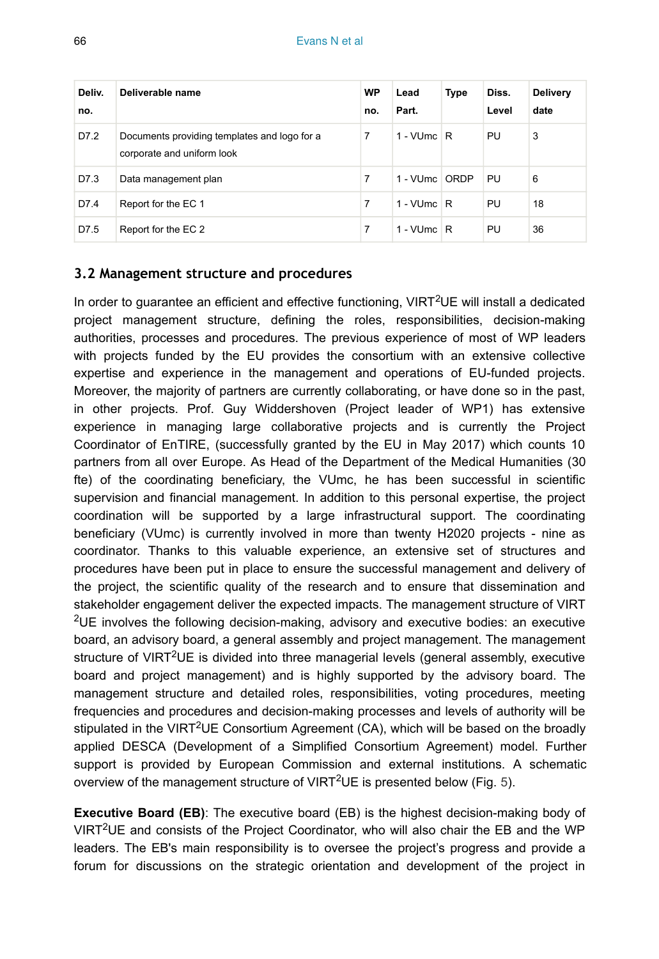| Deliv.<br>no. | Deliverable name                                                           | <b>WP</b><br>no. | Lead<br>Part. | <b>Type</b> | Diss.<br>Level | <b>Delivery</b><br>date |
|---------------|----------------------------------------------------------------------------|------------------|---------------|-------------|----------------|-------------------------|
| D7.2          | Documents providing templates and logo for a<br>corporate and uniform look | 7                | 1 - VUmc $R$  |             | PU             | 3                       |
| D7.3          | Data management plan                                                       | 7                | 1 - VUmc ORDP |             | PU             | 6                       |
| D7.4          | Report for the EC 1                                                        | 7                | 1 - VUmc $R$  |             | PU             | 18                      |
| D7.5          | Report for the EC 2                                                        | 7                | 1 - VUmc $ R$ |             | PU             | 36                      |

#### **3.2 Management structure and procedures**

In order to guarantee an efficient and effective functioning,  $VIRT^2UE$  will install a dedicated project management structure, defining the roles, responsibilities, decision-making authorities, processes and procedures. The previous experience of most of WP leaders with projects funded by the EU provides the consortium with an extensive collective expertise and experience in the management and operations of EU-funded projects. Moreover, the majority of partners are currently collaborating, or have done so in the past, in other projects. Prof. Guy Widdershoven (Project leader of WP1) has extensive experience in managing large collaborative projects and is currently the Project Coordinator of EnTIRE, (successfully granted by the EU in May 2017) which counts 10 partners from all over Europe. As Head of the Department of the Medical Humanities (30 fte) of the coordinating beneficiary, the VUmc, he has been successful in scientific supervision and financial management. In addition to this personal expertise, the project coordination will be supported by a large infrastructural support. The coordinating beneficiary (VUmc) is currently involved in more than twenty H2020 projects - nine as coordinator. Thanks to this valuable experience, an extensive set of structures and procedures have been put in place to ensure the successful management and delivery of the project, the scientific quality of the research and to ensure that dissemination and stakeholder engagement deliver the expected impacts. The management structure of VIRT  $2$ UE involves the following decision-making, advisory and executive bodies: an executive board, an advisory board, a general assembly and project management. The management structure of VIRT<sup>2</sup>UE is divided into three managerial levels (general assembly, executive board and project management) and is highly supported by the advisory board. The management structure and detailed roles, responsibilities, voting procedures, meeting frequencies and procedures and decision-making processes and levels of authority will be stipulated in the VIRT<sup>2</sup>UE Consortium Agreement (CA), which will be based on the broadly applied DESCA (Development of a Simplified Consortium Agreement) model. Further support is provided by European Commission and external institutions. A schematic overview of the management structure of VIRT<sup>2</sup>UE is presented below (Fig. [5](#page-66-0)).

**Executive Board (EB)**: The executive board (EB) is the highest decision-making body of VIRT<sup>2</sup>UE and consists of the Project Coordinator, who will also chair the EB and the WP leaders. The EB's main responsibility is to oversee the project's progress and provide a forum for discussions on the strategic orientation and development of the project in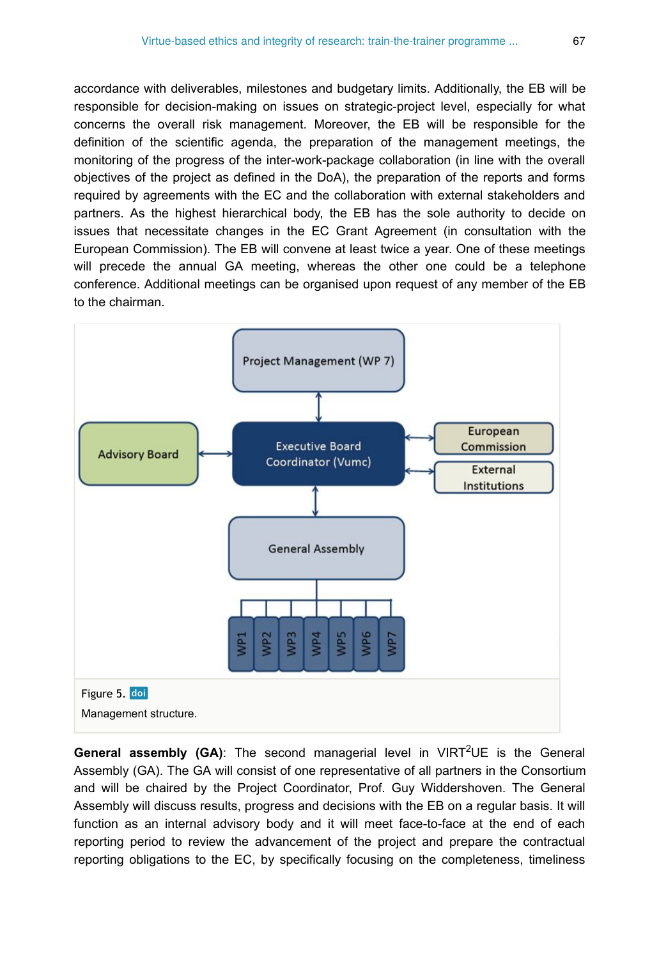accordance with deliverables, milestones and budgetary limits. Additionally, the EB will be responsible for decision-making on issues on strategic-project level, especially for what concerns the overall risk management. Moreover, the EB will be responsible for the definition of the scientific agenda, the preparation of the management meetings, the monitoring of the progress of the inter-work-package collaboration (in line with the overall objectives of the project as defined in the DoA), the preparation of the reports and forms required by agreements with the EC and the collaboration with external stakeholders and partners. As the highest hierarchical body, the EB has the sole authority to decide on issues that necessitate changes in the EC Grant Agreement (in consultation with the European Commission). The EB will convene at least twice a year. One of these meetings will precede the annual GA meeting, whereas the other one could be a telephone conference. Additional meetings can be organised upon request of any member of the EB to the chairman.

<span id="page-66-0"></span>

General assembly (GA): The second managerial level in VIRT<sup>2</sup>UE is the General Assembly (GA). The GA will consist of one representative of all partners in the Consortium and will be chaired by the Project Coordinator, Prof. Guy Widdershoven. The General Assembly will discuss results, progress and decisions with the EB on a regular basis. It will function as an internal advisory body and it will meet face-to-face at the end of each reporting period to review the advancement of the project and prepare the contractual reporting obligations to the EC, by specifically focusing on the completeness, timeliness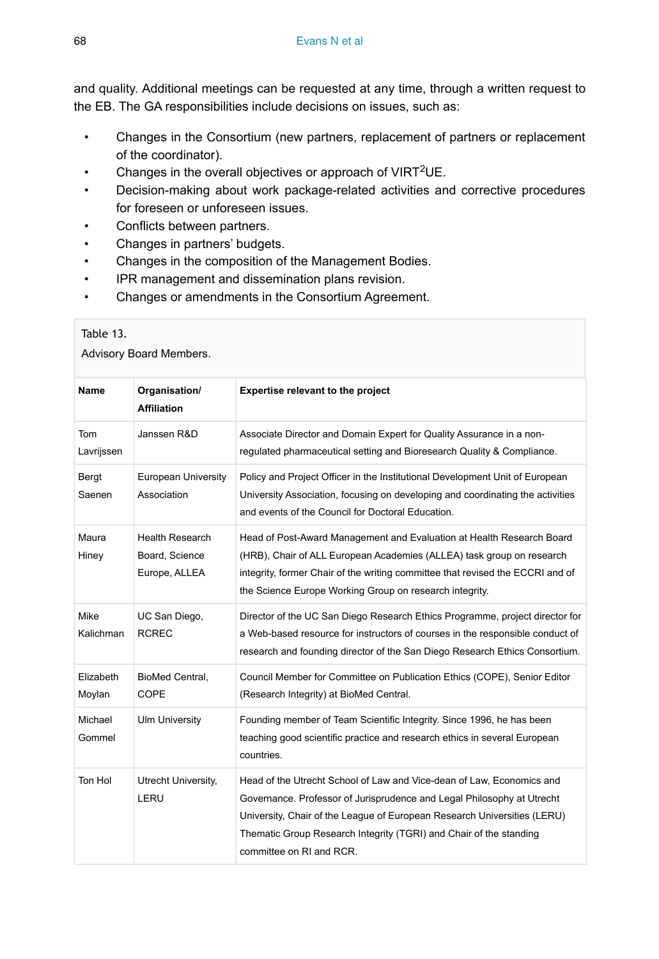and quality. Additional meetings can be requested at any time, through a written request to the EB. The GA responsibilities include decisions on issues, such as:

- Changes in the Consortium (new partners, replacement of partners or replacement of the coordinator).
- Changes in the overall objectives or approach of VIRT<sup>2</sup>UE.
- Decision-making about work package-related activities and corrective procedures for foreseen or unforeseen issues.
- Conflicts between partners.
- Changes in partners' budgets.
- Changes in the composition of the Management Bodies.
- IPR management and dissemination plans revision.
- Changes or amendments in the Consortium Agreement.

<span id="page-67-0"></span>

| Table 13.<br>Advisory Board Members. |                                                           |                                                                                                                                                                                                                                                                                                                               |  |  |
|--------------------------------------|-----------------------------------------------------------|-------------------------------------------------------------------------------------------------------------------------------------------------------------------------------------------------------------------------------------------------------------------------------------------------------------------------------|--|--|
| <b>Name</b>                          | Organisation/<br><b>Affiliation</b>                       | Expertise relevant to the project                                                                                                                                                                                                                                                                                             |  |  |
| Tom<br>Lavrijssen                    | Janssen R&D                                               | Associate Director and Domain Expert for Quality Assurance in a non-<br>regulated pharmaceutical setting and Bioresearch Quality & Compliance.                                                                                                                                                                                |  |  |
| Bergt<br>Saenen                      | <b>European University</b><br>Association                 | Policy and Project Officer in the Institutional Development Unit of European<br>University Association, focusing on developing and coordinating the activities<br>and events of the Council for Doctoral Education.                                                                                                           |  |  |
| Maura<br>Hiney                       | <b>Health Research</b><br>Board, Science<br>Europe, ALLEA | Head of Post-Award Management and Evaluation at Health Research Board<br>(HRB), Chair of ALL European Academies (ALLEA) task group on research<br>integrity, former Chair of the writing committee that revised the ECCRI and of<br>the Science Europe Working Group on research integrity.                                   |  |  |
| Mike<br>Kalichman                    | UC San Diego,<br><b>RCREC</b>                             | Director of the UC San Diego Research Ethics Programme, project director for<br>a Web-based resource for instructors of courses in the responsible conduct of<br>research and founding director of the San Diego Research Ethics Consortium.                                                                                  |  |  |
| Elizabeth<br>Moylan                  | BioMed Central,<br>COPE                                   | Council Member for Committee on Publication Ethics (COPE), Senior Editor<br>(Research Integrity) at BioMed Central.                                                                                                                                                                                                           |  |  |
| Michael<br>Gommel                    | <b>Ulm University</b>                                     | Founding member of Team Scientific Integrity. Since 1996, he has been<br>teaching good scientific practice and research ethics in several European<br>countries.                                                                                                                                                              |  |  |
| Ton Hol                              | Utrecht University,<br>LERU                               | Head of the Utrecht School of Law and Vice-dean of Law, Economics and<br>Governance. Professor of Jurisprudence and Legal Philosophy at Utrecht<br>University, Chair of the League of European Research Universities (LERU)<br>Thematic Group Research Integrity (TGRI) and Chair of the standing<br>committee on RI and RCR. |  |  |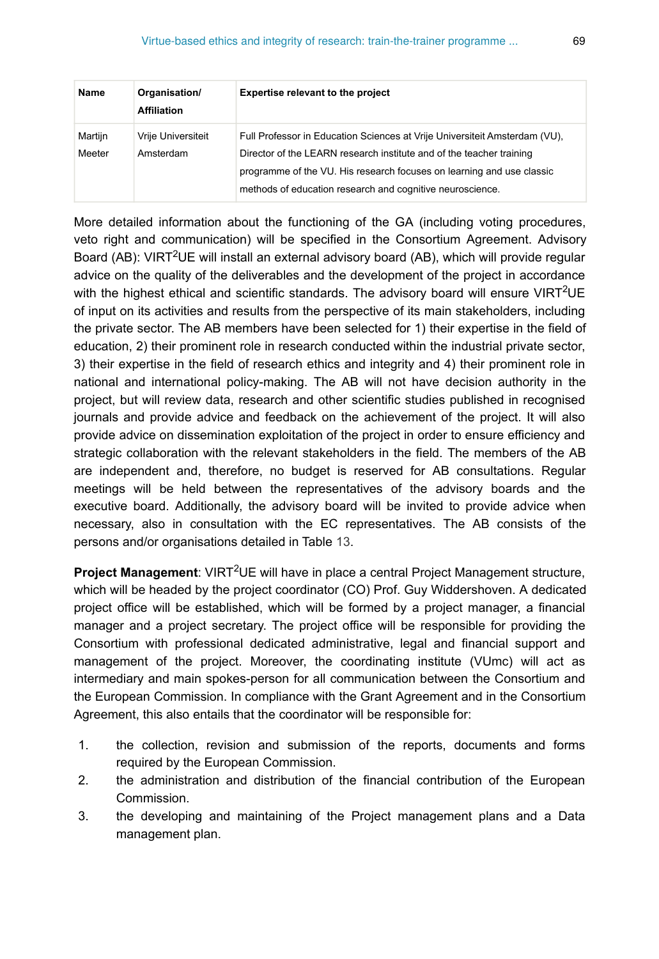| <b>Name</b>       | Organisation/<br><b>Affiliation</b> | <b>Expertise relevant to the project</b>                                                                                                                                                                                                                                                 |
|-------------------|-------------------------------------|------------------------------------------------------------------------------------------------------------------------------------------------------------------------------------------------------------------------------------------------------------------------------------------|
| Martijn<br>Meeter | Vrije Universiteit<br>Amsterdam     | Full Professor in Education Sciences at Vrije Universiteit Amsterdam (VU),<br>Director of the LEARN research institute and of the teacher training<br>programme of the VU. His research focuses on learning and use classic<br>methods of education research and cognitive neuroscience. |

More detailed information about the functioning of the GA (including voting procedures, veto right and communication) will be specified in the Consortium Agreement. Advisory Board (AB): VIRT<sup>2</sup>UE will install an external advisory board (AB), which will provide regular advice on the quality of the deliverables and the development of the project in accordance with the highest ethical and scientific standards. The advisory board will ensure VIRT<sup>2</sup>UE of input on its activities and results from the perspective of its main stakeholders, including the private sector. The AB members have been selected for 1) their expertise in the field of education, 2) their prominent role in research conducted within the industrial private sector, 3) their expertise in the field of research ethics and integrity and 4) their prominent role in national and international policy-making. The AB will not have decision authority in the project, but will review data, research and other scientific studies published in recognised journals and provide advice and feedback on the achievement of the project. It will also provide advice on dissemination exploitation of the project in order to ensure efficiency and strategic collaboration with the relevant stakeholders in the field. The members of the AB are independent and, therefore, no budget is reserved for AB consultations. Regular meetings will be held between the representatives of the advisory boards and the executive board. Additionally, the advisory board will be invited to provide advice when necessary, also in consultation with the EC representatives. The AB consists of the persons and/or organisations detailed in Table [13](#page-67-0).

Project Management: VIRT<sup>2</sup>UE will have in place a central Project Management structure, which will be headed by the project coordinator (CO) Prof. Guy Widdershoven. A dedicated project office will be established, which will be formed by a project manager, a financial manager and a project secretary. The project office will be responsible for providing the Consortium with professional dedicated administrative, legal and financial support and management of the project. Moreover, the coordinating institute (VUmc) will act as intermediary and main spokes-person for all communication between the Consortium and the European Commission. In compliance with the Grant Agreement and in the Consortium Agreement, this also entails that the coordinator will be responsible for:

- 1. the collection, revision and submission of the reports, documents and forms required by the European Commission.
- 2. the administration and distribution of the financial contribution of the European Commission.
- 3. the developing and maintaining of the Project management plans and a Data management plan.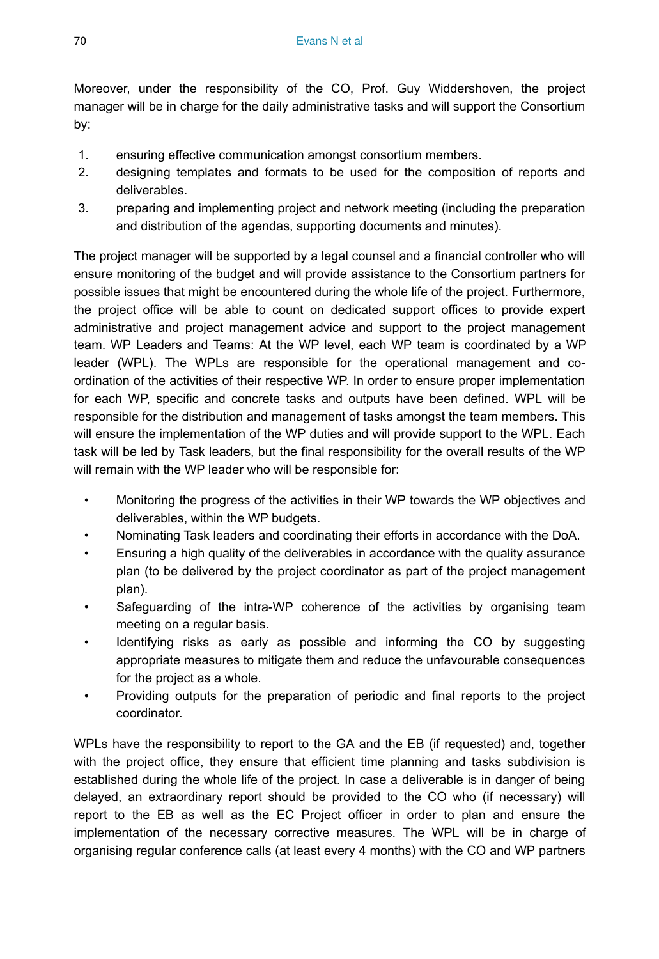Moreover, under the responsibility of the CO, Prof. Guy Widdershoven, the project manager will be in charge for the daily administrative tasks and will support the Consortium by:

- 1. ensuring effective communication amongst consortium members.
- 2. designing templates and formats to be used for the composition of reports and deliverables.
- 3. preparing and implementing project and network meeting (including the preparation and distribution of the agendas, supporting documents and minutes).

The project manager will be supported by a legal counsel and a financial controller who will ensure monitoring of the budget and will provide assistance to the Consortium partners for possible issues that might be encountered during the whole life of the project. Furthermore, the project office will be able to count on dedicated support offices to provide expert administrative and project management advice and support to the project management team. WP Leaders and Teams: At the WP level, each WP team is coordinated by a WP leader (WPL). The WPLs are responsible for the operational management and coordination of the activities of their respective WP. In order to ensure proper implementation for each WP, specific and concrete tasks and outputs have been defined. WPL will be responsible for the distribution and management of tasks amongst the team members. This will ensure the implementation of the WP duties and will provide support to the WPL. Each task will be led by Task leaders, but the final responsibility for the overall results of the WP will remain with the WP leader who will be responsible for:

- Monitoring the progress of the activities in their WP towards the WP objectives and deliverables, within the WP budgets.
- Nominating Task leaders and coordinating their efforts in accordance with the DoA.
- Ensuring a high quality of the deliverables in accordance with the quality assurance plan (to be delivered by the project coordinator as part of the project management plan).
- Safeguarding of the intra-WP coherence of the activities by organising team meeting on a regular basis.
- Identifying risks as early as possible and informing the CO by suggesting appropriate measures to mitigate them and reduce the unfavourable consequences for the project as a whole.
- Providing outputs for the preparation of periodic and final reports to the project coordinator.

WPLs have the responsibility to report to the GA and the EB (if requested) and, together with the project office, they ensure that efficient time planning and tasks subdivision is established during the whole life of the project. In case a deliverable is in danger of being delayed, an extraordinary report should be provided to the CO who (if necessary) will report to the EB as well as the EC Project officer in order to plan and ensure the implementation of the necessary corrective measures. The WPL will be in charge of organising regular conference calls (at least every 4 months) with the CO and WP partners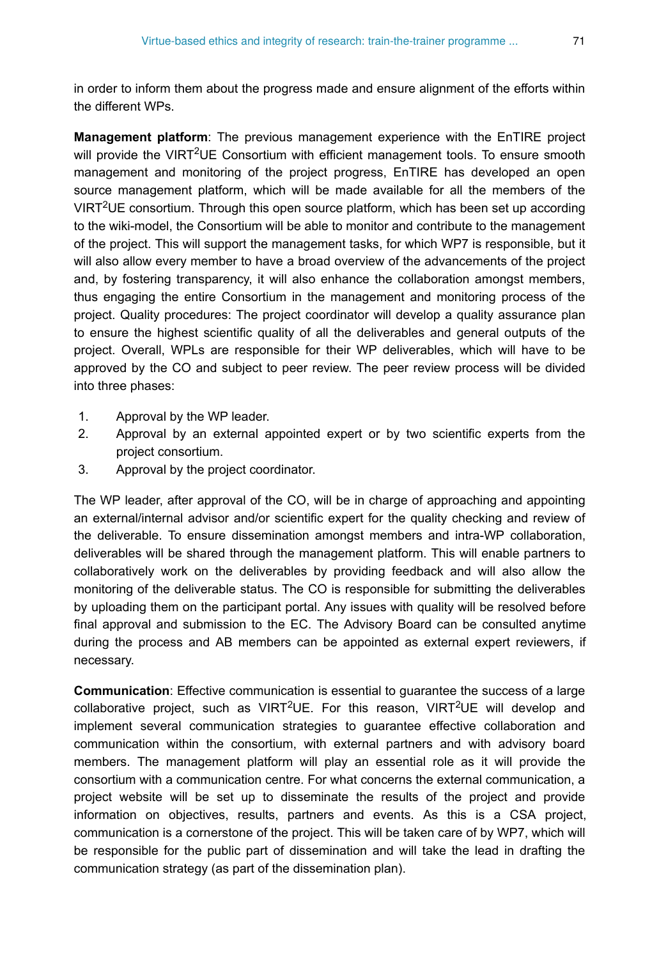in order to inform them about the progress made and ensure alignment of the efforts within the different WPs.

**Management platform**: The previous management experience with the EnTIRE project will provide the VIRT<sup>2</sup>UE Consortium with efficient management tools. To ensure smooth management and monitoring of the project progress, EnTIRE has developed an open source management platform, which will be made available for all the members of the VIRT<sup>2</sup>UE consortium. Through this open source platform, which has been set up according to the wiki-model, the Consortium will be able to monitor and contribute to the management of the project. This will support the management tasks, for which WP7 is responsible, but it will also allow every member to have a broad overview of the advancements of the project and, by fostering transparency, it will also enhance the collaboration amongst members, thus engaging the entire Consortium in the management and monitoring process of the project. Quality procedures: The project coordinator will develop a quality assurance plan to ensure the highest scientific quality of all the deliverables and general outputs of the project. Overall, WPLs are responsible for their WP deliverables, which will have to be approved by the CO and subject to peer review. The peer review process will be divided into three phases:

- 1. Approval by the WP leader.
- 2. Approval by an external appointed expert or by two scientific experts from the project consortium.
- 3. Approval by the project coordinator.

The WP leader, after approval of the CO, will be in charge of approaching and appointing an external/internal advisor and/or scientific expert for the quality checking and review of the deliverable. To ensure dissemination amongst members and intra-WP collaboration, deliverables will be shared through the management platform. This will enable partners to collaboratively work on the deliverables by providing feedback and will also allow the monitoring of the deliverable status. The CO is responsible for submitting the deliverables by uploading them on the participant portal. Any issues with quality will be resolved before final approval and submission to the EC. The Advisory Board can be consulted anytime during the process and AB members can be appointed as external expert reviewers, if necessary.

**Communication**: Effective communication is essential to guarantee the success of a large collaborative project, such as VIRT<sup>2</sup>UE. For this reason, VIRT<sup>2</sup>UE will develop and implement several communication strategies to guarantee effective collaboration and communication within the consortium, with external partners and with advisory board members. The management platform will play an essential role as it will provide the consortium with a communication centre. For what concerns the external communication, a project website will be set up to disseminate the results of the project and provide information on objectives, results, partners and events. As this is a CSA project, communication is a cornerstone of the project. This will be taken care of by WP7, which will be responsible for the public part of dissemination and will take the lead in drafting the communication strategy (as part of the dissemination plan).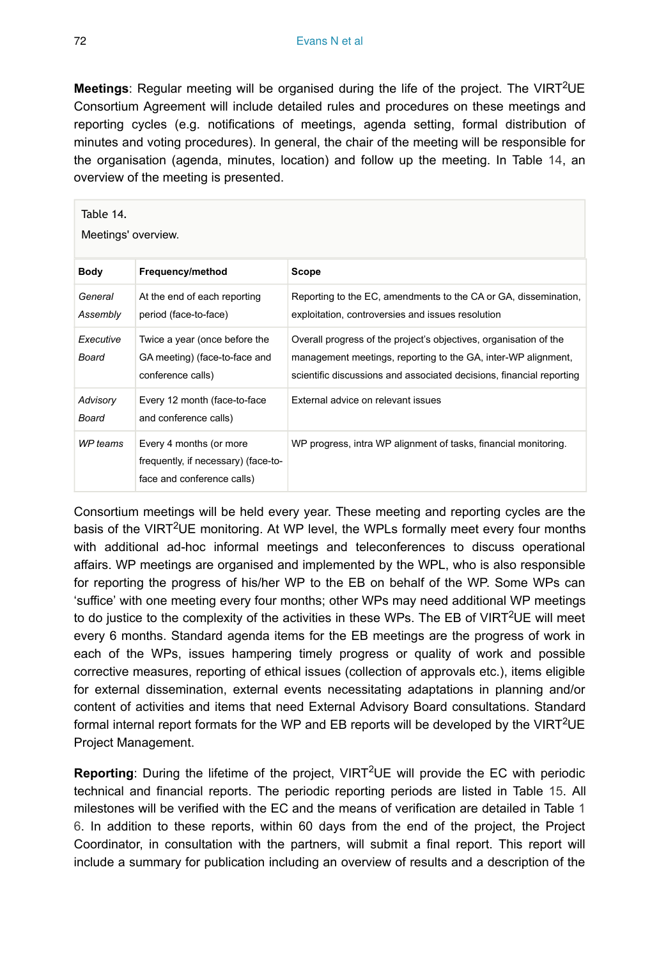Meetings: Regular meeting will be organised during the life of the project. The VIRT<sup>2</sup>UE Consortium Agreement will include detailed rules and procedures on these meetings and reporting cycles (e.g. notifications of meetings, agenda setting, formal distribution of minutes and voting procedures). In general, the chair of the meeting will be responsible for the organisation (agenda, minutes, location) and follow up the meeting. In Table [14,](#page-71-0) an overview of the meeting is presented.

<span id="page-71-0"></span>

| Table 14.<br>Meetings' overview. |                                                                                              |                                                                                                                                                                                                            |  |  |
|----------------------------------|----------------------------------------------------------------------------------------------|------------------------------------------------------------------------------------------------------------------------------------------------------------------------------------------------------------|--|--|
| Body                             | Frequency/method                                                                             | Scope                                                                                                                                                                                                      |  |  |
| General<br>Assembly              | At the end of each reporting<br>period (face-to-face)                                        | Reporting to the EC, amendments to the CA or GA, dissemination,<br>exploitation, controversies and issues resolution                                                                                       |  |  |
| Executive<br>Board               | Twice a year (once before the<br>GA meeting) (face-to-face and<br>conference calls)          | Overall progress of the project's objectives, organisation of the<br>management meetings, reporting to the GA, inter-WP alignment,<br>scientific discussions and associated decisions, financial reporting |  |  |
| Advisory<br>Board                | Every 12 month (face-to-face)<br>and conference calls)                                       | External advice on relevant issues                                                                                                                                                                         |  |  |
| WP teams                         | Every 4 months (or more<br>frequently, if necessary) (face-to-<br>face and conference calls) | WP progress, intra WP alignment of tasks, financial monitoring.                                                                                                                                            |  |  |

Consortium meetings will be held every year. These meeting and reporting cycles are the basis of the VIRT<sup>2</sup>UE monitoring. At WP level, the WPLs formally meet every four months with additional ad-hoc informal meetings and teleconferences to discuss operational affairs. WP meetings are organised and implemented by the WPL, who is also responsible for reporting the progress of his/her WP to the EB on behalf of the WP. Some WPs can 'suffice' with one meeting every four months; other WPs may need additional WP meetings to do justice to the complexity of the activities in these WPs. The EB of VIRT<sup>2</sup>UE will meet every 6 months. Standard agenda items for the EB meetings are the progress of work in each of the WPs, issues hampering timely progress or quality of work and possible corrective measures, reporting of ethical issues (collection of approvals etc.), items eligible for external dissemination, external events necessitating adaptations in planning and/or content of activities and items that need External Advisory Board consultations. Standard formal internal report formats for the WP and EB reports will be developed by the VIRT<sup>2</sup>UE Project Management.

Reporting: During the lifetime of the project, VIRT<sup>2</sup>UE will provide the EC with periodic technical and financial reports. The periodic reporting periods are listed in Table [15](#page-72-0). All milestones will be verified with the EC and the means of verification are detailed in Table [1](#page-72-1) [6](#page-72-1). In addition to these reports, within 60 days from the end of the project, the Project Coordinator, in consultation with the partners, will submit a final report. This report will include a summary for publication including an overview of results and a description of the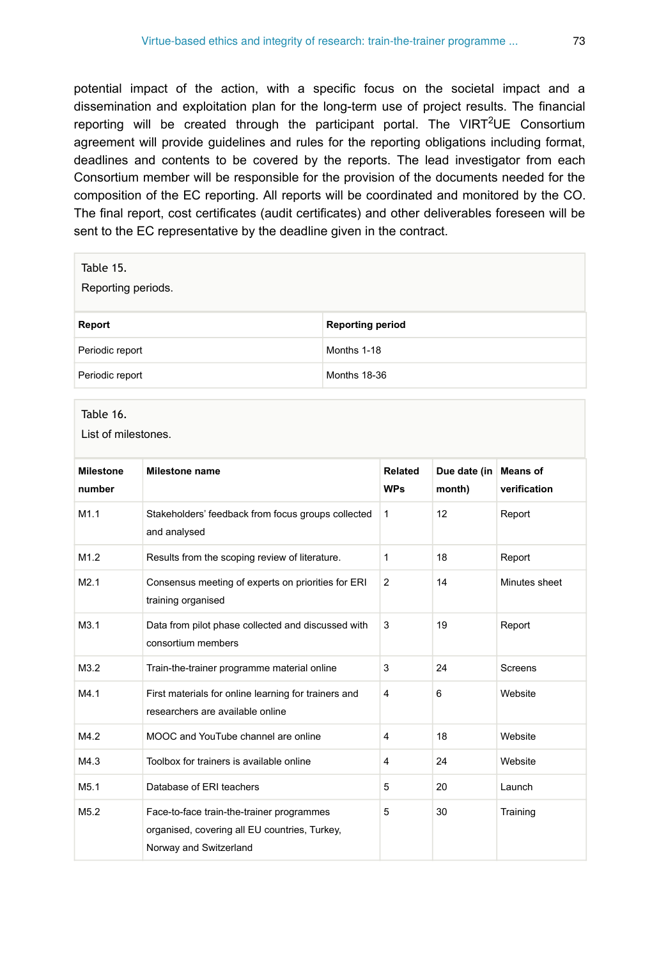potential impact of the action, with a specific focus on the societal impact and a dissemination and exploitation plan for the long-term use of project results. The financial reporting will be created through the participant portal. The VIRT<sup>2</sup>UE Consortium agreement will provide guidelines and rules for the reporting obligations including format, deadlines and contents to be covered by the reports. The lead investigator from each Consortium member will be responsible for the provision of the documents needed for the composition of the EC reporting. All reports will be coordinated and monitored by the CO. The final report, cost certificates (audit certificates) and other deliverables foreseen will be sent to the EC representative by the deadline given in the contract.

| Table 15.<br>Reporting periods. |                         |  |
|---------------------------------|-------------------------|--|
| Report                          | <b>Reporting period</b> |  |
| Periodic report                 | Months 1-18             |  |
| Periodic report                 | <b>Months 18-36</b>     |  |

## Table 16.

List of milestones.

| <b>Milestone</b><br>number | <b>Milestone name</b>                                                                                                | Related<br><b>WPs</b> | Due date (in   Means of<br>month) | verification  |
|----------------------------|----------------------------------------------------------------------------------------------------------------------|-----------------------|-----------------------------------|---------------|
| M1.1                       | Stakeholders' feedback from focus groups collected<br>and analysed                                                   | 1                     | 12                                | Report        |
| M1.2                       | Results from the scoping review of literature.                                                                       | 1                     | 18                                | Report        |
| M2.1                       | Consensus meeting of experts on priorities for ERI<br>training organised                                             | 2                     | 14                                | Minutes sheet |
| M3.1                       | Data from pilot phase collected and discussed with<br>consortium members                                             | 3                     | 19                                | Report        |
| M3.2                       | Train-the-trainer programme material online                                                                          | 3                     | 24                                | Screens       |
| M4.1                       | First materials for online learning for trainers and<br>researchers are available online                             | $\overline{4}$        | 6                                 | Website       |
| M4.2                       | MOOC and YouTube channel are online                                                                                  | 4                     | 18                                | Website       |
| M4.3                       | Toolbox for trainers is available online                                                                             | 4                     | 24                                | Website       |
| M5.1                       | Database of ERI teachers                                                                                             | 5                     | 20                                | Launch        |
| M5.2                       | Face-to-face train-the-trainer programmes<br>organised, covering all EU countries, Turkey,<br>Norway and Switzerland | 5                     | 30                                | Training      |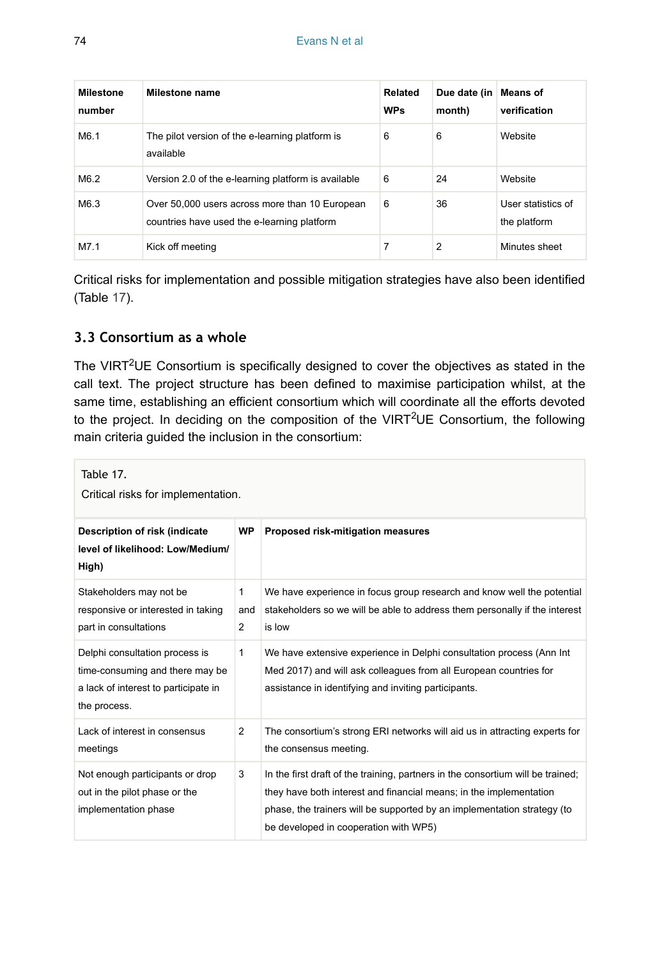| <b>Milestone</b><br>number | Milestone name                                                                                | Related<br><b>WPs</b> | Due date (in<br>month) | <b>Means of</b><br>verification    |
|----------------------------|-----------------------------------------------------------------------------------------------|-----------------------|------------------------|------------------------------------|
| M6.1                       | The pilot version of the e-learning platform is<br>available                                  | 6                     | 6                      | Website                            |
| M6.2                       | Version 2.0 of the e-learning platform is available                                           | 6                     | 24                     | Website                            |
| M6.3                       | Over 50,000 users across more than 10 European<br>countries have used the e-learning platform | 6                     | 36                     | User statistics of<br>the platform |
| M7.1                       | Kick off meeting                                                                              | 7                     | 2                      | Minutes sheet                      |

Critical risks for implementation and possible mitigation strategies have also been identified (Table [17](#page-73-0)).

## **3.3 Consortium as a whole**

The VIRT<sup>2</sup>UE Consortium is specifically designed to cover the objectives as stated in the call text. The project structure has been defined to maximise participation whilst, at the same time, establishing an efficient consortium which will coordinate all the efforts devoted to the project. In deciding on the composition of the VIRT<sup>2</sup>UE Consortium, the following main criteria guided the inclusion in the consortium:

<span id="page-73-0"></span>

| Table 17.<br>Critical risks for implementation.                                                                           |                                       |                                                                                                                                                                                                                                                                           |  |
|---------------------------------------------------------------------------------------------------------------------------|---------------------------------------|---------------------------------------------------------------------------------------------------------------------------------------------------------------------------------------------------------------------------------------------------------------------------|--|
| Description of risk (indicate<br>level of likelihood: Low/Medium/<br>High)                                                | <b>WP</b>                             | Proposed risk-mitigation measures                                                                                                                                                                                                                                         |  |
| Stakeholders may not be<br>responsive or interested in taking<br>part in consultations                                    | $\mathbf{1}$<br>and<br>$\overline{2}$ | We have experience in focus group research and know well the potential<br>stakeholders so we will be able to address them personally if the interest<br>is low                                                                                                            |  |
| Delphi consultation process is<br>time-consuming and there may be<br>a lack of interest to participate in<br>the process. | 1                                     | We have extensive experience in Delphi consultation process (Ann Int<br>Med 2017) and will ask colleagues from all European countries for<br>assistance in identifying and inviting participants.                                                                         |  |
| Lack of interest in consensus<br>meetings                                                                                 | 2                                     | The consortium's strong ERI networks will aid us in attracting experts for<br>the consensus meeting.                                                                                                                                                                      |  |
| Not enough participants or drop<br>out in the pilot phase or the<br>implementation phase                                  | 3                                     | In the first draft of the training, partners in the consortium will be trained;<br>they have both interest and financial means; in the implementation<br>phase, the trainers will be supported by an implementation strategy (to<br>be developed in cooperation with WP5) |  |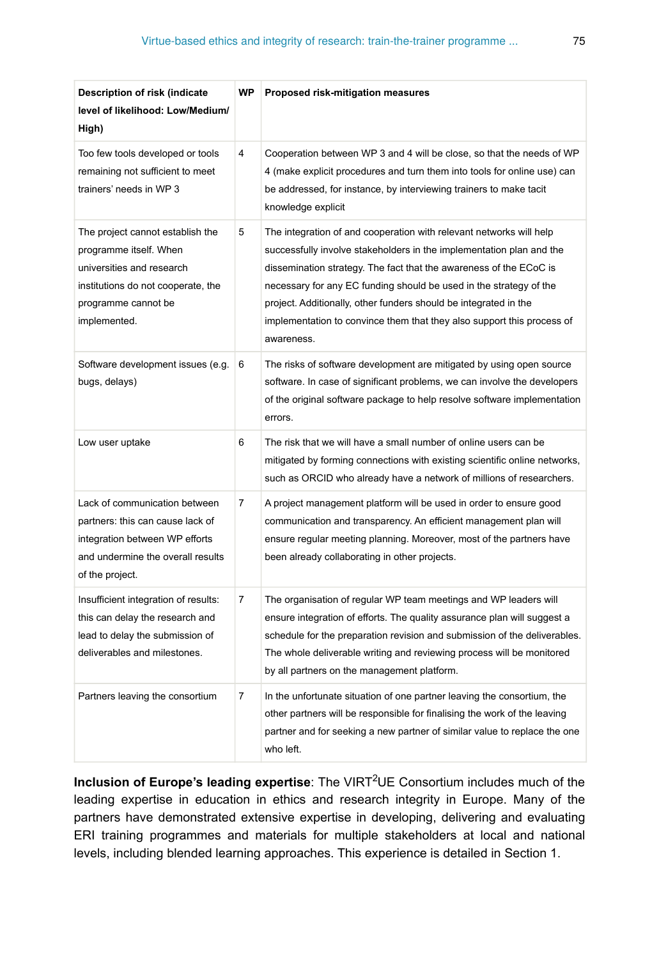| Description of risk (indicate<br>level of likelihood: Low/Medium/<br>High)                                                                                           | <b>WP</b>      | Proposed risk-mitigation measures                                                                                                                                                                                                                                                                                                                                                                                                                   |
|----------------------------------------------------------------------------------------------------------------------------------------------------------------------|----------------|-----------------------------------------------------------------------------------------------------------------------------------------------------------------------------------------------------------------------------------------------------------------------------------------------------------------------------------------------------------------------------------------------------------------------------------------------------|
| Too few tools developed or tools<br>remaining not sufficient to meet<br>trainers' needs in WP 3                                                                      | $\overline{4}$ | Cooperation between WP 3 and 4 will be close, so that the needs of WP<br>4 (make explicit procedures and turn them into tools for online use) can<br>be addressed, for instance, by interviewing trainers to make tacit<br>knowledge explicit                                                                                                                                                                                                       |
| The project cannot establish the<br>programme itself. When<br>universities and research<br>institutions do not cooperate, the<br>programme cannot be<br>implemented. | 5              | The integration of and cooperation with relevant networks will help<br>successfully involve stakeholders in the implementation plan and the<br>dissemination strategy. The fact that the awareness of the ECoC is<br>necessary for any EC funding should be used in the strategy of the<br>project. Additionally, other funders should be integrated in the<br>implementation to convince them that they also support this process of<br>awareness. |
| Software development issues (e.g.<br>bugs, delays)                                                                                                                   | 6              | The risks of software development are mitigated by using open source<br>software. In case of significant problems, we can involve the developers<br>of the original software package to help resolve software implementation<br>errors.                                                                                                                                                                                                             |
| Low user uptake                                                                                                                                                      | 6              | The risk that we will have a small number of online users can be<br>mitigated by forming connections with existing scientific online networks,<br>such as ORCID who already have a network of millions of researchers.                                                                                                                                                                                                                              |
| Lack of communication between<br>partners: this can cause lack of<br>integration between WP efforts<br>and undermine the overall results<br>of the project.          | $\overline{7}$ | A project management platform will be used in order to ensure good<br>communication and transparency. An efficient management plan will<br>ensure regular meeting planning. Moreover, most of the partners have<br>been already collaborating in other projects.                                                                                                                                                                                    |
| Insufficient integration of results:<br>this can delay the research and<br>lead to delay the submission of<br>deliverables and milestones.                           | 7              | The organisation of regular WP team meetings and WP leaders will<br>ensure integration of efforts. The quality assurance plan will suggest a<br>schedule for the preparation revision and submission of the deliverables.<br>The whole deliverable writing and reviewing process will be monitored<br>by all partners on the management platform.                                                                                                   |
| Partners leaving the consortium                                                                                                                                      | $\overline{7}$ | In the unfortunate situation of one partner leaving the consortium, the<br>other partners will be responsible for finalising the work of the leaving<br>partner and for seeking a new partner of similar value to replace the one<br>who left.                                                                                                                                                                                                      |

Inclusion of Europe's leading expertise: The VIRT<sup>2</sup>UE Consortium includes much of the leading expertise in education in ethics and research integrity in Europe. Many of the partners have demonstrated extensive expertise in developing, delivering and evaluating ERI training programmes and materials for multiple stakeholders at local and national levels, including blended learning approaches. This experience is detailed in Section 1.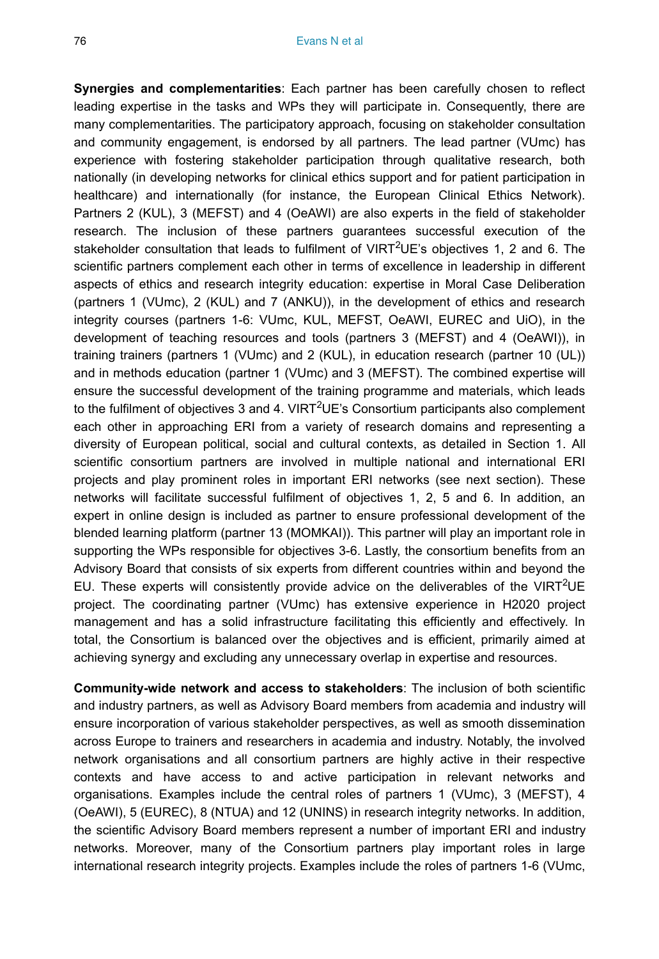**Synergies and complementarities**: Each partner has been carefully chosen to reflect leading expertise in the tasks and WPs they will participate in. Consequently, there are many complementarities. The participatory approach, focusing on stakeholder consultation and community engagement, is endorsed by all partners. The lead partner (VUmc) has experience with fostering stakeholder participation through qualitative research, both nationally (in developing networks for clinical ethics support and for patient participation in healthcare) and internationally (for instance, the European Clinical Ethics Network). Partners 2 (KUL), 3 (MEFST) and 4 (OeAWI) are also experts in the field of stakeholder research. The inclusion of these partners guarantees successful execution of the stakeholder consultation that leads to fulfilment of VIRT<sup>2</sup>UE's objectives 1, 2 and 6. The scientific partners complement each other in terms of excellence in leadership in different aspects of ethics and research integrity education: expertise in Moral Case Deliberation (partners 1 (VUmc), 2 (KUL) and 7 (ANKU)), in the development of ethics and research integrity courses (partners 1-6: VUmc, KUL, MEFST, OeAWI, EUREC and UiO), in the development of teaching resources and tools (partners 3 (MEFST) and 4 (OeAWI)), in training trainers (partners 1 (VUmc) and 2 (KUL), in education research (partner 10 (UL)) and in methods education (partner 1 (VUmc) and 3 (MEFST). The combined expertise will ensure the successful development of the training programme and materials, which leads to the fulfilment of objectives 3 and 4. VIRT<sup>2</sup>UE's Consortium participants also complement each other in approaching ERI from a variety of research domains and representing a diversity of European political, social and cultural contexts, as detailed in Section 1. All scientific consortium partners are involved in multiple national and international ERI projects and play prominent roles in important ERI networks (see next section). These networks will facilitate successful fulfilment of objectives 1, 2, 5 and 6. In addition, an expert in online design is included as partner to ensure professional development of the blended learning platform (partner 13 (MOMKAI)). This partner will play an important role in supporting the WPs responsible for objectives 3-6. Lastly, the consortium benefits from an Advisory Board that consists of six experts from different countries within and beyond the EU. These experts will consistently provide advice on the deliverables of the VIRT<sup>2</sup>UE project. The coordinating partner (VUmc) has extensive experience in H2020 project management and has a solid infrastructure facilitating this efficiently and effectively. In total, the Consortium is balanced over the objectives and is efficient, primarily aimed at achieving synergy and excluding any unnecessary overlap in expertise and resources.

**Community-wide network and access to stakeholders**: The inclusion of both scientific and industry partners, as well as Advisory Board members from academia and industry will ensure incorporation of various stakeholder perspectives, as well as smooth dissemination across Europe to trainers and researchers in academia and industry. Notably, the involved network organisations and all consortium partners are highly active in their respective contexts and have access to and active participation in relevant networks and organisations. Examples include the central roles of partners 1 (VUmc), 3 (MEFST), 4 (OeAWI), 5 (EUREC), 8 (NTUA) and 12 (UNINS) in research integrity networks. In addition, the scientific Advisory Board members represent a number of important ERI and industry networks. Moreover, many of the Consortium partners play important roles in large international research integrity projects. Examples include the roles of partners 1-6 (VUmc,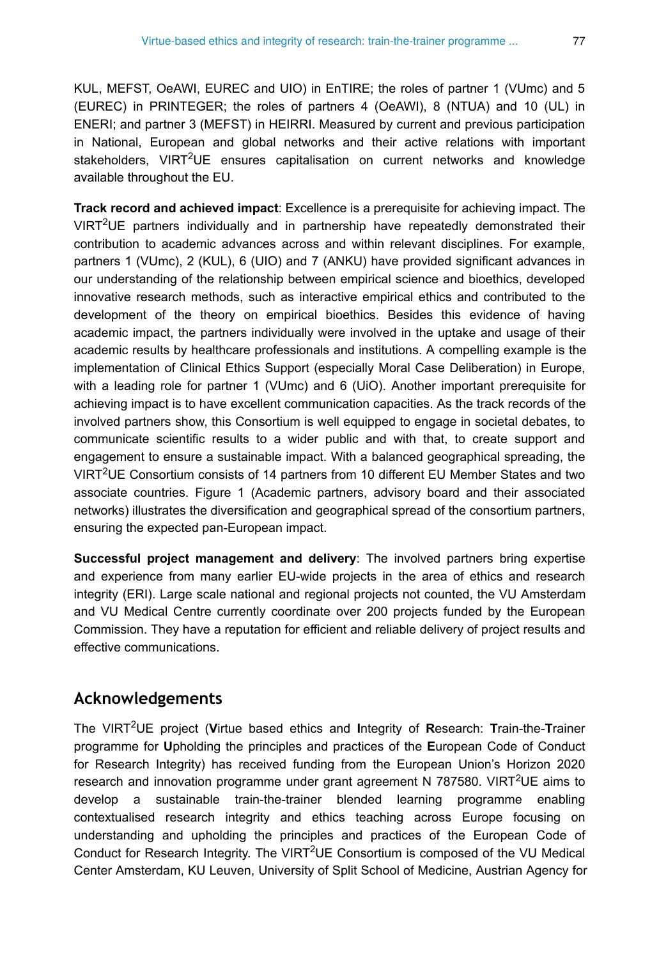KUL, MEFST, OeAWI, EUREC and UIO) in EnTIRE; the roles of partner 1 (VUmc) and 5 (EUREC) in PRINTEGER; the roles of partners 4 (OeAWI), 8 (NTUA) and 10 (UL) in ENERI; and partner 3 (MEFST) in HEIRRI. Measured by current and previous participation in National, European and global networks and their active relations with important stakeholders, VIRT<sup>2</sup>UE ensures capitalisation on current networks and knowledge available throughout the EU.

**Track record and achieved impact**: Excellence is a prerequisite for achieving impact. The VIRT<sup>2</sup>UE partners individually and in partnership have repeatedly demonstrated their contribution to academic advances across and within relevant disciplines. For example, partners 1 (VUmc), 2 (KUL), 6 (UIO) and 7 (ANKU) have provided significant advances in our understanding of the relationship between empirical science and bioethics, developed innovative research methods, such as interactive empirical ethics and contributed to the development of the theory on empirical bioethics. Besides this evidence of having academic impact, the partners individually were involved in the uptake and usage of their academic results by healthcare professionals and institutions. A compelling example is the implementation of Clinical Ethics Support (especially Moral Case Deliberation) in Europe, with a leading role for partner 1 (VUmc) and 6 (UiO). Another important prerequisite for achieving impact is to have excellent communication capacities. As the track records of the involved partners show, this Consortium is well equipped to engage in societal debates, to communicate scientific results to a wider public and with that, to create support and engagement to ensure a sustainable impact. With a balanced geographical spreading, the VIRT<sup>2</sup>UE Consortium consists of 14 partners from 10 different EU Member States and two associate countries. Figure 1 (Academic partners, advisory board and their associated networks) illustrates the diversification and geographical spread of the consortium partners, ensuring the expected pan-European impact.

**Successful project management and delivery**: The involved partners bring expertise and experience from many earlier EU-wide projects in the area of ethics and research integrity (ERI). Large scale national and regional projects not counted, the VU Amsterdam and VU Medical Centre currently coordinate over 200 projects funded by the European Commission. They have a reputation for efficient and reliable delivery of project results and effective communications.

## **Acknowledgements**

The VIRT<sup>2</sup>UE project (Virtue based ethics and Integrity of Research: Train-the-Trainer programme for **U**pholding the principles and practices of the **E**uropean Code of Conduct for Research Integrity) has received funding from the European Union's Horizon 2020 research and innovation programme under grant agreement N 787580. VIRT<sup>2</sup>UE aims to develop a sustainable train-the-trainer blended learning programme enabling contextualised research integrity and ethics teaching across Europe focusing on understanding and upholding the principles and practices of the European Code of Conduct for Research Integrity. The VIRT<sup>2</sup>UE Consortium is composed of the VU Medical Center Amsterdam, KU Leuven, University of Split School of Medicine, Austrian Agency for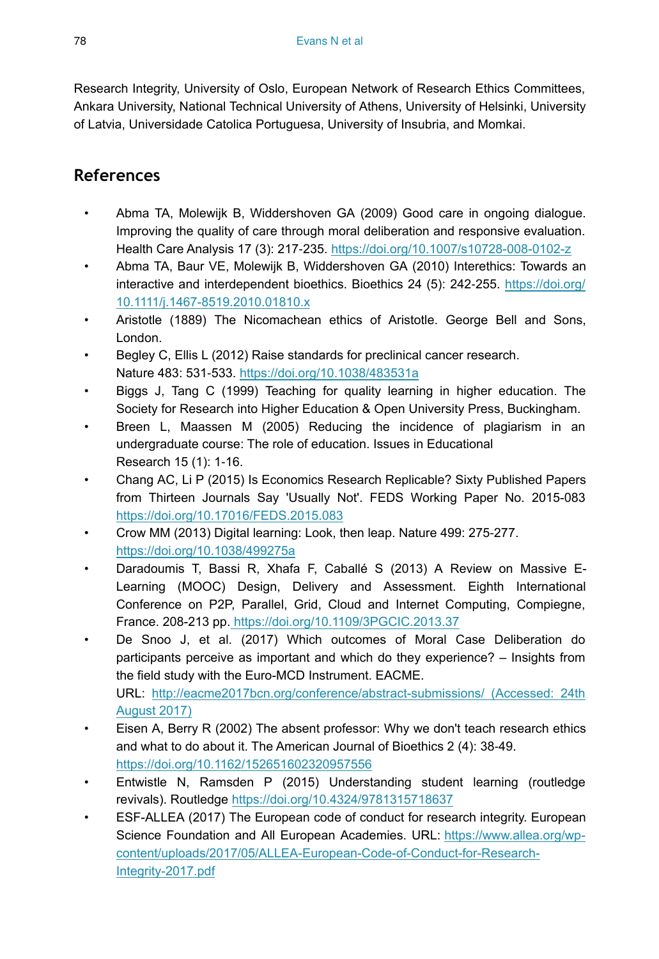Research Integrity, University of Oslo, European Network of Research Ethics Committees, Ankara University, National Technical University of Athens, University of Helsinki, University of Latvia, Universidade Catolica Portuguesa, University of Insubria, and Momkai.

## **References**

- Abma TA, Molewijk B, Widdershoven GA (2009) Good care in ongoing dialogue. Improving the quality of care through moral deliberation and responsive evaluation. Health Care Analysis 17 (3): 217‑235. <https://doi.org/10.1007/s10728-008-0102-z>
- Abma TA, Baur VE, Molewijk B, Widdershoven GA (2010) Interethics: Towards an interactive and interdependent bioethics. Bioethics 24 (5): 242‑255. [https://doi.org/](https://doi.org/10.1111/j.1467-8519.2010.01810.x) [10.1111/j.1467-8519.2010.01810.x](https://doi.org/10.1111/j.1467-8519.2010.01810.x)
- Aristotle (1889) The Nicomachean ethics of Aristotle. George Bell and Sons, London.
- Begley C, Ellis L (2012) Raise standards for preclinical cancer research. Nature 483: 531‑533. <https://doi.org/10.1038/483531a>
- Biggs J, Tang C (1999) Teaching for quality learning in higher education. The Society for Research into Higher Education & Open University Press, Buckingham.
- Breen L, Maassen M (2005) Reducing the incidence of plagiarism in an undergraduate course: The role of education. Issues in Educational Research 15 (1): 1‑16.
- Chang AC, Li P (2015) Is Economics Research Replicable? Sixty Published Papers from Thirteen Journals Say 'Usually Not'. FEDS Working Paper No. 2015-083 <https://doi.org/10.17016/FEDS.2015.083>
- Crow MM (2013) Digital learning: Look, then leap. Nature 499: 275‑277. <https://doi.org/10.1038/499275a>
- Daradoumis T, Bassi R, Xhafa F, Caballé S (2013) A Review on Massive E-Learning (MOOC) Design, Delivery and Assessment. Eighth International Conference on P2P, Parallel, Grid, Cloud and Internet Computing, Compiegne, France. 208-213 pp[. https://doi.org/10.1109/3PGCIC.2013.37](https://doi.org/10.1109/3PGCIC.2013.37)
- De Snoo J, et al. (2017) Which outcomes of Moral Case Deliberation do participants perceive as important and which do they experience? – Insights from the field study with the Euro-MCD Instrument. EACME. URL: [http://eacme2017bcn.org/conference/abstract-submissions/ \(Accessed: 24th](http://http://eacme2017bcn.org/conference/abstract-submissions/%20(Accessed:%2024th%20August%202017)) [August 2017\)](http://http://eacme2017bcn.org/conference/abstract-submissions/%20(Accessed:%2024th%20August%202017))
- Eisen A, Berry R (2002) The absent professor: Why we don't teach research ethics and what to do about it. The American Journal of Bioethics 2 (4): 38‑49. <https://doi.org/10.1162/152651602320957556>
- Entwistle N, Ramsden P (2015) Understanding student learning (routledge revivals). Routledge<https://doi.org/10.4324/9781315718637>
- ESF-ALLEA (2017) The European code of conduct for research integrity. European Science Foundation and All European Academies. URL: [https://www.allea.org/wp](https://www.allea.org/wp-content/uploads/2017/05/ALLEA-European-Code-of-Conduct-for-Research-Integrity-2017.pdf)[content/uploads/2017/05/ALLEA-European-Code-of-Conduct-for-Research-](https://www.allea.org/wp-content/uploads/2017/05/ALLEA-European-Code-of-Conduct-for-Research-Integrity-2017.pdf)[Integrity-2017.pdf](https://www.allea.org/wp-content/uploads/2017/05/ALLEA-European-Code-of-Conduct-for-Research-Integrity-2017.pdf)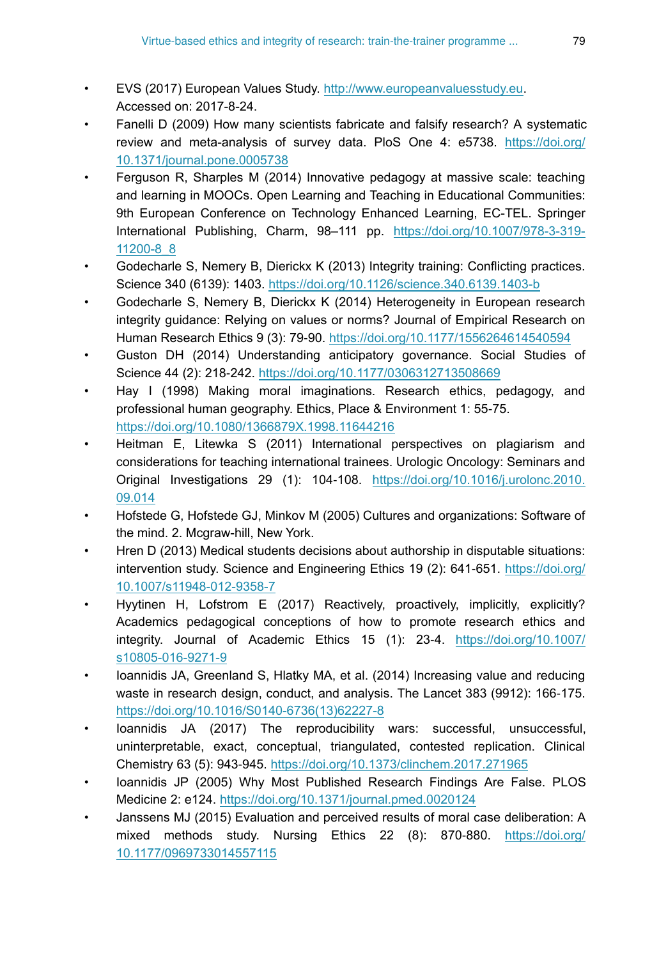- EVS (2017) European Values Study. <http://www.europeanvaluesstudy.eu>. Accessed on: 2017-8-24.
- Fanelli D (2009) How many scientists fabricate and falsify research? A systematic review and meta-analysis of survey data. PloS One 4: e5738. [https://doi.org/](https://doi.org/10.1371/journal.pone.0005738) [10.1371/journal.pone.0005738](https://doi.org/10.1371/journal.pone.0005738)
- Ferguson R, Sharples M (2014) Innovative pedagogy at massive scale: teaching and learning in MOOCs. Open Learning and Teaching in Educational Communities: 9th European Conference on Technology Enhanced Learning, EC-TEL. Springer International Publishing, Charm, 98–111 pp. [https://doi.org/10.1007/978-3-319-](https://doi.org/10.1007/978-3-319-11200-8_8) [11200-8\\_8](https://doi.org/10.1007/978-3-319-11200-8_8)
- Godecharle S, Nemery B, Dierickx K (2013) Integrity training: Conflicting practices. Science 340 (6139): 1403. <https://doi.org/10.1126/science.340.6139.1403-b>
- Godecharle S, Nemery B, Dierickx K (2014) Heterogeneity in European research integrity guidance: Relying on values or norms? Journal of Empirical Research on Human Research Ethics 9 (3): 79‑90. <https://doi.org/10.1177/1556264614540594>
- Guston DH (2014) Understanding anticipatory governance. Social Studies of Science 44 (2): 218‑242. <https://doi.org/10.1177/0306312713508669>
- Hay I (1998) Making moral imaginations. Research ethics, pedagogy, and professional human geography. Ethics, Place & Environment 1: 55‑75. <https://doi.org/10.1080/1366879X.1998.11644216>
- Heitman E, Litewka S (2011) International perspectives on plagiarism and considerations for teaching international trainees. Urologic Oncology: Seminars and Original Investigations 29 (1): 104‑108. [https://doi.org/10.1016/j.urolonc.2010.](https://doi.org/10.1016/j.urolonc.2010.09.014) [09.014](https://doi.org/10.1016/j.urolonc.2010.09.014)
- Hofstede G, Hofstede GJ, Minkov M (2005) Cultures and organizations: Software of the mind. 2. Mcgraw-hill, New York.
- Hren D (2013) Medical students decisions about authorship in disputable situations: intervention study. Science and Engineering Ethics 19 (2): 641‑651. [https://doi.org/](https://doi.org/10.1007/s11948-012-9358-7) [10.1007/s11948-012-9358-7](https://doi.org/10.1007/s11948-012-9358-7)
- Hyytinen H, Lofstrom E (2017) Reactively, proactively, implicitly, explicitly? Academics pedagogical conceptions of how to promote research ethics and integrity. Journal of Academic Ethics 15 (1): 23‑4. [https://doi.org/10.1007/](https://doi.org/10.1007/s10805-016-9271-9) [s10805-016-9271-9](https://doi.org/10.1007/s10805-016-9271-9)
- Ioannidis JA, Greenland S, Hlatky MA, et al. (2014) Increasing value and reducing waste in research design, conduct, and analysis. The Lancet 383 (9912): 166-175. [https://doi.org/10.1016/S0140-6736\(13\)62227-8](https://doi.org/10.1016/S0140-6736(13)62227-8)
- Ioannidis JA (2017) The reproducibility wars: successful, unsuccessful, uninterpretable, exact, conceptual, triangulated, contested replication. Clinical Chemistry 63 (5): 943‑945. <https://doi.org/10.1373/clinchem.2017.271965>
- Ioannidis JP (2005) Why Most Published Research Findings Are False. PLOS Medicine 2: e124. <https://doi.org/10.1371/journal.pmed.0020124>
- Janssens MJ (2015) Evaluation and perceived results of moral case deliberation: A mixed methods study. Nursing Ethics 22 (8): 870‑880. [https://doi.org/](https://doi.org/10.1177/0969733014557115) [10.1177/0969733014557115](https://doi.org/10.1177/0969733014557115)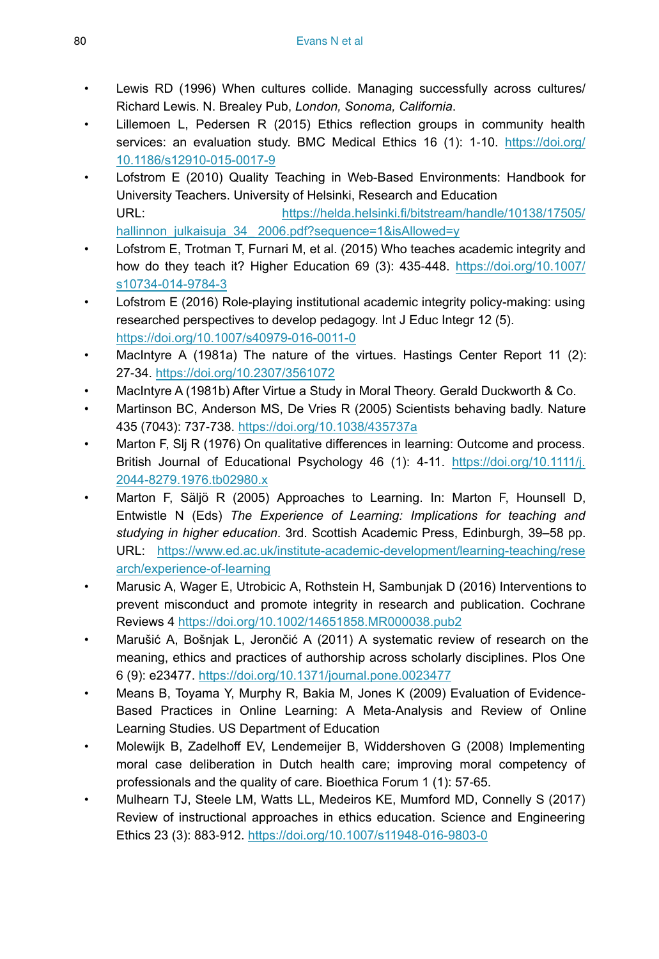- Lewis RD (1996) When cultures collide. Managing successfully across cultures/ Richard Lewis. N. Brealey Pub, *London, Sonoma, California*.
- Lillemoen L, Pedersen R (2015) Ethics reflection groups in community health services: an evaluation study. BMC Medical Ethics 16 (1): 1-10. [https://doi.org/](https://doi.org/10.1186/s12910-015-0017-9) [10.1186/s12910-015-0017-9](https://doi.org/10.1186/s12910-015-0017-9)
- Lofstrom E (2010) Quality Teaching in Web-Based Environments: Handbook for University Teachers. University of Helsinki, Research and Education URL: [https://helda.helsinki.fi/bitstream/handle/10138/17505/](https://helda.helsinki.fi/bitstream/handle/10138/17505/hallinnon_julkaisuja_34_2006.pdf?sequence=1&isAllowed=y) [hallinnon\\_julkaisuja\\_34\\_ 2006.pdf?sequence=1&isAllowed=y](https://helda.helsinki.fi/bitstream/handle/10138/17505/hallinnon_julkaisuja_34_2006.pdf?sequence=1&isAllowed=y)
- Lofstrom E, Trotman T, Furnari M, et al. (2015) Who teaches academic integrity and how do they teach it? Higher Education 69 (3): 435-448. [https://doi.org/10.1007/](https://doi.org/10.1007/s10734-014-9784-3) [s10734-014-9784-3](https://doi.org/10.1007/s10734-014-9784-3)
- Lofstrom E (2016) Role-playing institutional academic integrity policy-making: using researched perspectives to develop pedagogy. Int J Educ Integr 12 (5). <https://doi.org/10.1007/s40979-016-0011-0>
- MacIntyre A (1981a) The nature of the virtues. Hastings Center Report 11 (2): 27‑34.<https://doi.org/10.2307/3561072>
- MacIntyre A (1981b) After Virtue a Study in Moral Theory. Gerald Duckworth & Co.
- Martinson BC, Anderson MS, De Vries R (2005) Scientists behaving badly. Nature 435 (7043): 737‑738. <https://doi.org/10.1038/435737a>
- Marton F, Sli R (1976) On qualitative differences in learning: Outcome and process. British Journal of Educational Psychology 46 (1): 4-11. [https://doi.org/10.1111/j.](https://doi.org/10.1111/j.2044-8279.1976.tb02980.x) [2044-8279.1976.tb02980.x](https://doi.org/10.1111/j.2044-8279.1976.tb02980.x)
- Marton F, Säljö R (2005) Approaches to Learning. In: Marton F, Hounsell D, Entwistle N (Eds) *The Experience of Learning: Implications for teaching and studying in higher education*. 3rd. Scottish Academic Press, Edinburgh, 39–58 pp. URL: [https://www.ed.ac.uk/institute-academic-development/learning-teaching/rese](https://www.ed.ac.uk/institute-academic-development/learning-teaching/research/experience-of-learning) [arch/experience-of-learning](https://www.ed.ac.uk/institute-academic-development/learning-teaching/research/experience-of-learning)
- Marusic A, Wager E, Utrobicic A, Rothstein H, Sambunjak D (2016) Interventions to prevent misconduct and promote integrity in research and publication. Cochrane Reviews 4<https://doi.org/10.1002/14651858.MR000038.pub2>
- Marušić A, Bošnjak L, Jerončić A (2011) A systematic review of research on the meaning, ethics and practices of authorship across scholarly disciplines. Plos One 6 (9): e23477. <https://doi.org/10.1371/journal.pone.0023477>
- Means B, Toyama Y, Murphy R, Bakia M, Jones K (2009) Evaluation of Evidence-Based Practices in Online Learning: A Meta-Analysis and Review of Online Learning Studies. US Department of Education
- Molewijk B, Zadelhoff EV, Lendemeijer B, Widdershoven G (2008) Implementing moral case deliberation in Dutch health care; improving moral competency of professionals and the quality of care. Bioethica Forum 1 (1): 57‑65.
- Mulhearn TJ, Steele LM, Watts LL, Medeiros KE, Mumford MD, Connelly S (2017) Review of instructional approaches in ethics education. Science and Engineering Ethics 23 (3): 883‑912. <https://doi.org/10.1007/s11948-016-9803-0>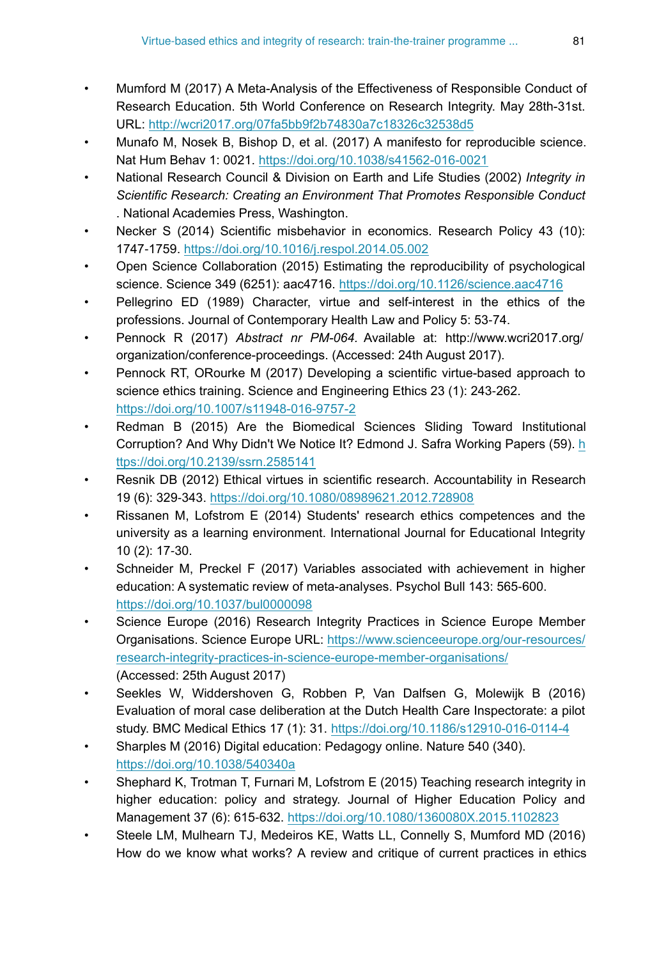- Mumford M (2017) A Meta-Analysis of the Effectiveness of Responsible Conduct of Research Education. 5th World Conference on Research Integrity. May 28th-31st. URL:<http://wcri2017.org/07fa5bb9f2b74830a7c18326c32538d5>
- Munafo M, Nosek B, Bishop D, et al. (2017) A manifesto for reproducible science. Nat Hum Behav 1: 0021.<https://doi.org/10.1038/s41562-016-0021>
- National Research Council & Division on Earth and Life Studies (2002) *Integrity in Scientific Research: Creating an Environment That Promotes Responsible Conduct* . National Academies Press, Washington.
- Necker S (2014) Scientific misbehavior in economics. Research Policy 43 (10): 1747‑1759.<https://doi.org/10.1016/j.respol.2014.05.002>
- Open Science Collaboration (2015) Estimating the reproducibility of psychological science. Science 349 (6251): aac4716. <https://doi.org/10.1126/science.aac4716>
- Pellegrino ED (1989) Character, virtue and self-interest in the ethics of the professions. Journal of Contemporary Health Law and Policy 5: 53‑74.
- Pennock R (2017) *Abstract nr PM-064.* Available at: http://www.wcri2017.org/ organization/conference-proceedings. (Accessed: 24th August 2017).
- Pennock RT, ORourke M (2017) Developing a scientific virtue-based approach to science ethics training. Science and Engineering Ethics 23 (1): 243-262. <https://doi.org/10.1007/s11948-016-9757-2>
- Redman B (2015) Are the Biomedical Sciences Sliding Toward Institutional Corruption? And Why Didn't We Notice It? Edmond J. Safra Working Papers (59). [h](https://doi.org/10.2139/ssrn.2585141) [ttps://doi.org/10.2139/ssrn.2585141](https://doi.org/10.2139/ssrn.2585141)
- Resnik DB (2012) Ethical virtues in scientific research. Accountability in Research 19 (6): 329‑343. <https://doi.org/10.1080/08989621.2012.728908>
- Rissanen M, Lofstrom E (2014) Students' research ethics competences and the university as a learning environment. International Journal for Educational Integrity 10 (2): 17‑30.
- Schneider M, Preckel F (2017) Variables associated with achievement in higher education: A systematic review of meta-analyses. Psychol Bull 143: 565‑600. <https://doi.org/10.1037/bul0000098>
- Science Europe (2016) Research Integrity Practices in Science Europe Member Organisations. Science Europe URL: [https://www.scienceeurope.org/our-resources/](http://https://www.scienceeurope.org/our-resources/research-integrity-practices-in-science-europe-member-organisations/) [research-integrity-practices-in-science-europe-member-organisations/](http://https://www.scienceeurope.org/our-resources/research-integrity-practices-in-science-europe-member-organisations/) (Accessed: 25th August 2017)
- Seekles W, Widdershoven G, Robben P, Van Dalfsen G, Molewijk B (2016) Evaluation of moral case deliberation at the Dutch Health Care Inspectorate: a pilot study. BMC Medical Ethics 17 (1): 31. <https://doi.org/10.1186/s12910-016-0114-4>
- Sharples M (2016) Digital education: Pedagogy online. Nature 540 (340). <https://doi.org/10.1038/540340a>
- Shephard K, Trotman T, Furnari M, Lofstrom E (2015) Teaching research integrity in higher education: policy and strategy. Journal of Higher Education Policy and Management 37 (6): 615‑632. <https://doi.org/10.1080/1360080X.2015.1102823>
- Steele LM, Mulhearn TJ, Medeiros KE, Watts LL, Connelly S, Mumford MD (2016) How do we know what works? A review and critique of current practices in ethics